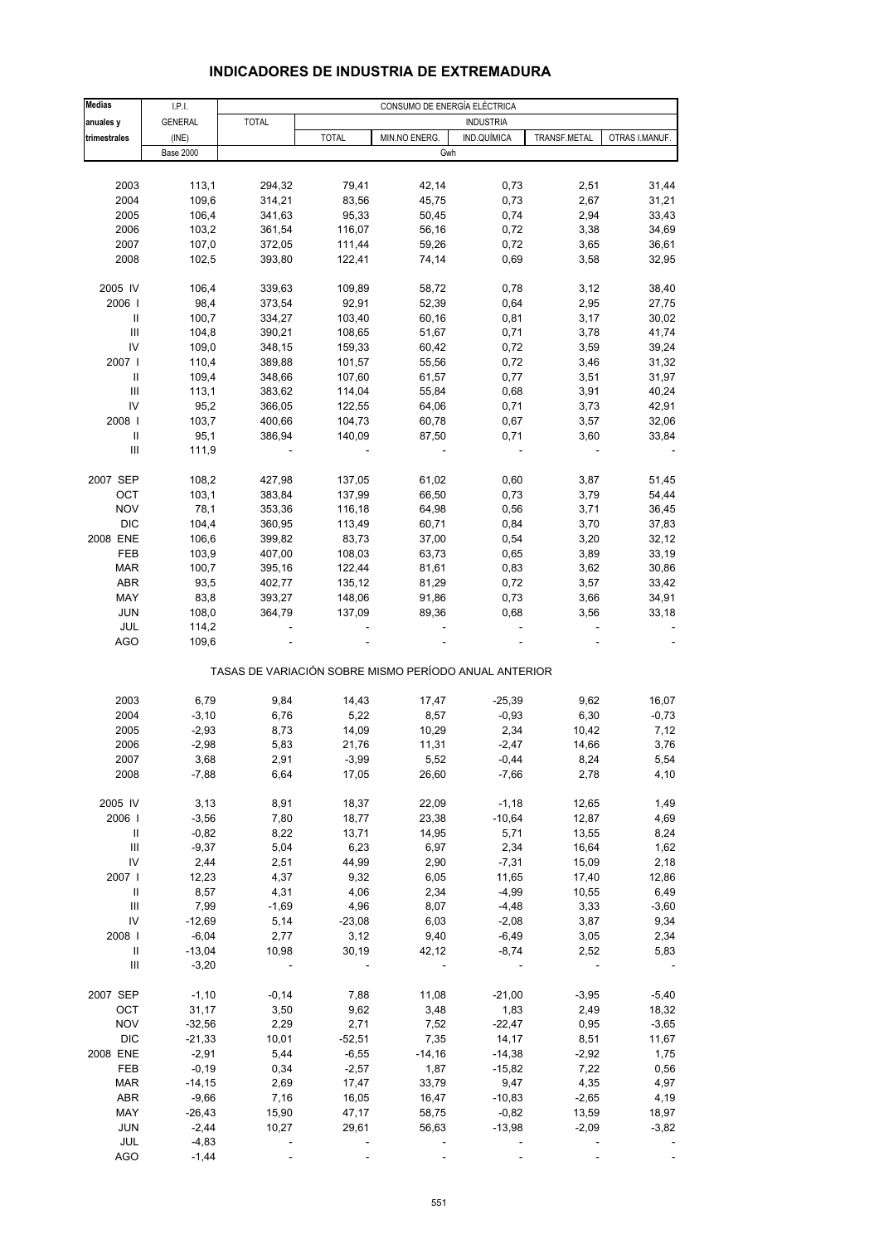# **INDICADORES DE INDUSTRIA DE EXTREMADURA**

| <b>Medias</b>                      | I.P.I.           |              | CONSUMO DE ENERGÍA ELÉCTRICA |                                                       |                  |              |                |  |  |
|------------------------------------|------------------|--------------|------------------------------|-------------------------------------------------------|------------------|--------------|----------------|--|--|
| anuales y                          | <b>GENERAL</b>   | <b>TOTAL</b> |                              |                                                       | <b>INDUSTRIA</b> |              |                |  |  |
| trimestrales                       | (INE)            |              | <b>TOTAL</b>                 | MIN.NO ENERG.                                         | IND.QUÍMICA      | TRANSF.METAL | OTRAS I.MANUF. |  |  |
|                                    | <b>Base 2000</b> |              |                              | Gwh                                                   |                  |              |                |  |  |
|                                    |                  |              |                              |                                                       |                  |              |                |  |  |
|                                    |                  |              |                              |                                                       |                  |              |                |  |  |
| 2003                               | 113,1            | 294,32       | 79,41                        | 42,14                                                 | 0,73             | 2,51         | 31,44          |  |  |
| 2004                               | 109,6            | 314,21       | 83,56                        | 45,75                                                 | 0,73             | 2,67         | 31,21          |  |  |
| 2005                               | 106,4            | 341,63       | 95,33                        | 50,45                                                 | 0,74             | 2,94         | 33,43          |  |  |
| 2006                               | 103,2            | 361,54       | 116,07                       | 56,16                                                 | 0,72             | 3,38         | 34,69          |  |  |
| 2007                               | 107,0            | 372,05       | 111,44                       | 59,26                                                 | 0,72             | 3,65         | 36,61          |  |  |
| 2008                               | 102,5            | 393,80       | 122,41                       | 74,14                                                 | 0,69             | 3,58         | 32,95          |  |  |
|                                    |                  |              |                              |                                                       |                  |              |                |  |  |
| 2005 IV                            | 106,4            | 339,63       | 109,89                       | 58,72                                                 | 0,78             | 3,12         | 38,40          |  |  |
| 2006                               | 98,4             | 373,54       | 92,91                        | 52,39                                                 | 0,64             | 2,95         | 27,75          |  |  |
| Ш                                  | 100,7            | 334,27       | 103,40                       | 60,16                                                 | 0,81             | 3,17         | 30,02          |  |  |
| Ш                                  | 104,8            | 390,21       | 108,65                       | 51,67                                                 | 0,71             | 3,78         | 41,74          |  |  |
| IV                                 | 109,0            | 348,15       | 159,33                       | 60,42                                                 | 0,72             | 3,59         | 39,24          |  |  |
|                                    |                  |              |                              |                                                       |                  |              |                |  |  |
| 2007 l                             | 110,4            | 389,88       | 101,57                       | 55,56                                                 | 0,72             | 3,46         | 31,32          |  |  |
| Ш                                  | 109,4            | 348,66       | 107,60                       | 61,57                                                 | 0,77             | 3,51         | 31,97          |  |  |
| $\ensuremath{\mathsf{III}}\xspace$ | 113,1            | 383,62       | 114,04                       | 55,84                                                 | 0,68             | 3,91         | 40,24          |  |  |
| IV                                 | 95,2             | 366,05       | 122,55                       | 64,06                                                 | 0,71             | 3,73         | 42,91          |  |  |
| 2008                               | 103,7            | 400,66       | 104,73                       | 60,78                                                 | 0,67             | 3,57         | 32,06          |  |  |
| Ш                                  | 95,1             | 386,94       | 140,09                       | 87,50                                                 | 0,71             | 3,60         | 33,84          |  |  |
| $\ensuremath{\mathsf{III}}\xspace$ | 111,9            |              |                              | $\overline{\phantom{a}}$                              |                  |              |                |  |  |
|                                    |                  |              |                              |                                                       |                  |              |                |  |  |
| 2007 SEP                           | 108,2            | 427,98       | 137,05                       | 61,02                                                 | 0,60             | 3,87         | 51,45          |  |  |
| OCT                                | 103,1            | 383,84       | 137,99                       | 66,50                                                 | 0,73             | 3,79         | 54,44          |  |  |
| <b>NOV</b>                         | 78,1             | 353,36       | 116,18                       | 64,98                                                 | 0,56             | 3,71         | 36,45          |  |  |
| <b>DIC</b>                         | 104,4            | 360,95       | 113,49                       | 60,71                                                 | 0,84             | 3,70         | 37,83          |  |  |
| 2008 ENE                           | 106,6            | 399,82       | 83,73                        | 37,00                                                 | 0,54             | 3,20         | 32, 12         |  |  |
|                                    |                  |              |                              |                                                       |                  |              |                |  |  |
| FEB                                | 103,9            | 407,00       | 108,03                       | 63,73                                                 | 0,65             | 3,89         | 33,19          |  |  |
| <b>MAR</b>                         | 100,7            | 395,16       | 122,44                       | 81,61                                                 | 0,83             | 3,62         | 30,86          |  |  |
| <b>ABR</b>                         | 93,5             | 402,77       | 135,12                       | 81,29                                                 | 0,72             | 3,57         | 33,42          |  |  |
| MAY                                | 83,8             | 393,27       | 148,06                       | 91,86                                                 | 0,73             | 3,66         | 34,91          |  |  |
| <b>JUN</b>                         | 108,0            | 364,79       | 137,09                       | 89,36                                                 | 0,68             | 3,56         | 33,18          |  |  |
| JUL                                | 114,2            |              |                              |                                                       |                  |              |                |  |  |
| <b>AGO</b>                         | 109,6            |              |                              |                                                       |                  |              |                |  |  |
|                                    |                  |              |                              | TASAS DE VARIACIÓN SOBRE MISMO PERÍODO ANUAL ANTERIOR |                  |              |                |  |  |
|                                    |                  |              |                              |                                                       |                  |              |                |  |  |
| 2003                               | 6,79             | 9,84         | 14,43                        | 17,47                                                 | $-25,39$         | 9,62         | 16,07          |  |  |
| 2004                               | $-3,10$          | 6,76         | 5,22                         | 8,57                                                  | $-0,93$          | 6,30         | $-0,73$        |  |  |
| 2005                               | $-2,93$          | 8,73         | 14,09                        | 10,29                                                 | 2,34             | 10,42        | 7,12           |  |  |
| 2006                               | $-2,98$          | 5,83         | 21,76                        | 11,31                                                 | $-2,47$          | 14.66        | 3,76           |  |  |
| 2007                               | 3,68             | 2,91         | $-3,99$                      | 5,52                                                  | $-0,44$          | 8,24         | 5,54           |  |  |
| 2008                               | $-7,88$          | 6,64         | 17,05                        | 26,60                                                 | $-7,66$          | 2,78         | 4,10           |  |  |
|                                    |                  |              |                              |                                                       |                  |              |                |  |  |
| 2005 IV                            | 3,13             | 8,91         | 18,37                        | 22,09                                                 | $-1,18$          | 12,65        | 1,49           |  |  |
| 2006                               | $-3,56$          | 7,80         | 18,77                        | 23,38                                                 | $-10,64$         | 12,87        | 4,69           |  |  |
| Ш                                  | $-0,82$          | 8,22         | 13,71                        | 14,95                                                 | 5,71             | 13,55        | 8,24           |  |  |
| Ш                                  | $-9,37$          | 5,04         | 6,23                         | 6,97                                                  | 2,34             | 16,64        | 1,62           |  |  |
| IV                                 | 2,44             | 2,51         | 44,99                        | 2,90                                                  | $-7,31$          | 15,09        | 2,18           |  |  |
| 2007 l                             | 12,23            | 4,37         | 9,32                         | 6,05                                                  | 11,65            | 17,40        | 12,86          |  |  |
| Ш                                  |                  |              |                              |                                                       |                  |              |                |  |  |
|                                    | 8,57             | 4,31         | 4,06                         | 2,34                                                  | $-4,99$          | 10,55        | 6,49           |  |  |
| $\ensuremath{\mathsf{III}}\xspace$ | 7,99             | $-1,69$      | 4,96                         | 8,07                                                  | $-4,48$          | 3,33         | $-3,60$        |  |  |
| IV                                 | $-12,69$         | 5,14         | $-23,08$                     | 6,03                                                  | $-2,08$          | 3,87         | 9,34           |  |  |
| 2008                               | $-6,04$          | 2,77         | 3,12                         | 9,40                                                  | $-6,49$          | 3,05         | 2,34           |  |  |
| $\mathbf{II}$                      | $-13,04$         | 10,98        | 30,19                        | 42,12                                                 | $-8,74$          | 2,52         | 5,83           |  |  |
| Ш                                  | $-3,20$          |              |                              |                                                       |                  |              |                |  |  |
| 2007 SEP                           | $-1,10$          | $-0,14$      | 7,88                         | 11,08                                                 | $-21,00$         | $-3,95$      | $-5,40$        |  |  |
| OCT                                | 31,17            | 3,50         | 9,62                         | 3,48                                                  | 1,83             | 2,49         | 18,32          |  |  |
| <b>NOV</b>                         | $-32,56$         | 2,29         | 2,71                         | 7,52                                                  | $-22,47$         | 0,95         | $-3,65$        |  |  |
| <b>DIC</b>                         | $-21,33$         | 10,01        | $-52,51$                     | 7,35                                                  | 14,17            | 8,51         | 11,67          |  |  |
| 2008 ENE                           | $-2,91$          | 5,44         | $-6,55$                      | $-14,16$                                              | $-14,38$         | $-2,92$      | 1,75           |  |  |
| FEB                                | $-0,19$          | 0,34         | $-2,57$                      | 1,87                                                  | $-15,82$         | 7,22         | 0,56           |  |  |
|                                    |                  |              |                              |                                                       |                  |              |                |  |  |
| <b>MAR</b>                         | $-14,15$         | 2,69         | 17,47                        | 33,79                                                 | 9,47             | 4,35         | 4,97           |  |  |
| ABR                                | $-9,66$          | 7,16         | 16,05                        | 16,47                                                 | $-10,83$         | $-2,65$      | 4,19           |  |  |
| MAY                                | $-26,43$         | 15,90        | 47,17                        | 58,75                                                 | $-0,82$          | 13,59        | 18,97          |  |  |
| <b>JUN</b>                         | $-2,44$          | 10,27        | 29,61                        | 56,63                                                 | $-13,98$         | $-2,09$      | $-3,82$        |  |  |
| JUL                                | $-4,83$          |              |                              |                                                       |                  |              |                |  |  |
| <b>AGO</b>                         | $-1,44$          |              |                              |                                                       |                  |              |                |  |  |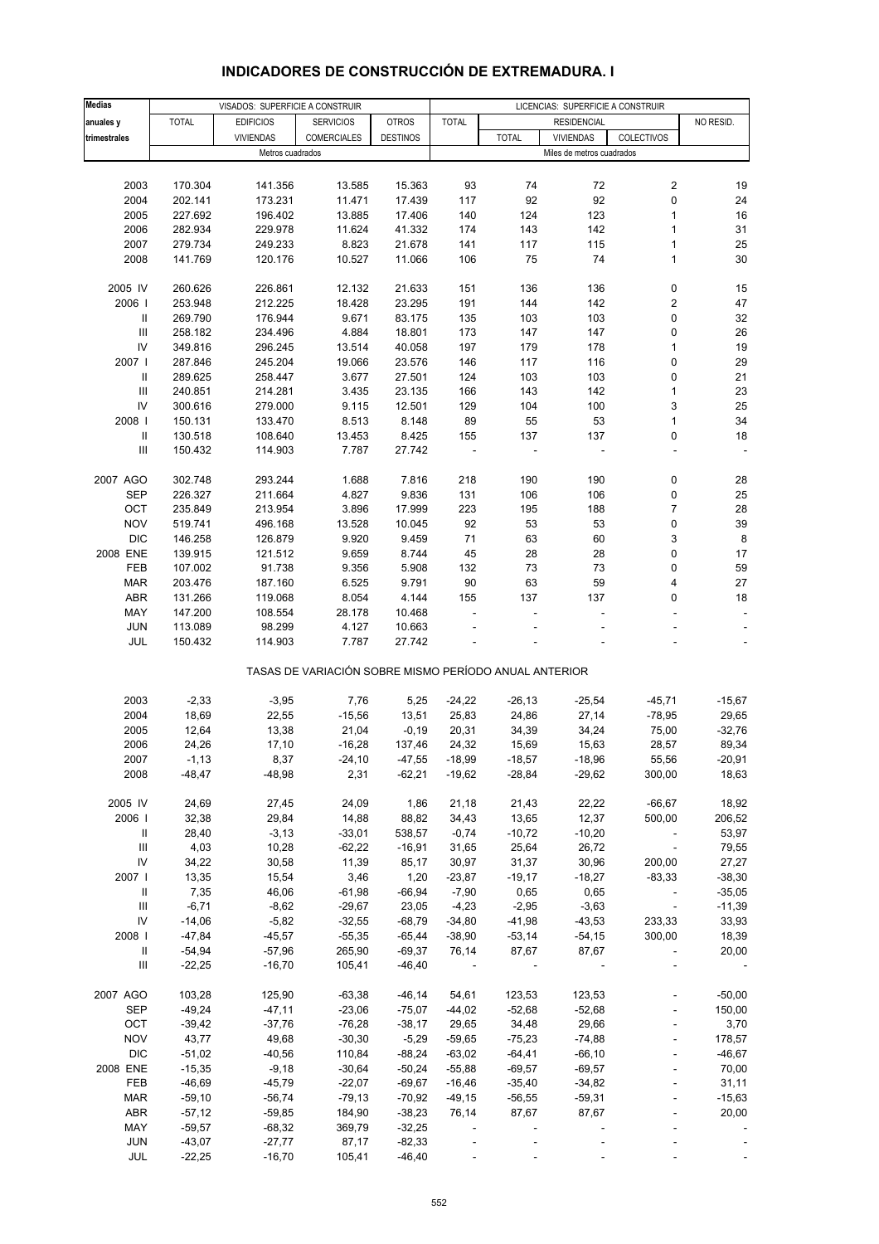# **INDICADORES DE CONSTRUCCIÓN DE EXTREMADURA. I**

| <b>Medias</b>                      |              | VISADOS: SUPERFICIE A CONSTRUIR |                                                       |                 |                          |                          | LICENCIAS: SUPERFICIE A CONSTRUIR |                          |           |
|------------------------------------|--------------|---------------------------------|-------------------------------------------------------|-----------------|--------------------------|--------------------------|-----------------------------------|--------------------------|-----------|
| anuales y                          | <b>TOTAL</b> | <b>EDIFICIOS</b>                | <b>SERVICIOS</b>                                      | <b>OTROS</b>    | <b>TOTAL</b>             |                          | <b>RESIDENCIAL</b>                |                          | NO RESID. |
|                                    |              |                                 |                                                       |                 |                          |                          |                                   |                          |           |
| trimestrales                       |              | <b>VIVIENDAS</b>                | <b>COMERCIALES</b>                                    | <b>DESTINOS</b> |                          | <b>TOTAL</b>             | <b>VIVIENDAS</b>                  | COLECTIVOS               |           |
|                                    |              | Metros cuadrados                |                                                       |                 |                          |                          | Miles de metros cuadrados         |                          |           |
|                                    |              |                                 |                                                       |                 |                          |                          |                                   |                          |           |
| 2003                               | 170.304      | 141.356                         | 13.585                                                | 15.363          | 93                       | 74                       | 72                                | $\overline{\mathbf{c}}$  | 19        |
| 2004                               | 202.141      | 173.231                         | 11.471                                                | 17.439          | 117                      | 92                       | 92                                | $\pmb{0}$                | 24        |
| 2005                               | 227.692      | 196.402                         | 13.885                                                | 17.406          | 140                      | 124                      | 123                               | 1                        | 16        |
| 2006                               | 282.934      | 229.978                         | 11.624                                                | 41.332          | 174                      | 143                      | 142                               | 1                        | 31        |
| 2007                               | 279.734      | 249.233                         | 8.823                                                 | 21.678          | 141                      | 117                      | 115                               | $\mathbf{1}$             | 25        |
| 2008                               | 141.769      | 120.176                         | 10.527                                                | 11.066          | 106                      | 75                       | 74                                | 1                        | 30        |
|                                    |              |                                 |                                                       |                 |                          |                          |                                   |                          |           |
| 2005 IV                            | 260.626      | 226.861                         | 12.132                                                | 21.633          | 151                      | 136                      | 136                               | 0                        | 15        |
| 2006                               | 253.948      | 212.225                         | 18.428                                                | 23.295          | 191                      | 144                      | 142                               | 2                        | 47        |
| Ш                                  | 269.790      | 176.944                         | 9.671                                                 | 83.175          | 135                      | 103                      | 103                               | 0                        | 32        |
|                                    |              |                                 |                                                       |                 |                          |                          |                                   |                          |           |
| $\ensuremath{\mathsf{III}}\xspace$ | 258.182      | 234.496                         | 4.884                                                 | 18.801          | 173                      | 147                      | 147                               | 0                        | 26        |
| ${\sf IV}$                         | 349.816      | 296.245                         | 13.514                                                | 40.058          | 197                      | 179                      | 178                               | 1                        | 19        |
| 2007                               | 287.846      | 245.204                         | 19.066                                                | 23.576          | 146                      | 117                      | 116                               | 0                        | 29        |
| Ш                                  | 289.625      | 258.447                         | 3.677                                                 | 27.501          | 124                      | 103                      | 103                               | 0                        | 21        |
| Ш                                  | 240.851      | 214.281                         | 3.435                                                 | 23.135          | 166                      | 143                      | 142                               | 1                        | 23        |
| IV                                 | 300.616      | 279.000                         | 9.115                                                 | 12.501          | 129                      | 104                      | 100                               | 3                        | 25        |
| 2008                               | 150.131      | 133.470                         | 8.513                                                 | 8.148           | 89                       | 55                       | 53                                | 1                        | 34        |
| $\mathbf{II}$                      | 130.518      | 108.640                         | 13.453                                                | 8.425           | 155                      | 137                      | 137                               | 0                        | 18        |
| $\ensuremath{\mathsf{III}}\xspace$ | 150.432      | 114.903                         | 7.787                                                 | 27.742          |                          |                          |                                   | ÷,                       |           |
|                                    |              |                                 |                                                       |                 |                          |                          |                                   |                          |           |
| 2007 AGO                           | 302.748      | 293.244                         | 1.688                                                 | 7.816           | 218                      | 190                      | 190                               | 0                        | 28        |
| SEP                                | 226.327      | 211.664                         | 4.827                                                 | 9.836           | 131                      | 106                      | 106                               | 0                        | 25        |
| OCT                                |              |                                 |                                                       | 17.999          | 223                      |                          | 188                               | $\overline{7}$           |           |
|                                    | 235.849      | 213.954                         | 3.896                                                 |                 |                          | 195                      |                                   |                          | 28        |
| <b>NOV</b>                         | 519.741      | 496.168                         | 13.528                                                | 10.045          | 92                       | 53                       | 53                                | 0                        | 39        |
| <b>DIC</b>                         | 146.258      | 126.879                         | 9.920                                                 | 9.459           | 71                       | 63                       | 60                                | 3                        | 8         |
| 2008 ENE                           | 139.915      | 121.512                         | 9.659                                                 | 8.744           | 45                       | 28                       | 28                                | 0                        | 17        |
| FEB                                | 107.002      | 91.738                          | 9.356                                                 | 5.908           | 132                      | 73                       | 73                                | 0                        | 59        |
| <b>MAR</b>                         | 203.476      | 187.160                         | 6.525                                                 | 9.791           | 90                       | 63                       | 59                                | 4                        | 27        |
| ABR                                | 131.266      | 119.068                         | 8.054                                                 | 4.144           | 155                      | 137                      | 137                               | 0                        | 18        |
| MAY                                | 147.200      | 108.554                         | 28.178                                                | 10.468          | ÷,                       |                          |                                   |                          |           |
| <b>JUN</b>                         | 113.089      | 98.299                          | 4.127                                                 | 10.663          |                          |                          |                                   |                          |           |
| JUL                                | 150.432      | 114.903                         | 7.787                                                 | 27.742          |                          |                          |                                   |                          |           |
|                                    |              |                                 | TASAS DE VARIACIÓN SOBRE MISMO PERÍODO ANUAL ANTERIOR |                 |                          |                          |                                   |                          |           |
|                                    |              |                                 |                                                       |                 |                          |                          |                                   |                          |           |
| 2003                               | $-2,33$      | $-3,95$                         | 7,76                                                  | 5,25            | $-24,22$                 | $-26, 13$                | $-25,54$                          | $-45,71$                 | $-15,67$  |
| 2004                               | 18,69        | 22,55                           | $-15,56$                                              | 13,51           | 25,83                    | 24,86                    | 27,14                             | $-78,95$                 | 29,65     |
| 2005                               | 12,64        | 13,38                           | 21,04                                                 | $-0,19$         | 20,31                    | 34,39                    | 34,24                             | 75,00                    | $-32,76$  |
| 2006                               | 24,26        | 17,10                           | $-16,28$                                              | 137,46          | 24,32                    | 15,69                    | 15,63                             | 28,57                    | 89,34     |
|                                    |              |                                 |                                                       |                 |                          |                          |                                   |                          | $-20,91$  |
| 2007                               | $-1,13$      | 8,37                            | $-24,10$                                              | $-47,55$        | $-18,99$                 | $-18,57$                 | $-18,96$                          | 55,56                    |           |
| 2008                               | $-48,47$     | $-48,98$                        | 2,31                                                  | $-62,21$        | $-19,62$                 | $-28,84$                 | $-29,62$                          | 300,00                   | 18,63     |
|                                    |              |                                 |                                                       |                 |                          |                          |                                   |                          |           |
| 2005 IV                            | 24,69        | 27,45                           | 24,09                                                 | 1,86            | 21,18                    | 21,43                    | 22,22                             | $-66,67$                 | 18,92     |
| 2006                               | 32,38        | 29,84                           | 14,88                                                 | 88,82           | 34,43                    | 13,65                    | 12,37                             | 500,00                   | 206,52    |
| Ш                                  | 28,40        | $-3,13$                         | $-33,01$                                              | 538,57          | $-0,74$                  | $-10,72$                 | $-10,20$                          |                          | 53,97     |
| Ш                                  | 4,03         | 10,28                           | $-62,22$                                              | $-16,91$        | 31,65                    | 25,64                    | 26,72                             | $\overline{\phantom{a}}$ | 79,55     |
| ${\sf IV}$                         | 34,22        | 30,58                           | 11,39                                                 | 85,17           | 30,97                    | 31,37                    | 30,96                             | 200,00                   | 27,27     |
| 2007                               | 13,35        | 15,54                           | 3,46                                                  | 1,20            | $-23,87$                 | $-19,17$                 | $-18,27$                          | $-83,33$                 | $-38,30$  |
| Ш                                  | 7,35         | 46,06                           | $-61,98$                                              | $-66,94$        | $-7,90$                  | 0,65                     | 0,65                              | $\overline{\phantom{a}}$ | $-35,05$  |
| $\ensuremath{\mathsf{III}}\xspace$ | $-6,71$      | $-8,62$                         | $-29,67$                                              | 23,05           | $-4,23$                  | $-2,95$                  | $-3,63$                           | $\sim$                   | $-11,39$  |
| ${\sf IV}$                         | $-14,06$     | $-5,82$                         | $-32,55$                                              | $-68,79$        | $-34,80$                 | $-41,98$                 | $-43,53$                          | 233,33                   | 33,93     |
| 2008                               | $-47,84$     | $-45,57$                        | $-55,35$                                              | $-65,44$        | $-38,90$                 | $-53,14$                 | $-54,15$                          | 300,00                   | 18,39     |
| Ш                                  | $-54,94$     | $-57,96$                        | 265,90                                                | $-69,37$        | 76,14                    | 87,67                    | 87,67                             |                          | 20,00     |
| Ш                                  | $-22,25$     | $-16,70$                        | 105,41                                                | $-46,40$        |                          |                          |                                   |                          |           |
|                                    |              |                                 |                                                       |                 |                          |                          |                                   |                          |           |
| 2007 AGO                           | 103,28       | 125,90                          | $-63,38$                                              | $-46,14$        | 54,61                    | 123,53                   | 123,53                            | $\overline{\phantom{a}}$ | $-50,00$  |
| SEP                                | $-49,24$     | $-47,11$                        | $-23,06$                                              | $-75,07$        | $-44,02$                 | $-52,68$                 | $-52,68$                          |                          | 150,00    |
| OCT                                | $-39,42$     | $-37,76$                        | $-76,28$                                              | $-38,17$        | 29,65                    | 34,48                    | 29,66                             |                          | 3,70      |
| <b>NOV</b>                         | 43,77        | 49,68                           | $-30,30$                                              | $-5,29$         | $-59,65$                 | $-75,23$                 | $-74,88$                          | $\blacksquare$           | 178,57    |
| <b>DIC</b>                         | $-51,02$     | $-40,56$                        | 110,84                                                | $-88,24$        | $-63,02$                 | $-64,41$                 | $-66, 10$                         |                          | $-46,67$  |
| 2008 ENE                           | $-15,35$     | $-9,18$                         | $-30,64$                                              | $-50,24$        | $-55,88$                 | $-69,57$                 | $-69,57$                          |                          | 70,00     |
| FEB                                | $-46,69$     |                                 | $-22,07$                                              |                 |                          |                          |                                   |                          |           |
|                                    |              | $-45,79$                        |                                                       | $-69,67$        | $-16,46$                 | $-35,40$                 | $-34,82$                          |                          | 31,11     |
| <b>MAR</b>                         | $-59,10$     | $-56,74$                        | $-79,13$                                              | -70,92          | $-49,15$                 | $-56,55$                 | $-59,31$                          |                          | $-15,63$  |
| ABR                                | $-57,12$     | $-59,85$                        | 184,90                                                | $-38,23$        | 76,14                    | 87,67                    | 87,67                             |                          | 20,00     |
| MAY                                | $-59,57$     | $-68,32$                        | 369,79                                                | $-32,25$        | $\overline{\phantom{a}}$ | $\overline{\phantom{a}}$ |                                   |                          |           |
| JUN                                | $-43,07$     | $-27,77$                        | 87,17                                                 | $-82,33$        |                          |                          |                                   |                          |           |
| JUL                                | $-22,25$     | $-16,70$                        | 105,41                                                | $-46,40$        |                          |                          |                                   |                          |           |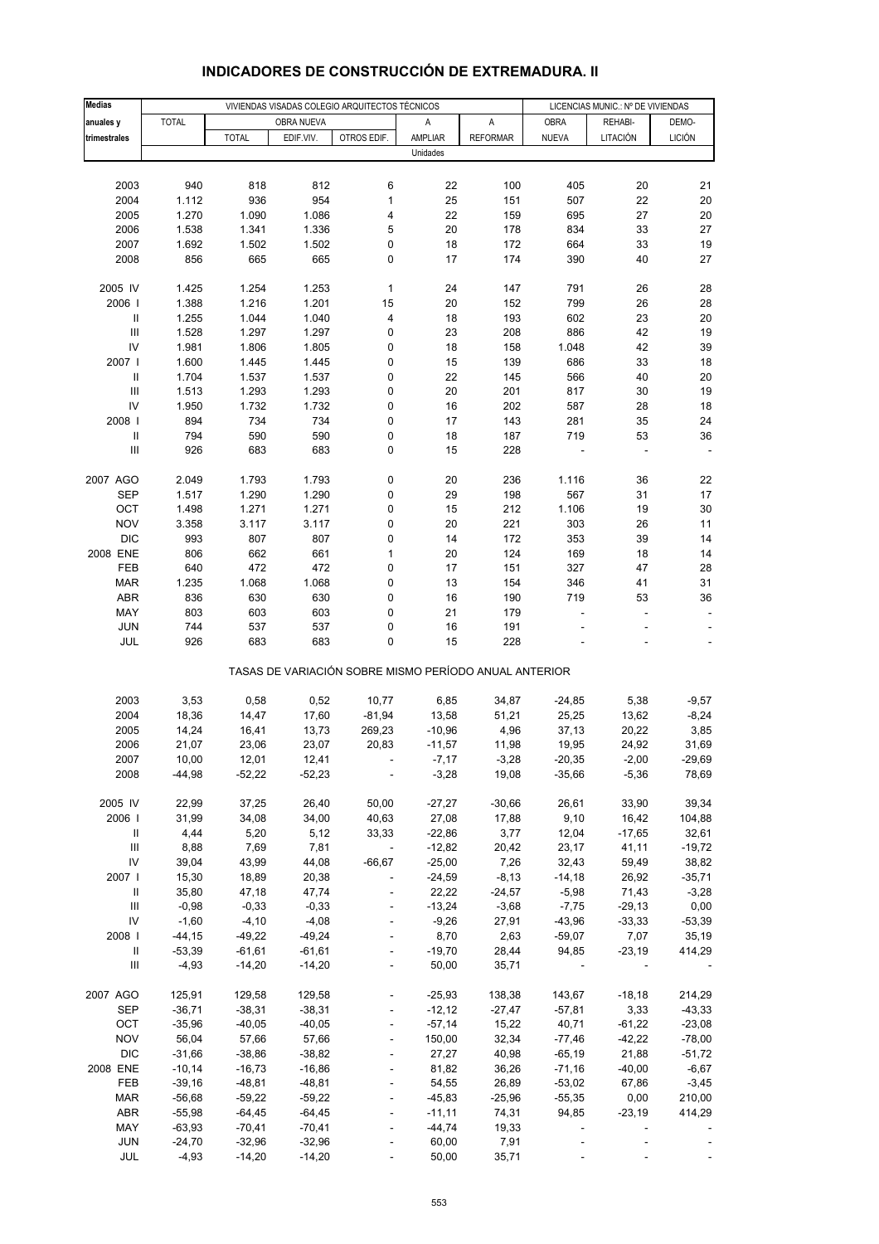| <b>Medias</b>                            |                      |                      |                      | VIVIENDAS VISADAS COLEGIO ARQUITECTOS TÉCNICOS        |                      |                   | LICENCIAS MUNIC.: Nº DE VIVIENDAS |                  |                   |  |
|------------------------------------------|----------------------|----------------------|----------------------|-------------------------------------------------------|----------------------|-------------------|-----------------------------------|------------------|-------------------|--|
| anuales y                                | <b>TOTAL</b>         |                      | OBRA NUEVA           |                                                       | Α                    | A                 | <b>OBRA</b>                       | REHABI-          | DEMO-             |  |
| trimestrales                             |                      | <b>TOTAL</b>         | EDIF.VIV.            | OTROS EDIF.                                           | AMPLIAR              | <b>REFORMAR</b>   | <b>NUEVA</b>                      | LITACIÓN         | <b>LICIÓN</b>     |  |
|                                          |                      |                      |                      |                                                       | Unidades             |                   |                                   |                  |                   |  |
|                                          |                      |                      |                      |                                                       |                      |                   |                                   |                  |                   |  |
| 2003                                     | 940                  | 818                  | 812                  | 6                                                     | 22                   | 100               | 405                               | 20               | 21                |  |
| 2004                                     | 1.112                | 936                  | 954                  | $\mathbf{1}$                                          | 25                   | 151               | 507                               | 22               | 20                |  |
| 2005                                     | 1.270                | 1.090                | 1.086                | 4                                                     | 22                   | 159               | 695                               | 27               | 20                |  |
| 2006                                     | 1.538                | 1.341                | 1.336                | 5                                                     | 20                   | 178               | 834                               | 33               | 27                |  |
| 2007                                     | 1.692                | 1.502                | 1.502                | 0                                                     | 18                   | 172               | 664                               | 33               | 19                |  |
| 2008                                     | 856                  | 665                  | 665                  | 0                                                     | 17                   | 174               | 390                               | 40               | 27                |  |
|                                          |                      |                      |                      |                                                       |                      |                   |                                   |                  |                   |  |
| 2005 IV                                  | 1.425                | 1.254                | 1.253                | 1                                                     | 24                   | 147               | 791                               | 26               | 28                |  |
| 2006  <br>$\mathbf{I}$                   | 1.388<br>1.255       | 1.216<br>1.044       | 1.201<br>1.040       | 15<br>4                                               | 20<br>18             | 152<br>193        | 799<br>602                        | 26<br>23         | 28<br>20          |  |
| $\ensuremath{\mathsf{III}}\xspace$       | 1.528                | 1.297                | 1.297                | 0                                                     | 23                   | 208               | 886                               | 42               | 19                |  |
| IV                                       | 1.981                | 1.806                | 1.805                | 0                                                     | 18                   | 158               | 1.048                             | 42               | 39                |  |
| 2007 l                                   | 1.600                | 1.445                | 1.445                | 0                                                     | 15                   | 139               | 686                               | 33               | 18                |  |
| $\mathbf{I}$                             | 1.704                | 1.537                | 1.537                | 0                                                     | 22                   | 145               | 566                               | 40               | 20                |  |
| $\ensuremath{\mathsf{III}}\xspace$       | 1.513                | 1.293                | 1.293                | 0                                                     | 20                   | 201               | 817                               | 30               | 19                |  |
| IV                                       | 1.950                | 1.732                | 1.732                | 0                                                     | 16                   | 202               | 587                               | 28               | 18                |  |
| 2008                                     | 894                  | 734                  | 734                  | 0                                                     | 17                   | 143               | 281                               | 35               | 24                |  |
| $\sf II$                                 | 794                  | 590                  | 590                  | 0                                                     | 18                   | 187               | 719                               | 53               | 36                |  |
| Ш                                        | 926                  | 683                  | 683                  | 0                                                     | 15                   | 228               |                                   |                  |                   |  |
|                                          |                      |                      |                      |                                                       |                      |                   |                                   |                  |                   |  |
| 2007 AGO                                 | 2.049                | 1.793                | 1.793                | 0                                                     | 20                   | 236               | 1.116                             | 36               | 22                |  |
| <b>SEP</b>                               | 1.517                | 1.290                | 1.290                | 0                                                     | 29                   | 198               | 567                               | 31               | 17                |  |
| OCT                                      | 1.498                | 1.271                | 1.271                | 0                                                     | 15                   | 212               | 1.106                             | 19               | 30                |  |
| <b>NOV</b><br><b>DIC</b>                 | 3.358                | 3.117                | 3.117                | 0                                                     | 20<br>14             | 221               | 303                               | 26               | 11                |  |
| 2008 ENE                                 | 993<br>806           | 807<br>662           | 807<br>661           | 0<br>$\mathbf 1$                                      | 20                   | 172<br>124        | 353<br>169                        | 39<br>18         | 14<br>14          |  |
| FEB                                      | 640                  | 472                  | 472                  | 0                                                     | 17                   | 151               | 327                               | 47               | 28                |  |
| <b>MAR</b>                               | 1.235                | 1.068                | 1.068                | 0                                                     | 13                   | 154               | 346                               | 41               | 31                |  |
| ABR                                      | 836                  | 630                  | 630                  | 0                                                     | 16                   | 190               | 719                               | 53               | 36                |  |
| MAY                                      | 803                  | 603                  | 603                  | 0                                                     | 21                   | 179               | Ĭ.                                | ÷,               |                   |  |
| <b>JUN</b>                               | 744                  | 537                  | 537                  | 0                                                     | 16                   | 191               |                                   |                  |                   |  |
| JUL                                      | 926                  | 683                  | 683                  | 0                                                     | 15                   | 228               |                                   |                  |                   |  |
|                                          |                      |                      |                      | TASAS DE VARIACIÓN SOBRE MISMO PERÍODO ANUAL ANTERIOR |                      |                   |                                   |                  |                   |  |
| 2003                                     | 3,53                 | 0,58                 | 0,52                 | 10,77                                                 | 6,85                 | 34,87             | $-24,85$                          | 5,38             | $-9,57$           |  |
| 2004                                     | 18,36                | 14,47                | 17,60                | $-81,94$                                              | 13,58                | 51,21             | 25,25                             | 13,62            | $-8,24$           |  |
| 2005                                     | 14,24                | 16,41                | 13,73                | 269,23                                                | $-10,96$             | 4,96              | 37,13                             | 20,22            | 3,85              |  |
| 2006                                     | 21,07                | 23,06                | 23,07                | 20,83                                                 | $-11,57$             | 11,98             | 19,95                             | 24,92            | 31,69             |  |
| 2007                                     | 10,00                | 12,01                | 12,41                |                                                       | $-7,17$              | $-3,28$           | $-20,35$                          | $-2,00$          | -29,69            |  |
| 2008                                     | $-44,98$             | $-52,22$             | $-52,23$             |                                                       | $-3,28$              | 19,08             | $-35,66$                          | $-5,36$          | 78,69             |  |
|                                          |                      |                      |                      |                                                       |                      |                   |                                   |                  |                   |  |
| 2005 IV                                  | 22,99                | 37,25                | 26,40                | 50,00                                                 | $-27,27$             | $-30,66$          | 26,61                             | 33,90            | 39,34             |  |
| 2006                                     | 31,99                | 34,08                | 34,00                | 40,63                                                 | 27,08                | 17,88             | 9,10                              | 16,42            | 104,88            |  |
| Ш                                        | 4,44                 | 5,20                 | 5,12                 | 33,33                                                 | $-22,86$             | 3,77              | 12,04                             | $-17,65$         | 32,61             |  |
| $\ensuremath{\mathsf{III}}\xspace$<br>IV | 8,88                 | 7,69                 | 7,81                 | $\blacksquare$                                        | $-12,82$             | 20,42             | 23,17                             | 41,11            | $-19,72$          |  |
| 2007 l                                   | 39,04<br>15,30       | 43,99<br>18,89       | 44,08<br>20,38       | $-66,67$                                              | $-25,00$<br>$-24,59$ | 7,26<br>$-8,13$   | 32,43<br>$-14,18$                 | 59,49<br>26,92   | 38,82<br>$-35,71$ |  |
| Ш                                        | 35,80                | 47,18                | 47,74                |                                                       | 22,22                | $-24,57$          | $-5,98$                           | 71,43            | $-3,28$           |  |
| $\ensuremath{\mathsf{III}}\xspace$       | $-0,98$              | $-0,33$              | $-0,33$              |                                                       | $-13,24$             | $-3,68$           | $-7,75$                           | $-29,13$         | 0,00              |  |
| IV                                       | $-1,60$              | $-4,10$              | $-4,08$              |                                                       | $-9,26$              | 27,91             | $-43,96$                          | $-33,33$         | $-53,39$          |  |
| 2008                                     | $-44, 15$            | $-49,22$             | $-49,24$             |                                                       | 8,70                 | 2,63              | $-59,07$                          | 7,07             | 35,19             |  |
| Ш                                        | $-53,39$             | $-61,61$             | $-61,61$             |                                                       | $-19,70$             | 28,44             | 94,85                             | $-23,19$         | 414,29            |  |
| Ш                                        | $-4,93$              | $-14,20$             | $-14,20$             | $\blacksquare$                                        | 50,00                | 35,71             |                                   |                  |                   |  |
|                                          |                      |                      |                      |                                                       |                      |                   |                                   |                  |                   |  |
| 2007 AGO                                 | 125,91               | 129,58               | 129,58               |                                                       | $-25,93$             | 138,38            | 143,67                            | $-18,18$         | 214,29            |  |
| <b>SEP</b>                               | $-36,71$             | $-38,31$             | $-38,31$             |                                                       | $-12,12$             | $-27,47$          | $-57,81$                          | 3,33             | $-43,33$          |  |
| OCT                                      | $-35,96$             | $-40,05$             | $-40,05$             |                                                       | $-57,14$             | 15,22             | 40,71                             | $-61,22$         | $-23,08$          |  |
| <b>NOV</b>                               | 56,04                | 57,66                | 57,66                |                                                       | 150,00               | 32,34             | $-77,46$                          | $-42,22$         | $-78,00$          |  |
| <b>DIC</b>                               | $-31,66$             | $-38,86$             | $-38,82$             |                                                       | 27,27                | 40,98             | $-65,19$                          | 21,88            | $-51,72$          |  |
| 2008 ENE                                 | $-10,14$             | $-16,73$             | $-16,86$             |                                                       | 81,82                | 36,26             | $-71,16$                          | $-40,00$         | $-6,67$           |  |
| FEB                                      | $-39,16$             | $-48,81$             | $-48,81$             | $\overline{a}$                                        | 54,55                | 26,89             | $-53,02$                          | 67,86            | $-3,45$           |  |
| <b>MAR</b><br>ABR                        | $-56,68$<br>$-55,98$ | $-59,22$<br>$-64,45$ | $-59,22$<br>$-64,45$ |                                                       | $-45,83$<br>$-11,11$ | $-25,96$<br>74,31 | $-55,35$<br>94,85                 | 0,00<br>$-23,19$ | 210,00<br>414,29  |  |
| MAY                                      | $-63,93$             | $-70,41$             | $-70,41$             |                                                       | $-44,74$             | 19,33             | ÷,                                |                  |                   |  |
| <b>JUN</b>                               | $-24,70$             | $-32,96$             | $-32,96$             |                                                       | 60,00                | 7,91              |                                   |                  |                   |  |
| JUL                                      | $-4,93$              | $-14,20$             | $-14,20$             |                                                       | 50,00                | 35,71             |                                   |                  |                   |  |
|                                          |                      |                      |                      |                                                       |                      |                   |                                   |                  |                   |  |

# **INDICADORES DE CONSTRUCCIÓN DE EXTREMADURA. II**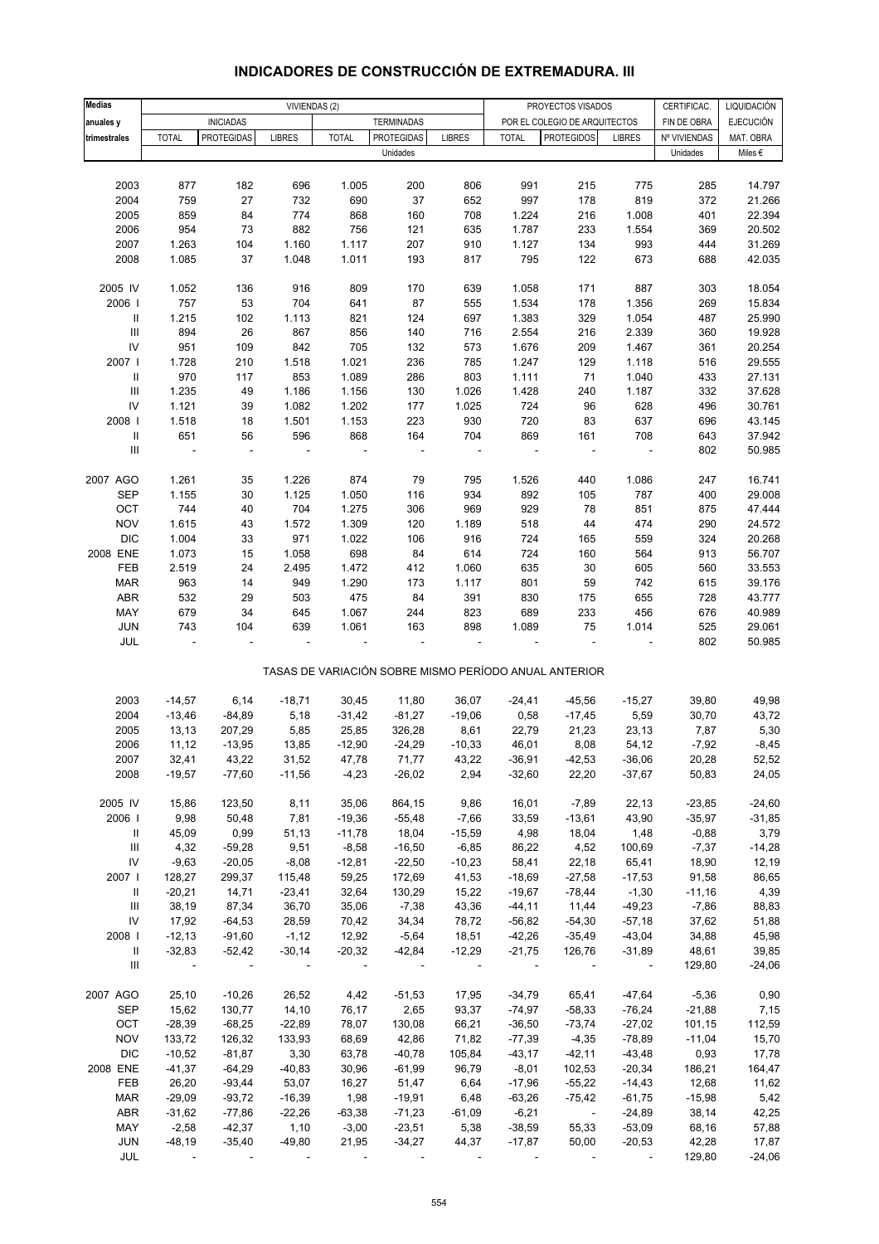| <b>Medias</b>                      |                          |                   | VIVIENDAS (2) |              |                   |               |                | PROYECTOS VISADOS                                     |                          | CERTIFICAC.  | LIQUIDACIÓN      |
|------------------------------------|--------------------------|-------------------|---------------|--------------|-------------------|---------------|----------------|-------------------------------------------------------|--------------------------|--------------|------------------|
|                                    |                          | <b>INICIADAS</b>  |               |              | <b>TERMINADAS</b> |               |                | POR EL COLEGIO DE ARQUITECTOS                         |                          | FIN DE OBRA  | <b>EJECUCIÓN</b> |
| anuales y<br>trimestrales          | <b>TOTAL</b>             | <b>PROTEGIDAS</b> | <b>LIBRES</b> | <b>TOTAL</b> | <b>PROTEGIDAS</b> | <b>LIBRES</b> | <b>TOTAL</b>   | <b>PROTEGIDOS</b>                                     | <b>LIBRES</b>            | Nº VIVIENDAS | MAT. OBRA        |
|                                    |                          |                   |               |              | Unidades          |               |                |                                                       |                          | Unidades     | Miles $\epsilon$ |
|                                    |                          |                   |               |              |                   |               |                |                                                       |                          |              |                  |
| 2003                               | 877                      | 182               | 696           | 1.005        | 200               | 806           | 991            | 215                                                   |                          |              |                  |
| 2004                               | 759                      | 27                | 732           | 690          | 37                | 652           | 997            | 178                                                   | 775<br>819               | 285<br>372   | 14.797           |
| 2005                               | 859                      | 84                | 774           | 868          | 160               | 708           | 1.224          | 216                                                   | 1.008                    | 401          | 21.266<br>22.394 |
| 2006                               | 954                      | 73                | 882           | 756          | 121               |               |                | 233                                                   |                          | 369          | 20.502           |
| 2007                               | 1.263                    | 104               | 1.160         | 1.117        | 207               | 635<br>910    | 1.787<br>1.127 | 134                                                   | 1.554<br>993             | 444          | 31.269           |
| 2008                               | 1.085                    | 37                | 1.048         | 1.011        | 193               | 817           | 795            | 122                                                   | 673                      | 688          | 42.035           |
|                                    |                          |                   |               |              |                   |               |                |                                                       |                          |              |                  |
| 2005 IV                            | 1.052                    | 136               | 916           | 809          | 170               | 639           | 1.058          | 171                                                   | 887                      | 303          | 18.054           |
| 2006                               | 757                      | 53                | 704           | 641          | 87                | 555           | 1.534          | 178                                                   | 1.356                    | 269          | 15.834           |
| $\, \parallel$                     | 1.215                    | 102               | 1.113         | 821          | 124               | 697           | 1.383          | 329                                                   | 1.054                    | 487          | 25.990           |
| $\ensuremath{\mathsf{III}}\xspace$ | 894                      | 26                | 867           | 856          | 140               | 716           | 2.554          | 216                                                   | 2.339                    | 360          | 19.928           |
| ${\sf IV}$                         | 951                      | 109               | 842           | 705          | 132               | 573           | 1.676          | 209                                                   | 1.467                    | 361          | 20.254           |
| 2007                               | 1.728                    | 210               | 1.518         | 1.021        | 236               | 785           | 1.247          | 129                                                   | 1.118                    | 516          | 29.555           |
| $\mathbf{II}$                      | 970                      | 117               | 853           | 1.089        | 286               | 803           | 1.111          | 71                                                    | 1.040                    | 433          | 27.131           |
| $\ensuremath{\mathsf{III}}\xspace$ | 1.235                    | 49                | 1.186         | 1.156        | 130               | 1.026         | 1.428          | 240                                                   | 1.187                    | 332          | 37.628           |
| ${\sf IV}$                         | 1.121                    | 39                | 1.082         | 1.202        | 177               | 1.025         | 724            | 96                                                    | 628                      | 496          | 30.761           |
| 2008                               | 1.518                    | 18                | 1.501         | 1.153        | 223               | 930           | 720            | 83                                                    | 637                      | 696          | 43.145           |
| $\ensuremath{\mathsf{II}}$         | 651                      | 56                | 596           | 868          | 164               | 704           | 869            | 161                                                   | 708                      | 643          | 37.942           |
| Ш                                  | $\overline{\phantom{a}}$ | ÷,                | ÷,            |              |                   |               | ÷,             | $\overline{a}$                                        | ÷,                       | 802          | 50.985           |
|                                    |                          |                   |               |              |                   |               |                |                                                       |                          |              |                  |
| 2007 AGO                           | 1.261                    | 35                | 1.226         | 874          | 79                | 795           | 1.526          | 440                                                   | 1.086                    | 247          | 16.741           |
| <b>SEP</b>                         | 1.155                    | 30                | 1.125         | 1.050        | 116               | 934           | 892            | 105                                                   | 787                      | 400          | 29.008           |
| OCT                                | 744                      | 40                | 704           | 1.275        | 306               | 969           | 929            | 78                                                    | 851                      |              | 47.444           |
| <b>NOV</b>                         |                          |                   |               | 1.309        |                   |               |                | 44                                                    | 474                      | 875          |                  |
|                                    | 1.615                    | 43                | 1.572         |              | 120               | 1.189         | 518            |                                                       |                          | 290          | 24.572           |
| <b>DIC</b>                         | 1.004                    | 33                | 971           | 1.022        | 106               | 916           | 724            | 165                                                   | 559                      | 324          | 20.268           |
| 2008 ENE                           | 1.073                    | 15                | 1.058         | 698          | 84                | 614           | 724            | 160                                                   | 564                      | 913          | 56.707           |
| FEB                                | 2.519                    | 24                | 2.495         | 1.472        | 412               | 1.060         | 635            | 30                                                    | 605                      | 560          | 33.553           |
| <b>MAR</b>                         | 963                      | 14                | 949           | 1.290        | 173               | 1.117         | 801            | 59                                                    | 742                      | 615          | 39.176           |
| ABR                                | 532                      | 29                | 503           | 475          | 84                | 391           | 830            | 175                                                   | 655                      | 728          | 43.777           |
| MAY                                | 679                      | 34                | 645           | 1.067        | 244               | 823           | 689            | 233                                                   | 456                      | 676          | 40.989           |
| JUN                                | 743                      | 104               | 639           | 1.061        | 163               | 898           | 1.089          | 75                                                    | 1.014                    | 525          | 29.061           |
| JUL                                | $\overline{\phantom{a}}$ |                   |               |              |                   |               |                | $\overline{a}$                                        |                          | 802          | 50.985           |
|                                    |                          |                   |               |              |                   |               |                | TASAS DE VARIACIÓN SOBRE MISMO PERÍODO ANUAL ANTERIOR |                          |              |                  |
|                                    |                          |                   |               |              |                   |               |                |                                                       |                          |              |                  |
| 2003                               | $-14,57$                 | 6,14              | $-18,71$      | 30,45        | 11,80             | 36,07         | $-24,41$       | $-45,56$                                              | $-15,27$                 | 39,80        | 49,98            |
| 2004                               | $-13,46$                 | $-84,89$          | 5,18          | $-31,42$     | $-81,27$          | $-19,06$      | 0,58           | $-17,45$                                              | 5,59                     | 30,70        | 43,72            |
| 2005                               | 13,13                    | 207,29            | 5,85          | 25,85        | 326,28            | 8,61          | 22,79          | 21,23                                                 | 23,13                    | 7,87         | 5,30             |
| 2006                               | 11,12                    | $-13,95$          | 13,85         | $-12,90$     | $-24,29$          | $-10,33$      | 46,01          | 8,08                                                  | 54,12                    | $-7,92$      | $-8,45$          |
| 2007                               | 32,41                    | 43,22             | 31,52         | 47,78        | 71,77             | 43,22         | $-36,91$       | $-42,53$                                              | $-36,06$                 | 20,28        | 52,52            |
| 2008                               | $-19,57$                 | $-77,60$          | $-11,56$      | $-4,23$      | $-26,02$          | 2,94          | $-32,60$       | 22,20                                                 | $-37,67$                 | 50,83        | 24,05            |
| 2005 IV                            | 15,86                    | 123,50            | 8,11          | 35,06        | 864,15            | 9,86          | 16,01          | $-7,89$                                               | 22,13                    | $-23,85$     | $-24,60$         |
| 2006                               | 9,98                     | 50,48             | 7,81          | $-19,36$     | $-55,48$          | $-7,66$       | 33,59          | $-13,61$                                              | 43,90                    | $-35,97$     | $-31,85$         |
|                                    |                          |                   |               |              |                   |               |                |                                                       |                          |              |                  |
| Ш                                  | 45,09                    | 0,99              | 51,13         | $-11,78$     | 18,04             | $-15,59$      | 4,98           | 18,04                                                 | 1,48                     | $-0,88$      | 3,79             |
| Ш<br>${\sf IV}$                    | 4,32                     | $-59,28$          | 9,51          | $-8,58$      | $-16,50$          | $-6,85$       | 86,22          | 4,52                                                  | 100,69                   | $-7,37$      | $-14,28$         |
|                                    | $-9,63$                  | $-20,05$          | $-8,08$       | $-12,81$     | $-22,50$          | $-10,23$      | 58,41          | 22,18                                                 | 65,41                    | 18,90        | 12,19            |
| 2007                               | 128,27                   | 299,37            | 115,48        | 59,25        | 172,69            | 41,53         | $-18,69$       | $-27,58$                                              | $-17,53$                 | 91,58        | 86,65            |
| Ш                                  | $-20,21$                 | 14,71             | $-23,41$      | 32,64        | 130,29            | 15,22         | $-19,67$       | $-78,44$                                              | $-1,30$                  | $-11,16$     | 4,39             |
| Ш                                  | 38,19                    | 87,34             | 36,70         | 35,06        | $-7,38$           | 43,36         | $-44, 11$      | 11,44                                                 | $-49,23$                 | $-7,86$      | 88,83            |
| ${\sf IV}$                         | 17,92                    | $-64,53$          | 28,59         | 70,42        | 34,34             | 78,72         | $-56,82$       | $-54,30$                                              | $-57,18$                 | 37,62        | 51,88            |
| 2008                               | $-12,13$                 | $-91,60$          | $-1,12$       | 12,92        | $-5,64$           | 18,51         | $-42,26$       | $-35,49$                                              | $-43,04$                 | 34,88        | 45,98            |
| Ш                                  | $-32,83$                 | $-52,42$          | $-30,14$      | $-20,32$     | $-42,84$          | $-12,29$      | $-21,75$       | 126,76                                                | $-31,89$                 | 48,61        | 39,85            |
| Ш                                  |                          |                   |               |              |                   |               |                |                                                       | $\overline{\phantom{a}}$ | 129,80       | $-24,06$         |
| 2007 AGO                           | 25,10                    | $-10,26$          | 26,52         | 4,42         | $-51,53$          | 17,95         | $-34,79$       | 65,41                                                 | $-47,64$                 | $-5,36$      | 0,90             |
| <b>SEP</b>                         | 15,62                    | 130,77            | 14,10         | 76,17        | 2,65              | 93,37         | $-74,97$       | $-58,33$                                              | $-76,24$                 | $-21,88$     | 7,15             |
| OCT                                | $-28,39$                 | $-68,25$          | $-22,89$      | 78,07        | 130,08            | 66,21         | $-36,50$       | $-73,74$                                              | $-27,02$                 | 101,15       | 112,59           |
| <b>NOV</b>                         | 133,72                   | 126,32            | 133,93        | 68,69        | 42,86             | 71,82         | $-77,39$       | $-4,35$                                               | -78,89                   | $-11,04$     | 15,70            |
| <b>DIC</b>                         | $-10,52$                 | $-81,87$          | 3,30          | 63,78        | $-40,78$          | 105,84        | $-43,17$       | $-42,11$                                              | $-43,48$                 | 0,93         | 17,78            |
| 2008 ENE                           | $-41,37$                 | $-64,29$          | $-40,83$      | 30,96        | $-61,99$          | 96,79         | $-8,01$        | 102,53                                                | $-20,34$                 | 186,21       | 164,47           |
| FEB                                | 26,20                    | -93,44            | 53,07         | 16,27        | 51,47             | 6,64          | $-17,96$       | $-55,22$                                              | $-14,43$                 | 12,68        | 11,62            |
| <b>MAR</b>                         | $-29,09$                 | $-93,72$          | $-16,39$      | 1,98         | $-19,91$          | 6,48          | $-63,26$       | $-75,42$                                              | $-61,75$                 | $-15,98$     | 5,42             |
| ABR                                | $-31,62$                 | $-77,86$          | $-22,26$      | $-63,38$     | $-71,23$          | $-61,09$      | $-6,21$        | $\sim$                                                | $-24,89$                 | 38,14        | 42,25            |
| MAY                                | $-2,58$                  | $-42,37$          | 1,10          | $-3,00$      | $-23,51$          | 5,38          | $-38,59$       | 55,33                                                 | $-53,09$                 | 68,16        | 57,88            |
| JUN                                | $-48,19$                 | $-35,40$          | $-49,80$      | 21,95        | $-34,27$          | 44,37         | $-17,87$       | 50,00                                                 | $-20,53$                 | 42,28        | 17,87            |
| JUL                                |                          |                   |               |              |                   |               |                |                                                       |                          | 129,80       | $-24,06$         |

## **INDICADORES DE CONSTRUCCIÓN DE EXTREMADURA. III**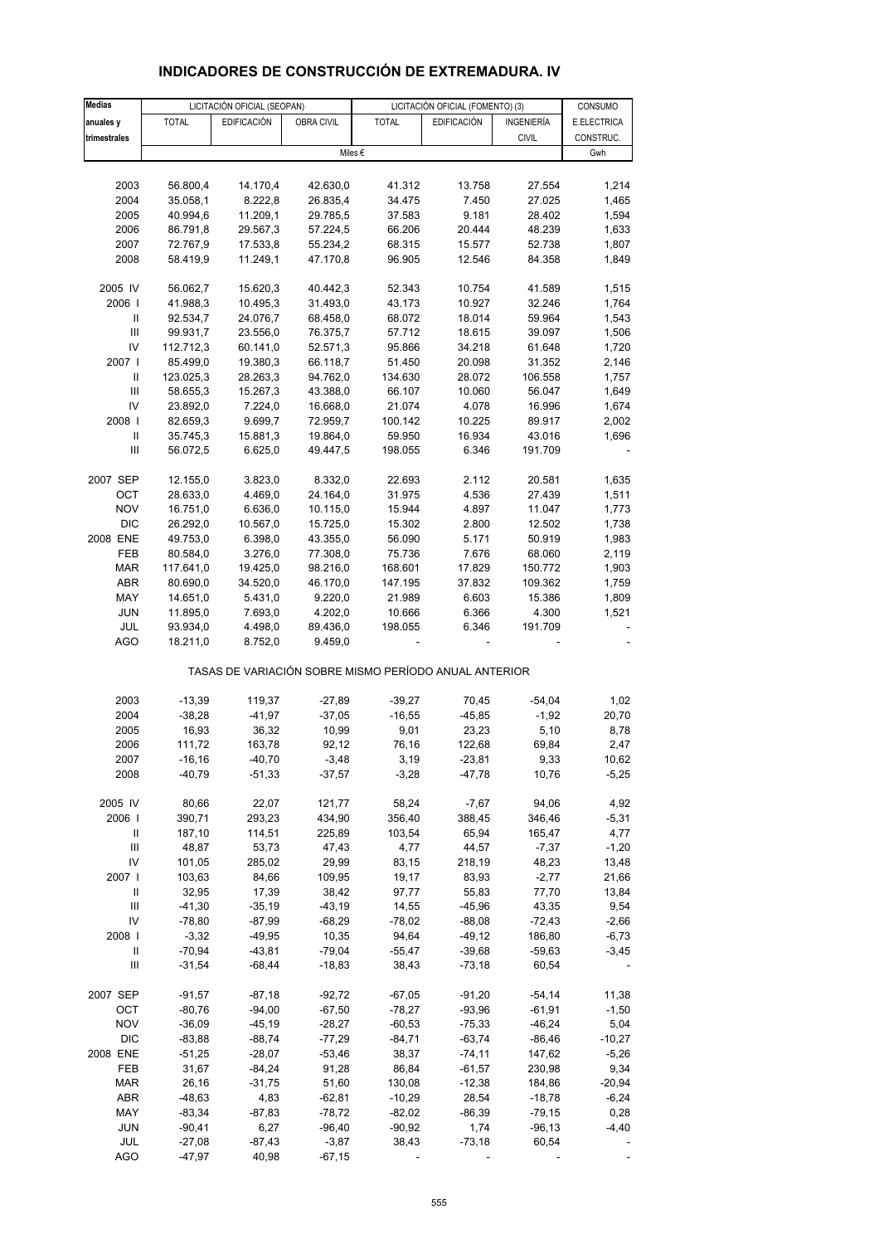| <b>Medias</b>                           |                      | LICITACIÓN OFICIAL (SEOPAN) |                      |                                                       | LICITACIÓN OFICIAL (FOMENTO) (3) |                  | CONSUMO          |
|-----------------------------------------|----------------------|-----------------------------|----------------------|-------------------------------------------------------|----------------------------------|------------------|------------------|
| anuales y                               | <b>TOTAL</b>         | <b>EDIFICACIÓN</b>          | <b>OBRA CIVIL</b>    | <b>TOTAL</b>                                          | <b>EDIFICACIÓN</b>               | INGENIERÍA       | E.ELECTRICA      |
| trimestrales                            |                      |                             |                      |                                                       |                                  | <b>CIVIL</b>     | CONSTRUC.        |
|                                         |                      |                             |                      | Miles $\epsilon$                                      |                                  |                  | Gwh              |
|                                         |                      |                             |                      |                                                       |                                  |                  |                  |
| 2003                                    | 56.800,4             | 14.170,4                    | 42.630,0             | 41.312                                                | 13.758                           | 27.554           | 1,214            |
| 2004                                    | 35.058,1             | 8.222,8                     | 26.835,4             | 34.475                                                | 7.450                            | 27.025           | 1,465            |
| 2005                                    | 40.994,6             | 11.209,1                    | 29.785,5             | 37.583                                                | 9.181                            | 28.402           | 1,594            |
| 2006                                    | 86.791,8             | 29.567,3                    | 57.224,5             | 66.206                                                | 20.444                           | 48.239           | 1,633            |
| 2007                                    | 72.767,9             | 17.533,8                    | 55.234,2             | 68.315                                                | 15.577                           | 52.738           | 1,807            |
| 2008                                    | 58.419,9             | 11.249,1                    | 47.170,8             | 96.905                                                | 12.546                           | 84.358           | 1,849            |
| 2005 IV                                 | 56.062,7             | 15.620,3                    | 40.442,3             | 52.343                                                | 10.754                           | 41.589           | 1,515            |
| 2006                                    | 41.988,3             | 10.495,3                    | 31.493,0             | 43.173                                                | 10.927                           | 32.246           | 1,764            |
| Ш                                       | 92.534,7             | 24.076,7                    | 68.458,0             | 68.072                                                | 18.014                           | 59.964           | 1,543            |
| $\ensuremath{\mathsf{III}}\xspace$      | 99.931,7             | 23.556,0                    | 76.375,7             | 57.712                                                | 18.615                           | 39.097           | 1,506            |
| IV                                      | 112.712,3            | 60.141,0                    | 52.571,3             | 95.866                                                | 34.218                           | 61.648           | 1,720            |
| 2007 l                                  | 85.499,0             | 19.380,3                    | 66.118,7             | 51.450                                                | 20.098                           | 31.352           | 2,146            |
| Ш                                       | 123.025,3            | 28.263,3                    | 94.762,0             | 134.630                                               | 28.072                           | 106.558          | 1,757            |
| $\ensuremath{\mathsf{III}}\xspace$      | 58.655,3             | 15.267,3                    | 43.388,0             | 66.107                                                | 10.060                           | 56.047           | 1,649            |
| IV                                      | 23.892,0             | 7.224,0                     | 16.668,0             | 21.074                                                | 4.078                            | 16.996           | 1,674            |
| 2008  <br>$\ensuremath{\mathsf{II}}$    | 82.659,3<br>35.745,3 | 9.699,7<br>15.881,3         | 72.959,7<br>19.864,0 | 100.142<br>59.950                                     | 10.225<br>16.934                 | 89.917<br>43.016 | 2,002<br>1,696   |
| $\ensuremath{\mathsf{III}}\xspace$      | 56.072,5             | 6.625,0                     | 49.447,5             | 198.055                                               | 6.346                            | 191.709          |                  |
|                                         |                      |                             |                      |                                                       |                                  |                  |                  |
| 2007 SEP                                | 12.155,0             | 3.823,0                     | 8.332,0              | 22.693                                                | 2.112                            | 20.581           | 1,635            |
| OCT                                     | 28.633,0             | 4.469,0                     | 24.164,0             | 31.975                                                | 4.536                            | 27.439           | 1,511            |
| <b>NOV</b>                              | 16.751,0             | 6.636,0                     | 10.115,0             | 15.944                                                | 4.897                            | 11.047           | 1,773            |
| <b>DIC</b>                              | 26.292,0             | 10.567,0                    | 15.725,0             | 15.302                                                | 2.800                            | 12.502           | 1,738            |
| 2008 ENE                                | 49.753,0             | 6.398,0                     | 43.355,0             | 56.090                                                | 5.171                            | 50.919           | 1,983            |
| FEB                                     | 80.584,0             | 3.276,0                     | 77.308,0             | 75.736                                                | 7.676                            | 68.060           | 2,119            |
| MAR                                     | 117.641,0            | 19.425,0                    | 98.216,0             | 168.601                                               | 17.829                           | 150.772          | 1,903            |
| <b>ABR</b>                              | 80.690,0             | 34.520,0                    | 46.170,0             | 147.195                                               | 37.832                           | 109.362          | 1,759            |
| MAY<br><b>JUN</b>                       | 14.651,0<br>11.895,0 | 5.431,0<br>7.693,0          | 9.220,0<br>4.202,0   | 21.989<br>10.666                                      | 6.603<br>6.366                   | 15.386<br>4.300  | 1,809<br>1,521   |
| JUL                                     | 93.934,0             | 4.498,0                     | 89.436,0             | 198.055                                               | 6.346                            | 191.709          |                  |
| AGO                                     | 18.211,0             | 8.752,0                     | 9.459,0              |                                                       |                                  |                  |                  |
|                                         |                      |                             |                      |                                                       |                                  |                  |                  |
|                                         |                      |                             |                      | TASAS DE VARIACIÓN SOBRE MISMO PERÍODO ANUAL ANTERIOR |                                  |                  |                  |
|                                         |                      |                             |                      |                                                       |                                  |                  |                  |
| 2003                                    | $-13,39$             | 119,37                      | $-27,89$             | $-39,27$                                              | 70,45                            | $-54,04$         | 1,02             |
| 2004                                    | $-38,28$             | $-41,97$                    | $-37,05$             | $-16,55$                                              | $-45,85$                         | $-1,92$          | 20,70            |
| 2005                                    | 16,93                | 36,32                       | 10,99                | 9,01                                                  | 23,23<br>122,68                  | 5,10<br>69,84    | 8,78             |
| 2006<br>2007                            | 111,72               | 163,78                      | 92,12                | 76,16                                                 |                                  |                  | 2,47             |
| 2008                                    | -16,16<br>$-40,79$   | -40,70<br>$-51,33$          | -3,48<br>$-37,57$    | 3,19<br>$-3,28$                                       | -23,81<br>$-47,78$               | 9,33<br>10,76    | 10,62<br>$-5,25$ |
|                                         |                      |                             |                      |                                                       |                                  |                  |                  |
| 2005 IV                                 | 80,66                | 22,07                       | 121,77               | 58,24                                                 | $-7,67$                          | 94,06            | 4,92             |
| 2006                                    | 390,71               | 293,23                      | 434,90               | 356,40                                                | 388,45                           | 346,46           | $-5,31$          |
| Ш                                       | 187,10               | 114,51                      | 225,89               | 103,54                                                | 65,94                            | 165,47           | 4,77             |
| $\ensuremath{\mathsf{III}}\xspace$      | 48,87                | 53,73                       | 47,43                | 4,77                                                  | 44,57                            | $-7,37$          | $-1,20$          |
| IV                                      | 101,05               | 285,02                      | 29,99                | 83,15                                                 | 218,19                           | 48,23            | 13,48            |
| 2007 l                                  | 103,63               | 84,66                       | 109,95               | 19,17                                                 | 83,93                            | $-2,77$          | 21,66            |
| Ш<br>$\ensuremath{\mathsf{III}}\xspace$ | 32,95<br>$-41,30$    | 17,39<br>$-35,19$           | 38,42<br>$-43,19$    | 97,77<br>14,55                                        | 55,83<br>$-45,96$                | 77,70<br>43,35   | 13,84<br>9,54    |
| IV                                      | $-78,80$             | $-87,99$                    | $-68,29$             | $-78,02$                                              | $-88,08$                         | $-72,43$         | $-2,66$          |
| 2008                                    | $-3,32$              | $-49,95$                    | 10,35                | 94,64                                                 | $-49,12$                         | 186,80           | $-6,73$          |
| Ш                                       | $-70,94$             | $-43,81$                    | $-79,04$             | $-55,47$                                              | $-39,68$                         | $-59,63$         | $-3,45$          |
| Ш                                       | $-31,54$             | $-68,44$                    | $-18,83$             | 38,43                                                 | $-73,18$                         | 60,54            |                  |
|                                         |                      |                             |                      |                                                       |                                  |                  |                  |
| 2007 SEP                                | $-91,57$             | $-87,18$                    | -92,72               | $-67,05$                                              | $-91,20$                         | $-54,14$         | 11,38            |
| OCT                                     | $-80,76$             | $-94,00$                    | $-67,50$             | $-78,27$                                              | $-93,96$                         | $-61,91$         | $-1,50$          |
| <b>NOV</b>                              | $-36,09$             | $-45,19$                    | $-28,27$             | $-60,53$                                              | $-75,33$                         | $-46,24$         | 5,04             |
| <b>DIC</b>                              | $-83,88$             | $-88,74$                    | $-77,29$             | $-84,71$                                              | $-63,74$                         | $-86,46$         | $-10,27$         |
| 2008 ENE<br>FEB                         | $-51,25$<br>31,67    | $-28,07$<br>$-84,24$        | $-53,46$<br>91,28    | 38,37<br>86,84                                        | $-74,11$<br>$-61,57$             | 147,62<br>230,98 | $-5,26$<br>9,34  |
| <b>MAR</b>                              | 26,16                | $-31,75$                    | 51,60                | 130,08                                                | $-12,38$                         | 184,86           | $-20,94$         |
| ABR                                     | $-48,63$             | 4,83                        | $-62,81$             | $-10,29$                                              | 28,54                            | $-18,78$         | $-6,24$          |
| MAY                                     | $-83,34$             | $-87,83$                    | $-78,72$             | $-82,02$                                              | $-86,39$                         | $-79,15$         | 0,28             |
| <b>JUN</b>                              | $-90,41$             | 6,27                        | $-96,40$             | $-90,92$                                              | 1,74                             | $-96, 13$        | $-4,40$          |
| JUL                                     | $-27,08$             | $-87,43$                    | $-3,87$              | 38,43                                                 | $-73,18$                         | 60,54            |                  |

## **INDICADORES DE CONSTRUCCIÓN DE EXTREMADURA. IV**

AGO -47,97 40,98 -67,15 ----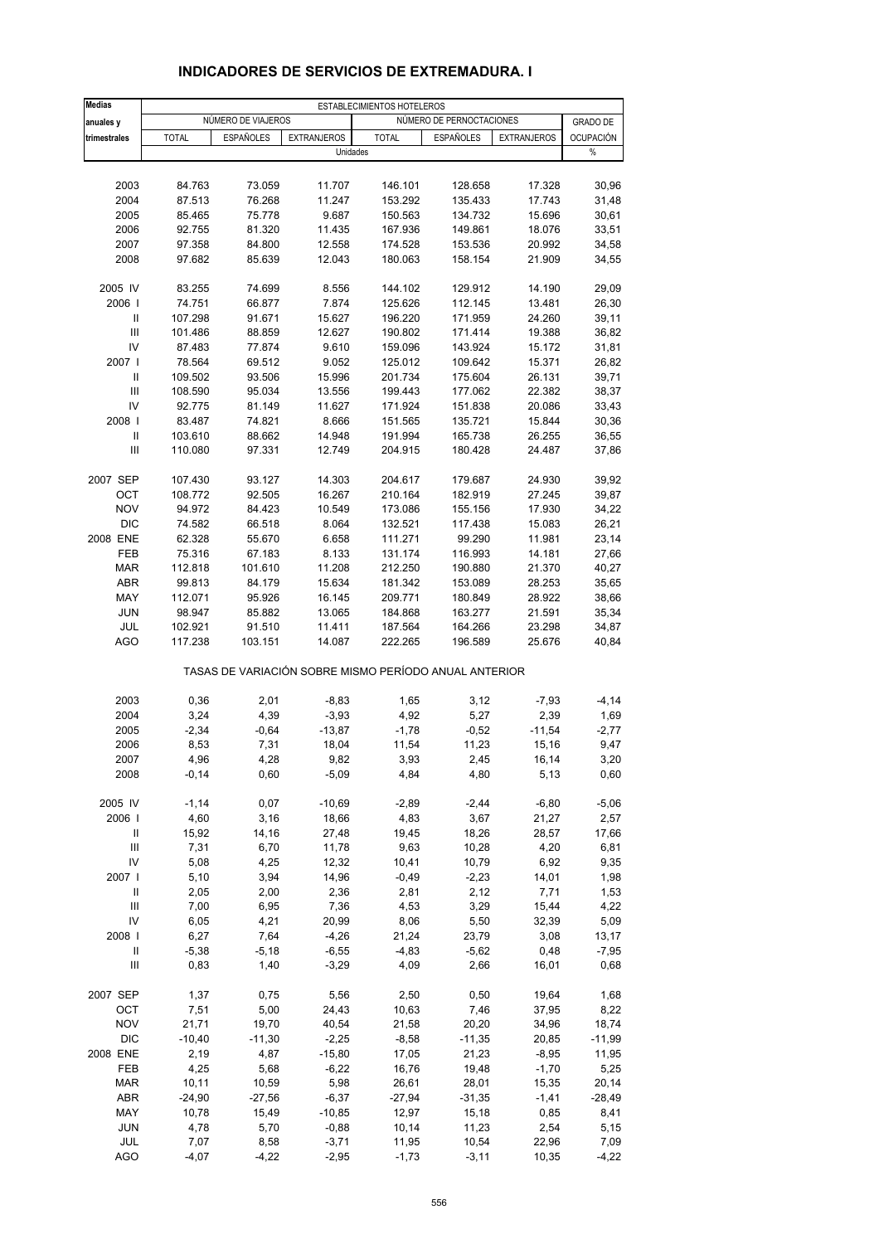| <b>Medias</b>        | ESTABLECIMIENTOS HOTELEROS |                    |                                                       |                    |                          |                    |                  |  |  |
|----------------------|----------------------------|--------------------|-------------------------------------------------------|--------------------|--------------------------|--------------------|------------------|--|--|
| anuales y            |                            | NÚMERO DE VIAJEROS |                                                       |                    | NÚMERO DE PERNOCTACIONES |                    | <b>GRADO DE</b>  |  |  |
| trimestrales         | <b>TOTAL</b>               | <b>ESPAÑOLES</b>   | <b>EXTRANJEROS</b>                                    | <b>TOTAL</b>       | <b>ESPAÑOLES</b>         | <b>EXTRANJEROS</b> | <b>OCUPACIÓN</b> |  |  |
|                      |                            |                    | Unidades                                              |                    |                          |                    | $\%$             |  |  |
|                      |                            |                    |                                                       |                    |                          |                    |                  |  |  |
| 2003                 | 84.763                     | 73.059             | 11.707                                                | 146.101            | 128.658                  | 17.328             | 30,96            |  |  |
| 2004                 | 87.513                     | 76.268             | 11.247                                                | 153.292            | 135.433                  | 17.743             | 31,48            |  |  |
| 2005                 | 85.465                     | 75.778             | 9.687                                                 | 150.563            | 134.732                  | 15.696             | 30,61            |  |  |
| 2006<br>2007         | 92.755                     | 81.320             | 11.435                                                | 167.936            | 149.861                  | 18.076             | 33,51            |  |  |
| 2008                 | 97.358<br>97.682           | 84.800<br>85.639   | 12.558<br>12.043                                      | 174.528<br>180.063 | 153.536<br>158.154       | 20.992<br>21.909   | 34,58<br>34,55   |  |  |
|                      |                            |                    |                                                       |                    |                          |                    |                  |  |  |
| 2005 IV              | 83.255                     | 74.699             | 8.556                                                 | 144.102            | 129.912                  | 14.190             | 29,09            |  |  |
| 2006                 | 74.751                     | 66.877             | 7.874                                                 | 125.626            | 112.145                  | 13.481             | 26,30            |  |  |
| Ш                    | 107.298                    | 91.671             | 15.627                                                | 196.220            | 171.959                  | 24.260             | 39,11            |  |  |
| $\mathbf{III}$<br>IV | 101.486<br>87.483          | 88.859             | 12.627<br>9.610                                       | 190.802<br>159.096 | 171.414                  | 19.388<br>15.172   | 36,82<br>31,81   |  |  |
| 2007 l               | 78.564                     | 77.874<br>69.512   | 9.052                                                 | 125.012            | 143.924<br>109.642       | 15.371             | 26,82            |  |  |
| Ш                    | 109.502                    | 93.506             | 15.996                                                | 201.734            | 175.604                  | 26.131             | 39,71            |  |  |
| $\mathbf{III}$       | 108.590                    | 95.034             | 13.556                                                | 199.443            | 177.062                  | 22.382             | 38,37            |  |  |
| IV                   | 92.775                     | 81.149             | 11.627                                                | 171.924            | 151.838                  | 20.086             | 33,43            |  |  |
| 2008                 | 83.487                     | 74.821             | 8.666                                                 | 151.565            | 135.721                  | 15.844             | 30,36            |  |  |
| Ш                    | 103.610                    | 88.662             | 14.948                                                | 191.994            | 165.738                  | 26.255             | 36,55            |  |  |
| Ш                    | 110.080                    | 97.331             | 12.749                                                | 204.915            | 180.428                  | 24.487             | 37,86            |  |  |
| 2007 SEP             | 107.430                    | 93.127             | 14.303                                                | 204.617            | 179.687                  | 24.930             | 39,92            |  |  |
| OCT                  | 108.772                    | 92.505             | 16.267                                                | 210.164            | 182.919                  | 27.245             | 39,87            |  |  |
| <b>NOV</b>           | 94.972                     | 84.423             | 10.549                                                | 173.086            | 155.156                  | 17.930             | 34,22            |  |  |
| <b>DIC</b>           | 74.582                     | 66.518             | 8.064                                                 | 132.521            | 117.438                  | 15.083             | 26,21            |  |  |
| 2008 ENE             | 62.328                     | 55.670             | 6.658                                                 | 111.271            | 99.290                   | 11.981             | 23,14            |  |  |
| FEB                  | 75.316                     | 67.183             | 8.133                                                 | 131.174            | 116.993                  | 14.181             | 27,66            |  |  |
| <b>MAR</b>           | 112.818                    | 101.610            | 11.208                                                | 212.250            | 190.880                  | 21.370             | 40,27            |  |  |
| <b>ABR</b>           | 99.813                     | 84.179             | 15.634                                                | 181.342            | 153.089                  | 28.253             | 35,65            |  |  |
| MAY                  | 112.071                    | 95.926             | 16.145                                                | 209.771            | 180.849                  | 28.922             | 38,66            |  |  |
| <b>JUN</b>           | 98.947                     | 85.882             | 13.065                                                | 184.868            | 163.277                  | 21.591             | 35,34            |  |  |
| JUL                  | 102.921                    | 91.510             | 11.411                                                | 187.564            | 164.266                  | 23.298             | 34,87            |  |  |
| <b>AGO</b>           | 117.238                    | 103.151            | 14.087                                                | 222.265            | 196.589                  | 25.676             | 40,84            |  |  |
|                      |                            |                    | TASAS DE VARIACIÓN SOBRE MISMO PERÍODO ANUAL ANTERIOR |                    |                          |                    |                  |  |  |
| 2003                 | 0,36                       | 2,01               | $-8,83$                                               | 1,65               | 3,12                     | $-7,93$            | $-4, 14$         |  |  |
| 2004                 | 3,24                       | 4,39               | $-3,93$                                               | 4,92               | 5,27                     | 2,39               | 1,69             |  |  |
| 2005                 | $-2,34$                    | $-0,64$            | $-13,87$                                              | $-1,78$            | $-0,52$                  | $-11,54$           | $-2,77$          |  |  |
| 2006                 | 8,53                       | 7,31               | 18,04                                                 | 11,54              | 11,23                    | 15,16              | 9,47             |  |  |
| 2007                 | 4,96                       | 4,28               | 9,82                                                  | 3,93               | 2,45                     | 16,14              | 3,20             |  |  |
| 2008                 | $-0,14$                    | 0,60               | $-5,09$                                               | 4,84               | 4,80                     | 5,13               | 0,60             |  |  |
| 2005 IV              | $-1,14$                    | 0,07               | $-10,69$                                              | $-2,89$            | $-2,44$                  | $-6,80$            | $-5,06$          |  |  |
| 2006                 | 4,60                       | 3,16               | 18,66                                                 | 4,83               | 3,67                     | 21,27              | 2,57             |  |  |
| Ш                    | 15,92                      | 14,16              | 27,48                                                 | 19,45              | 18,26                    | 28,57              | 17,66            |  |  |
| $\mathbf{III}$       | 7,31                       | 6,70               | 11,78                                                 | 9,63               | 10,28                    | 4,20               | 6,81             |  |  |
| IV                   | 5,08                       | 4,25               | 12,32                                                 | 10,41              | 10,79                    | 6,92               | 9,35             |  |  |
| 2007 l               | 5,10                       | 3,94               | 14,96                                                 | $-0,49$            | $-2,23$                  | 14,01              | 1,98             |  |  |
| Ш                    | 2,05                       | 2,00               | 2,36                                                  | 2,81               | 2,12                     | 7,71               | 1,53             |  |  |
| $\mathbf{III}$       | 7,00                       | 6,95               | 7,36                                                  | 4,53               | 3,29                     | 15,44              | 4,22             |  |  |
| IV<br>2008           | 6,05<br>6,27               | 4,21<br>7,64       | 20,99<br>$-4,26$                                      | 8,06<br>21,24      | 5,50<br>23,79            | 32,39<br>3,08      | 5,09<br>13,17    |  |  |
| Ш                    | $-5,38$                    | $-5,18$            | $-6,55$                                               | $-4,83$            | $-5,62$                  | 0,48               | $-7,95$          |  |  |
| $\mathsf{III}$       | 0,83                       | 1,40               | $-3,29$                                               | 4,09               | 2,66                     | 16,01              | 0,68             |  |  |
|                      |                            |                    |                                                       |                    |                          |                    |                  |  |  |
| 2007 SEP             | 1,37                       | 0,75               | 5,56                                                  | 2,50               | 0,50                     | 19,64              | 1,68             |  |  |
| OCT<br><b>NOV</b>    | 7,51<br>21,71              | 5,00<br>19,70      | 24,43<br>40,54                                        | 10,63<br>21,58     | 7,46                     | 37,95<br>34,96     | 8,22<br>18,74    |  |  |
| <b>DIC</b>           | $-10,40$                   | $-11,30$           | $-2,25$                                               | $-8,58$            | 20,20<br>$-11,35$        | 20,85              | $-11,99$         |  |  |
| 2008 ENE             | 2,19                       | 4,87               | $-15,80$                                              | 17,05              | 21,23                    | $-8,95$            | 11,95            |  |  |
| FEB                  | 4,25                       | 5,68               | $-6,22$                                               | 16,76              | 19,48                    | $-1,70$            | 5,25             |  |  |
| <b>MAR</b>           | 10,11                      | 10,59              | 5,98                                                  | 26,61              | 28,01                    | 15,35              | 20,14            |  |  |
| ABR                  | $-24,90$                   | $-27,56$           | $-6,37$                                               | $-27,94$           | $-31,35$                 | $-1,41$            | $-28,49$         |  |  |
| MAY                  | 10,78                      | 15,49              | $-10,85$                                              | 12,97              | 15,18                    | 0,85               | 8,41             |  |  |
| JUN                  | 4,78                       | 5,70               | $-0,88$                                               | 10,14              | 11,23                    | 2,54               | 5,15             |  |  |
| JUL                  | 7,07                       | 8,58               | $-3,71$                                               | 11,95              | 10,54                    | 22,96              | 7,09             |  |  |
| <b>AGO</b>           | $-4,07$                    | $-4,22$            | $-2,95$                                               | $-1,73$            | $-3,11$                  | 10,35              | $-4,22$          |  |  |

## **INDICADORES DE SERVICIOS DE EXTREMADURA. I**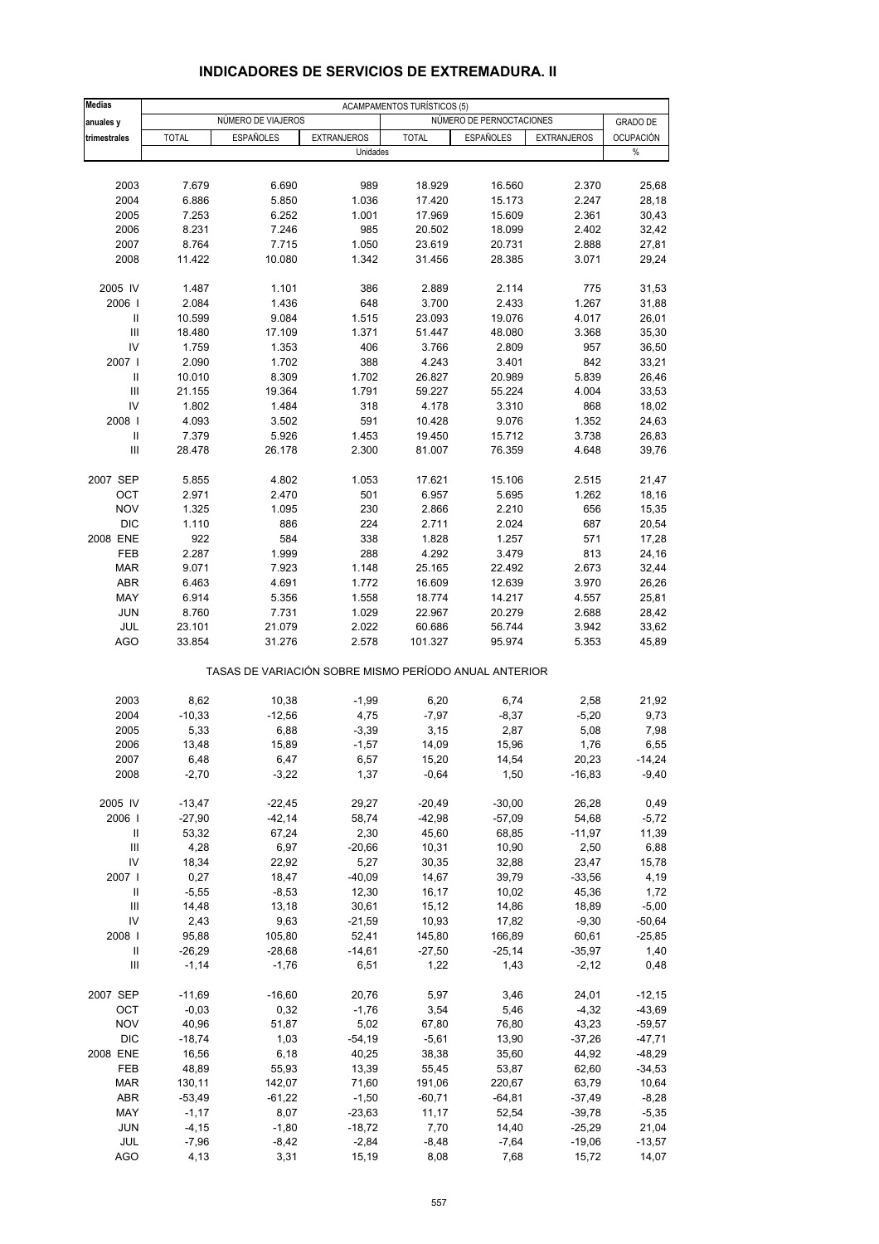#### **Medias** ACAMPAMENTOS TURÍSTICOS (5) **anuales y NÚMERO DE VIAJEROS NÚMERO DE VIAJEROS NÚMERO DE PERNOCTACIONES GRADO DE trimestrales** TOTAL ESPAÑOLES EXTRANJEROS TOTAL ESPAÑOLES EXTRANJEROS OCUPACIÓN Unidades % 2003 7.679 6.690 989 18.929 16.560 2.370 25,68 2004 6.886 5.850 1.036 17.420 15.173 2.247 28,18 2005 7.253 6.252 1.001 17.969 15.609 2.361 30,43 2006 8.231 7.246 985 20.502 18.099 2.402 32,42 2007 8.764 7.715 1.050 23.619 20.731 2.888 27,81 2008 11.422 10.080 1.342 31.456 28.385 3.071 29,24 2005 IV 1.487 1.101 386 2.889 2.114 775 31,53 2006 I 2.084 1.436 648 3.700 2.433 1.267 31,88 II 10.599 9.084 1.515 23.093 19.076 4.017 26,01 III 18.480 17.109 1.371 51.447 48.080 3.368 35,30 IV 1.759 1.353 406 3.766 2.809 957 36,50 2007 I 2.090 1.702 388 4.243 3.401 842 33,21 II 10.010 8.309 1.702 26.827 20.989 5.839 26,46 III 21.155 19.364 1.791 59.227 55.224 4.004 33,53 IV 1.802 1.484 318 4.178 3.310 868 18,02 2008 I 4.093 3.502 591 10.428 9.076 1.352 24,63 II 7.379 5.926 1.453 19.450 15.712 3.738 26,83 III 28.478 26.178 2.300 81.007 76.359 4.648 39,76 2007 SEP 5.855 4.802 1.053 17.621 15.106 2.515 21,47 OCT 2.971 2.470 501 6.957 5.695 1.262 18,16 NOV 1.325 1.095 230 2.866 2.210 656 15,35 DIC 1.110 886 224 2.711 2.024 687 20,54 2008 ENE 922 584 338 1.828 1.257 571 17,28 FEB 2.287 1.999 288 4.292 3.479 813 24,16 MAR 9.071 7.923 1.148 25.165 22.492 2.673 32,44 ABR 6.463 4.691 1.772 16.609 12.639 3.970 26,26 MAY 6.914 5.356 1.558 18.774 14.217 4.557 25,81 JUN 8.760 7.731 1.029 22.967 20.279 2.688 28,42 JUL 23.101 21.079 2.022 60.686 56.744 3.942 33,62 AGO 33.854 31.276 2.578 101.327 95.974 5.353 45,89 TASAS DE VARIACIÓN SOBRE MISMO PERÍODO ANUAL ANTERIOR 2003 8,62 10,38 -1,99 6,20 6,74 2,58 21,92 2004 -10,33 -12,56 4,75 -7,97 -8,37 -5,20 9,73 2005 5,33 6,88 -3,39 3,15 2,87 5,08 7,98 2006 13,48 15,89 -1,57 14,09 15,96 1,76 6,55 2007 6,48 6,47 6,57 15,20 14,54 20,23 -14,24 2008 -2,70 -3,22 1,37 -0,64 1,50 -16,83 -9,40 2005 IV -13,47 -22,45 29,27 -20,49 -30,00 26,28 0,49 2006 I -27,90 -42,14 58,74 -42,98 -57,09 54,68 -5,72 II 53,32 67,24 2,30 45,60 68,85 -11,97 11,39 III 4,28 6,97 -20,66 10,31 10,90 2,50 6,88 IV 18,34 22,92 5,27 30,35 32,88 23,47 15,78 2007 I 0,27 18,47 -40,09 14,67 39,79 -33,56 4,19 II -5,55 -8,53 12,30 16,17 10,02 45,36 1,72 III 14,48 13,18 30,61 15,12 14,86 18,89 -5,00 IV 2,43 9,63 -21,59 10,93 17,82 -9,30 -50,64 2008 I 95,88 105,80 52,41 145,80 166,89 60,61 -25,85 II -26,29 -28,68 -14,61 -27,50 -25,14 -35,97 1,40 III -1,14 -1,76 6,51 1,22 1,43 -2,12 0,48 2007 SEP -11,69 -16,60 20,76 5,97 3,46 24,01 -12,15 OCT -0,03 0,32 -1,76 3,54 5,46 -4,32 -43,69 NOV 40,96 51,87 5,02 67,80 76,80 43,23 -59,57 DIC -18,74 1,03 -54,19 -5,61 13,90 -37,26 -47,71 2008 ENE 16,56 6,18 40,25 38,38 35,60 44,92 -48,29 FEB 48,89 55,93 13,39 55,45 53,87 62,60 -34,53 MAR 130,11 142,07 71,60 191,06 220,67 63,79 10,64 ABR -53,49 -61,22 -1,50 -60,71 -64,81 -37,49 -8,28 MAY -1,17 8,07 -23,63 11,17 52,54 -39,78 -5,35 JUN -4,15 -1,80 -18,72 7,70 14,40 -25,29 21,04 JUL -7,96 -8,42 -2,84 -8,48 -7,64 -19,06 -13,57

#### **INDICADORES DE SERVICIOS DE EXTREMADURA. II**

AGO 4,13 3,31 15,19 8,08 7,68 15,72 14,07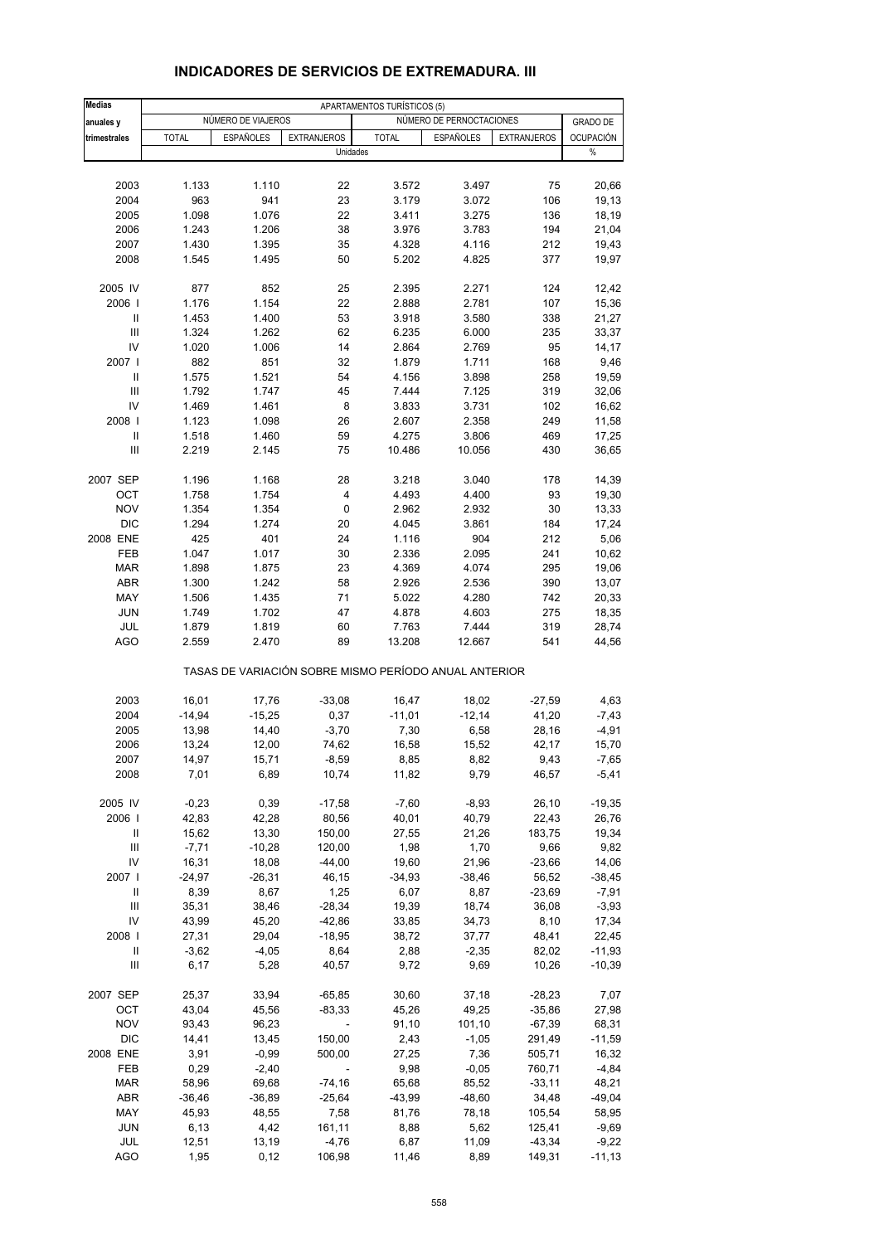| <b>Medias</b>     |                  |                    |                                                       | APARTAMENTOS TURÍSTICOS (5) |                          |                    |                     |
|-------------------|------------------|--------------------|-------------------------------------------------------|-----------------------------|--------------------------|--------------------|---------------------|
| anuales y         |                  | NÚMERO DE VIAJEROS |                                                       |                             | NÚMERO DE PERNOCTACIONES |                    | <b>GRADO DE</b>     |
| trimestrales      | <b>TOTAL</b>     | <b>ESPAÑOLES</b>   | <b>EXTRANJEROS</b>                                    | <b>TOTAL</b>                | <b>ESPAÑOLES</b>         | <b>EXTRANJEROS</b> | OCUPACIÓN           |
|                   |                  |                    | Unidades                                              |                             |                          |                    | $\%$                |
| 2003              | 1.133            | 1.110              | 22                                                    | 3.572                       | 3.497                    | 75                 | 20,66               |
| 2004              | 963              | 941                | 23                                                    | 3.179                       | 3.072                    | 106                | 19,13               |
| 2005              | 1.098            | 1.076              | 22                                                    | 3.411                       | 3.275                    | 136                | 18,19               |
| 2006              | 1.243            | 1.206              | 38                                                    | 3.976                       | 3.783                    | 194                | 21,04               |
| 2007              | 1.430            | 1.395              | 35                                                    | 4.328                       | 4.116                    | 212                | 19,43               |
| 2008              | 1.545            | 1.495              | 50                                                    | 5.202                       | 4.825                    | 377                | 19,97               |
| 2005 IV           | 877              | 852                | 25                                                    | 2.395                       | 2.271                    | 124                | 12,42               |
| 2006              | 1.176            | 1.154              | 22                                                    | 2.888                       | 2.781                    | 107                | 15,36               |
| $\mathbf{I}$      | 1.453            | 1.400              | 53                                                    | 3.918                       | 3.580                    | 338                | 21,27               |
| $\mathbf{III}$    | 1.324            | 1.262              | 62                                                    | 6.235                       | 6.000                    | 235                | 33,37               |
| IV                | 1.020            | 1.006              | 14                                                    | 2.864                       | 2.769                    | 95                 | 14,17               |
| 2007 l<br>Ш       | 882              | 851                | 32<br>54                                              | 1.879                       | 1.711                    | 168                | 9,46                |
| Ш                 | 1.575<br>1.792   | 1.521<br>1.747     | 45                                                    | 4.156<br>7.444              | 3.898<br>7.125           | 258<br>319         | 19,59<br>32,06      |
| IV                | 1.469            | 1.461              | 8                                                     | 3.833                       | 3.731                    | 102                | 16,62               |
| 2008              | 1.123            | 1.098              | 26                                                    | 2.607                       | 2.358                    | 249                | 11,58               |
| Ш                 | 1.518            | 1.460              | 59                                                    | 4.275                       | 3.806                    | 469                | 17,25               |
| III               | 2.219            | 2.145              | 75                                                    | 10.486                      | 10.056                   | 430                | 36,65               |
| 2007 SEP          | 1.196            | 1.168              | 28                                                    | 3.218                       | 3.040                    | 178                | 14,39               |
| OCT               | 1.758            | 1.754              | 4                                                     | 4.493                       | 4.400                    | 93                 | 19,30               |
| <b>NOV</b>        | 1.354            | 1.354              | 0                                                     | 2.962                       | 2.932                    | 30                 | 13,33               |
| <b>DIC</b>        | 1.294            | 1.274              | 20                                                    | 4.045                       | 3.861                    | 184                | 17,24               |
| 2008 ENE          | 425              | 401                | 24                                                    | 1.116                       | 904                      | 212                | 5,06                |
| FEB               | 1.047            | 1.017              | 30                                                    | 2.336                       | 2.095                    | 241                | 10,62               |
| <b>MAR</b>        | 1.898            | 1.875              | 23                                                    | 4.369                       | 4.074                    | 295                | 19,06               |
| <b>ABR</b>        | 1.300            | 1.242              | 58                                                    | 2.926                       | 2.536                    | 390                | 13,07               |
| MAY               | 1.506            | 1.435              | 71                                                    | 5.022                       | 4.280                    | 742                | 20,33               |
| <b>JUN</b>        | 1.749            | 1.702              | 47                                                    | 4.878                       | 4.603                    | 275                | 18,35               |
| JUL<br><b>AGO</b> | 1.879<br>2.559   | 1.819<br>2.470     | 60<br>89                                              | 7.763<br>13.208             | 7.444<br>12.667          | 319<br>541         | 28,74<br>44,56      |
|                   |                  |                    | TASAS DE VARIACIÓN SOBRE MISMO PERÍODO ANUAL ANTERIOR |                             |                          |                    |                     |
| 2003              | 16,01            | 17,76              | $-33,08$                                              | 16,47                       | 18,02                    | $-27,59$           | 4,63                |
| 2004              | $-14,94$         | $-15,25$           | 0,37                                                  | $-11,01$                    | $-12,14$                 | 41,20              | $-7,43$             |
| 2005              | 13,98            | 14,40              | $-3,70$                                               | 7,30                        | 6,58                     | 28,16              | -4,91               |
| 2006              | 13,24            | 12,00              | 74,62                                                 | 16,58                       | 15,52                    | 42,17              | 15,70               |
| 2007              | 14,97            | 15,71              | $-8,59$                                               | 8,85                        | 8,82                     | 9,43               | $-7,65$             |
| 2008              | 7,01             | 6,89               | 10,74                                                 | 11,82                       | 9,79                     | 46,57              | $-5,41$             |
| 2005 IV           | $-0,23$          | 0,39               | $-17,58$                                              | $-7,60$                     | $-8,93$                  | 26,10              | $-19,35$            |
| 2006              | 42,83            | 42,28              | 80,56                                                 | 40,01                       | 40,79                    | 22,43              | 26,76               |
| Ш                 | 15,62            | 13,30              | 150,00                                                | 27,55                       | 21,26                    | 183,75             | 19,34               |
| Ш                 | $-7,71$          | $-10,28$           | 120,00                                                | 1,98                        | 1,70                     | 9,66               | 9,82                |
| IV<br>2007 l      | 16,31            | 18,08              | $-44,00$<br>46,15                                     | 19,60                       | 21,96                    | $-23,66$           | 14,06               |
| Ш                 | $-24,97$<br>8,39 | $-26,31$<br>8,67   | 1,25                                                  | $-34,93$<br>6,07            | $-38,46$<br>8,87         | 56,52<br>$-23,69$  | $-38,45$<br>$-7,91$ |
| $\mathsf{III}$    | 35,31            | 38,46              | $-28,34$                                              | 19,39                       | 18,74                    | 36,08              | $-3,93$             |
| IV                | 43,99            | 45,20              | $-42,86$                                              | 33,85                       | 34,73                    | 8,10               | 17,34               |
| 2008              | 27,31            | 29,04              | $-18,95$                                              | 38,72                       | 37,77                    | 48,41              | 22,45               |
| Ш                 | $-3,62$          | $-4,05$            | 8,64                                                  | 2,88                        | $-2,35$                  | 82,02              | $-11,93$            |
| Ш                 | 6,17             | 5,28               | 40,57                                                 | 9,72                        | 9,69                     | 10,26              | $-10,39$            |
| 2007 SEP          | 25,37            | 33,94              | $-65,85$                                              | 30,60                       | 37,18                    | $-28,23$           | 7,07                |
| OCT               | 43,04            | 45,56              | $-83,33$                                              | 45,26                       | 49,25                    | $-35,86$           | 27,98               |
| <b>NOV</b>        | 93,43            | 96,23              |                                                       | 91,10                       | 101,10                   | $-67,39$           | 68,31               |
| <b>DIC</b>        | 14,41            | 13,45              | 150,00                                                | 2,43                        | $-1,05$                  | 291,49             | $-11,59$            |
| 2008 ENE          | 3,91             | $-0,99$            | 500,00                                                | 27,25                       | 7,36                     | 505,71             | 16,32               |
| FEB               | 0,29             | $-2,40$            |                                                       | 9,98                        | $-0,05$                  | 760,71             | $-4,84$             |
| MAR               | 58,96            | 69,68              | $-74,16$                                              | 65,68                       | 85,52                    | $-33,11$           | 48,21               |
| ABR               | $-36,46$         | $-36,89$           | $-25,64$                                              | $-43,99$                    | -48,60                   | 34,48              | $-49,04$            |
| MAY<br><b>JUN</b> | 45,93            | 48,55<br>4,42      | 7,58                                                  | 81,76                       | 78,18<br>5,62            | 105,54             | 58,95<br>$-9,69$    |
| JUL               | 6,13<br>12,51    | 13,19              | 161,11<br>$-4,76$                                     | 8,88<br>6,87                | 11,09                    | 125,41<br>$-43,34$ | $-9,22$             |
| <b>AGO</b>        | 1,95             | 0,12               | 106,98                                                | 11,46                       | 8,89                     | 149,31             | $-11,13$            |
|                   |                  |                    |                                                       |                             |                          |                    |                     |

### **INDICADORES DE SERVICIOS DE EXTREMADURA. III**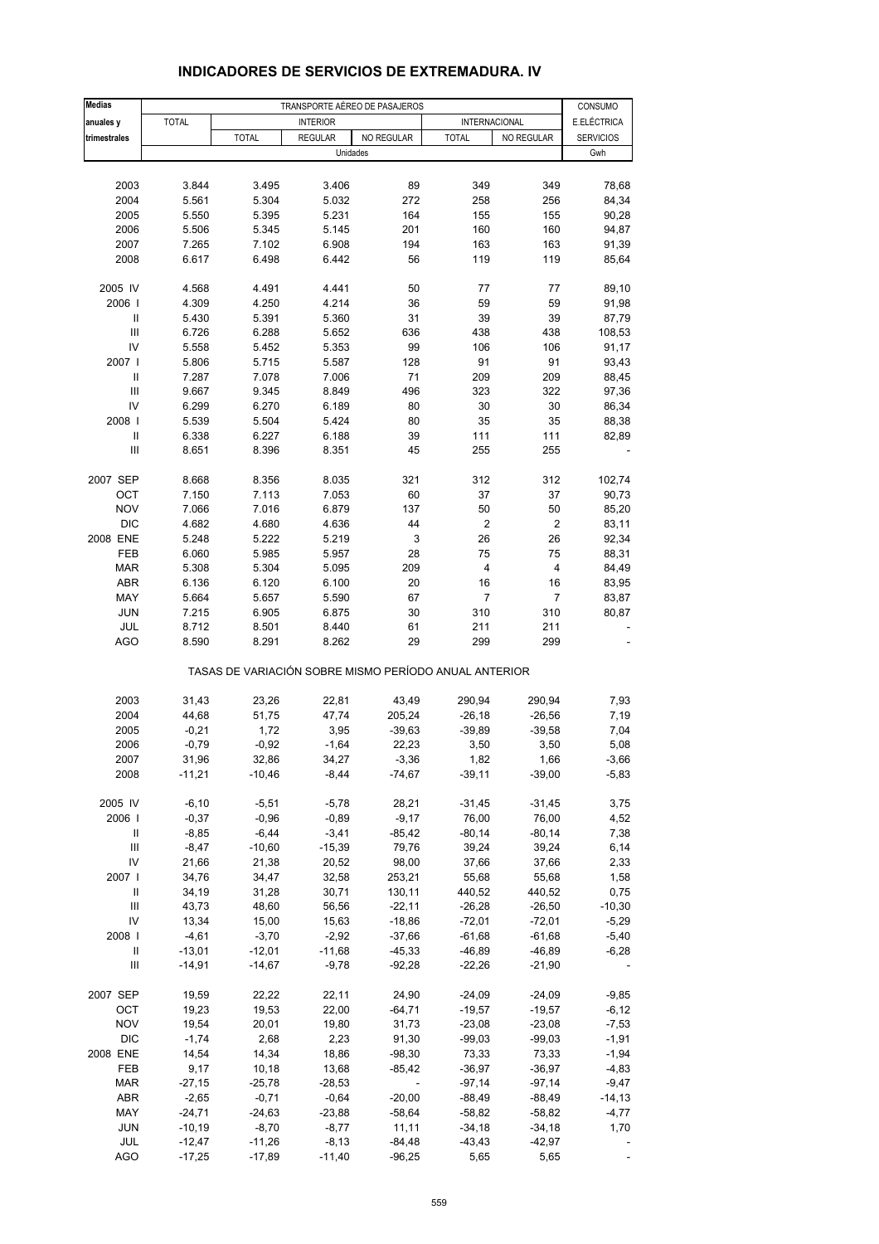| <b>Medias</b>                      |                    |                                                       |                    | TRANSPORTE AÉREO DE PASAJEROS |                      |                      | CONSUMO          |
|------------------------------------|--------------------|-------------------------------------------------------|--------------------|-------------------------------|----------------------|----------------------|------------------|
| anuales y                          | <b>TOTAL</b>       |                                                       | <b>INTERIOR</b>    |                               | <b>INTERNACIONAL</b> |                      | E.ELÉCTRICA      |
| trimestrales                       |                    | <b>TOTAL</b>                                          | <b>REGULAR</b>     | NO REGULAR                    | <b>TOTAL</b>         | NO REGULAR           | <b>SERVICIOS</b> |
|                                    |                    |                                                       |                    | Unidades                      |                      |                      | Gwh              |
|                                    |                    |                                                       |                    |                               |                      |                      |                  |
|                                    |                    |                                                       |                    |                               |                      |                      |                  |
| 2003                               | 3.844              | 3.495                                                 | 3.406              | 89                            | 349                  | 349                  | 78,68            |
| 2004                               | 5.561              | 5.304                                                 | 5.032              | 272                           | 258                  | 256                  | 84,34            |
| 2005                               | 5.550              | 5.395                                                 | 5.231              | 164                           | 155                  | 155                  | 90,28            |
| 2006                               | 5.506              | 5.345                                                 | 5.145              | 201                           | 160                  | 160                  | 94,87            |
| 2007                               | 7.265              | 7.102                                                 | 6.908<br>6.442     | 194                           | 163                  | 163                  | 91,39            |
| 2008                               | 6.617              | 6.498                                                 |                    | 56                            | 119                  | 119                  | 85,64            |
| 2005 IV                            | 4.568              | 4.491                                                 | 4.441              | 50                            | 77                   | 77                   | 89,10            |
| 2006                               | 4.309              | 4.250                                                 | 4.214              | 36                            | 59                   | 59                   | 91,98            |
| Ш                                  | 5.430              | 5.391                                                 | 5.360              | 31                            | 39                   | 39                   | 87,79            |
| $\mathbf{III}$                     | 6.726              | 6.288                                                 | 5.652              | 636                           | 438                  | 438                  | 108,53           |
| IV                                 | 5.558              | 5.452                                                 | 5.353              | 99                            | 106                  | 106                  | 91,17            |
| 2007 l                             | 5.806              | 5.715                                                 | 5.587              | 128                           | 91                   | 91                   | 93,43            |
| Ш                                  | 7.287              | 7.078                                                 | 7.006              | 71                            | 209                  | 209                  | 88,45            |
| Ш                                  | 9.667              | 9.345                                                 | 8.849              | 496                           | 323                  | 322                  | 97,36            |
| IV                                 | 6.299              | 6.270                                                 | 6.189              | 80                            | 30                   | 30                   | 86,34            |
| 2008                               | 5.539              | 5.504                                                 | 5.424              | 80                            | 35                   | 35                   | 88,38            |
| $\mathsf{I}$                       | 6.338              | 6.227                                                 | 6.188              | 39                            | 111                  | 111                  | 82,89            |
| Ш                                  | 8.651              | 8.396                                                 | 8.351              | 45                            | 255                  | 255                  |                  |
|                                    |                    |                                                       |                    |                               |                      |                      |                  |
| 2007 SEP                           | 8.668              | 8.356                                                 | 8.035              | 321                           | 312                  | 312                  | 102,74           |
| OCT<br><b>NOV</b>                  | 7.150              | 7.113                                                 | 7.053              | 60                            | 37<br>50             | 37                   | 90,73            |
|                                    | 7.066              | 7.016                                                 | 6.879              | 137                           |                      | 50                   | 85,20            |
| <b>DIC</b>                         | 4.682              | 4.680                                                 | 4.636              | 44                            | $\overline{2}$       | 2                    | 83,11            |
| 2008 ENE                           | 5.248              | 5.222                                                 | 5.219              | 3                             | 26<br>75             | 26                   | 92,34            |
| FEB                                | 6.060              | 5.985                                                 | 5.957              | 28                            |                      | 75                   | 88,31            |
| <b>MAR</b>                         | 5.308              | 5.304                                                 | 5.095              | 209                           | 4                    | 4                    | 84,49            |
| <b>ABR</b>                         | 6.136              | 6.120                                                 | 6.100              | 20                            | 16                   | 16<br>$\overline{7}$ | 83,95            |
| MAY                                | 5.664              | 5.657                                                 | 5.590              | 67                            | $\overline{7}$       |                      | 83,87            |
| <b>JUN</b>                         | 7.215              | 6.905                                                 | 6.875              | 30                            | 310                  | 310                  | 80,87            |
| JUL<br><b>AGO</b>                  | 8.712<br>8.590     | 8.501<br>8.291                                        | 8.440<br>8.262     | 61<br>29                      | 211<br>299           | 211<br>299           |                  |
|                                    |                    | TASAS DE VARIACIÓN SOBRE MISMO PERÍODO ANUAL ANTERIOR |                    |                               |                      |                      |                  |
|                                    |                    |                                                       |                    |                               |                      |                      |                  |
| 2003                               | 31,43              | 23,26                                                 | 22,81              | 43,49                         | 290,94               | 290,94               | 7,93             |
| 2004                               | 44,68              | 51,75                                                 | 47,74              | 205,24                        | $-26,18$             | $-26,56$             | 7,19             |
| 2005                               | $-0,21$            | 1,72                                                  | 3,95               | $-39,63$                      | $-39,89$             | $-39,58$             | 7,04             |
| 2006                               | $-0,79$            | $-0,92$                                               | $-1,64$            | 22,23                         | 3,50                 | 3,50                 | 5,08             |
| 2007                               | 31,96              | 32,86                                                 | 34,27              | $-3,36$                       | 1,82                 | 1,66                 | -3,66            |
| 2008                               | $-11,21$           | $-10,46$                                              | $-8,44$            | $-74,67$                      | $-39,11$             | $-39,00$             | $-5,83$          |
| 2005 IV                            | $-6, 10$           | $-5,51$                                               | $-5,78$            |                               | $-31,45$             | $-31,45$             | 3,75             |
| 2006                               |                    |                                                       |                    | 28,21                         | 76,00                |                      |                  |
| Ш                                  | $-0,37$<br>$-8,85$ | $-0,96$<br>$-6,44$                                    | $-0,89$<br>$-3,41$ | $-9,17$<br>$-85,42$           | $-80,14$             | 76,00<br>$-80,14$    | 4,52<br>7,38     |
| $\mathbf{III}$                     |                    |                                                       |                    |                               | 39,24                |                      |                  |
| IV                                 | $-8,47$            | $-10,60$                                              | $-15,39$           | 79,76                         |                      | 39,24                | 6,14             |
|                                    | 21,66              | 21,38<br>34,47                                        | 20,52              | 98,00<br>253,21               | 37,66                | 37,66                | 2,33             |
| 2007  <br>Ш                        | 34,76              | 31,28                                                 | 32,58              | 130,11                        | 55,68                | 55,68                | 1,58<br>0,75     |
| $\mathbf{III}$                     | 34,19<br>43,73     | 48,60                                                 | 30,71<br>56,56     | $-22,11$                      | 440,52<br>$-26,28$   | 440,52<br>$-26,50$   | $-10,30$         |
| IV                                 | 13,34              | 15,00                                                 | 15,63              | $-18,86$                      | $-72,01$             | $-72,01$             | $-5,29$          |
| 2008                               | $-4,61$            | $-3,70$                                               | $-2,92$            | $-37,66$                      | $-61,68$             | $-61,68$             | $-5,40$          |
| Ш                                  | $-13,01$           | $-12,01$                                              | $-11,68$           | $-45,33$                      | $-46,89$             | $-46,89$             | $-6,28$          |
| $\ensuremath{\mathsf{III}}\xspace$ | $-14,91$           | $-14,67$                                              | $-9,78$            | $-92,28$                      | $-22,26$             | $-21,90$             |                  |
|                                    |                    |                                                       |                    |                               |                      |                      |                  |
| 2007 SEP                           | 19,59              | 22,22                                                 | 22,11              | 24,90                         | $-24,09$             | $-24,09$             | $-9,85$          |
| OCT                                | 19,23              | 19,53                                                 | 22,00              | $-64,71$                      | $-19,57$             | $-19,57$             | $-6, 12$         |
| <b>NOV</b>                         | 19,54              | 20,01                                                 | 19,80              | 31,73                         | $-23,08$             | $-23,08$             | $-7,53$          |
| <b>DIC</b>                         | $-1,74$            | 2,68                                                  | 2,23               | 91,30                         | $-99,03$             | $-99,03$             | $-1,91$          |
| 2008 ENE                           | 14,54              | 14,34                                                 | 18,86              | $-98,30$                      | 73,33                | 73,33                | $-1,94$          |
| FEB                                | 9,17               | 10,18                                                 | 13,68              | $-85,42$                      | $-36,97$             | $-36,97$             | $-4,83$          |
| <b>MAR</b>                         | $-27,15$           | $-25,78$                                              | $-28,53$           |                               | $-97,14$             | $-97,14$             | $-9,47$          |
| ABR                                | $-2,65$            | $-0,71$                                               | $-0,64$            | $-20,00$                      | $-88,49$             | $-88,49$             | $-14, 13$        |
| MAY                                | $-24,71$           | $-24,63$                                              | $-23,88$           | $-58,64$                      | $-58,82$             | $-58,82$             | $-4,77$          |
| <b>JUN</b>                         | $-10,19$           | $-8,70$                                               | $-8,77$            | 11,11                         | $-34,18$             | $-34,18$             | 1,70             |
| JUL                                | $-12,47$           | $-11,26$                                              | $-8,13$            | $-84,48$                      | $-43,43$             | $-42,97$             |                  |
| <b>AGO</b>                         | $-17,25$           | $-17,89$                                              | $-11,40$           | $-96,25$                      | 5,65                 | 5,65                 |                  |

## **INDICADORES DE SERVICIOS DE EXTREMADURA. IV**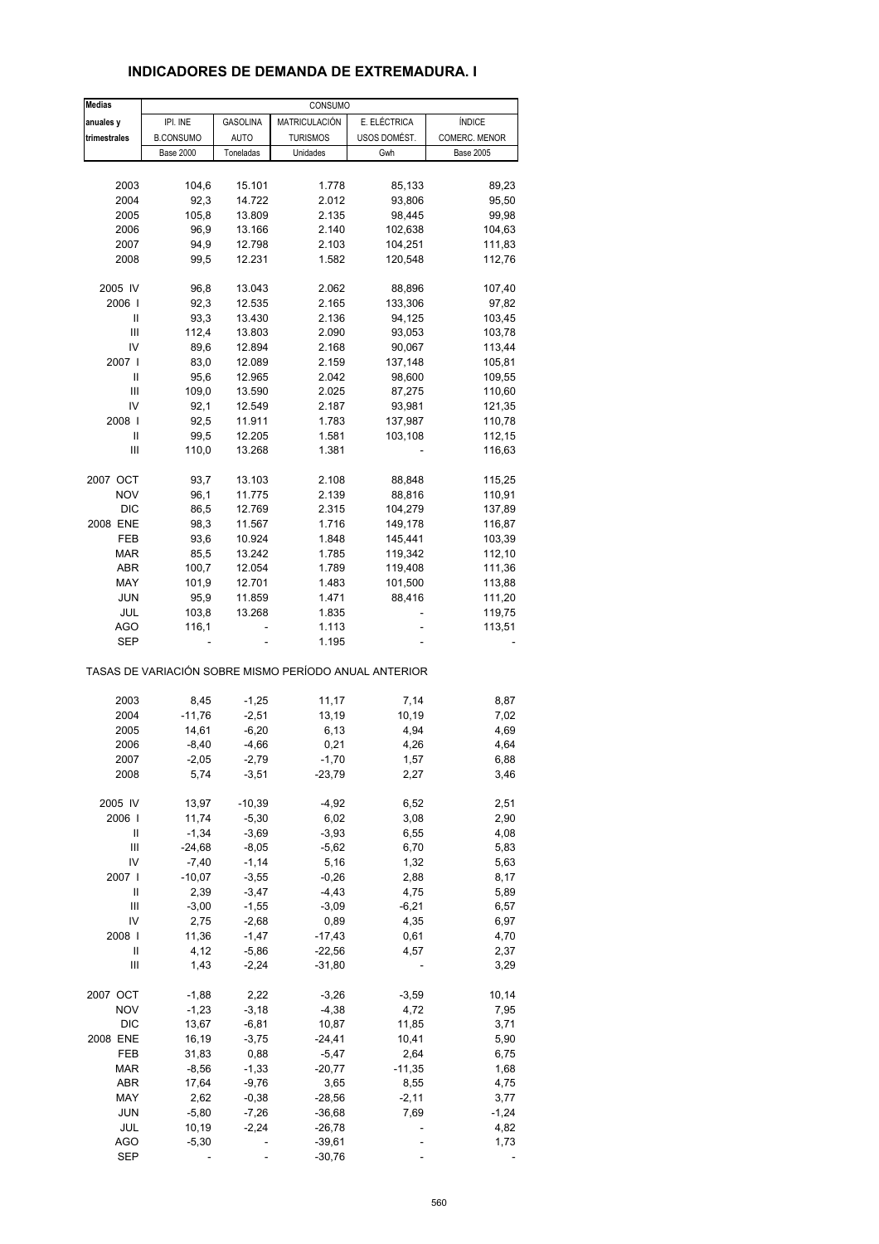| <b>Medias</b> |                  |                 | CONSUMO         |                                                       |                  |
|---------------|------------------|-----------------|-----------------|-------------------------------------------------------|------------------|
| anuales y     | IPI. INE         | <b>GASOLINA</b> | MATRICULACIÓN   | E. ELÉCTRICA                                          | ÍNDICE           |
| trimestrales  | <b>B.CONSUMO</b> | <b>AUTO</b>     | <b>TURISMOS</b> | USOS DOMÉST.                                          | COMERC. MENOR    |
|               | <b>Base 2000</b> | Toneladas       | Unidades        | Gwh                                                   | <b>Base 2005</b> |
|               |                  |                 |                 |                                                       |                  |
| 2003          | 104,6            | 15.101          | 1.778           | 85,133                                                | 89,23            |
| 2004          | 92,3             | 14.722          | 2.012           | 93,806                                                | 95,50            |
|               |                  |                 |                 |                                                       |                  |
| 2005          | 105,8            | 13.809          | 2.135           | 98,445                                                | 99,98            |
| 2006          | 96,9             | 13.166          | 2.140           | 102,638                                               | 104,63           |
| 2007          | 94,9             | 12.798          | 2.103           | 104,251                                               | 111,83           |
| 2008          | 99,5             | 12.231          | 1.582           | 120,548                                               | 112,76           |
| 2005 IV       | 96,8             | 13.043          | 2.062           | 88,896                                                | 107,40           |
| 2006          | 92,3             | 12.535          | 2.165           | 133,306                                               | 97,82            |
|               |                  |                 |                 |                                                       |                  |
| Ш             | 93,3             | 13.430          | 2.136           | 94,125                                                | 103,45           |
| Ш             | 112,4            | 13.803          | 2.090           | 93,053                                                | 103,78           |
| IV            | 89,6             | 12.894          | 2.168           | 90,067                                                | 113,44           |
| 2007          | 83,0             | 12.089          | 2.159           | 137,148                                               | 105,81           |
| Ш             | 95,6             | 12.965          | 2.042           | 98,600                                                | 109,55           |
| Ш             | 109,0            | 13.590          | 2.025           | 87,275                                                | 110,60           |
| IV            | 92,1             | 12.549          | 2.187           | 93,981                                                | 121,35           |
| 2008          | 92,5             |                 |                 |                                                       |                  |
|               |                  | 11.911          | 1.783           | 137,987                                               | 110,78           |
| Ш             | 99,5             | 12.205          | 1.581           | 103,108                                               | 112,15           |
| Ш             | 110,0            | 13.268          | 1.381           |                                                       | 116,63           |
| 2007 OCT      | 93,7             | 13.103          | 2.108           | 88,848                                                | 115,25           |
| <b>NOV</b>    | 96,1             | 11.775          | 2.139           | 88,816                                                | 110,91           |
| <b>DIC</b>    | 86,5             | 12.769          | 2.315           | 104,279                                               | 137,89           |
| 2008 ENE      | 98,3             | 11.567          | 1.716           | 149,178                                               |                  |
|               |                  |                 |                 |                                                       | 116,87           |
| FEB           | 93,6             | 10.924          | 1.848           | 145,441                                               | 103,39           |
| <b>MAR</b>    | 85,5             | 13.242          | 1.785           | 119,342                                               | 112,10           |
| ABR           | 100,7            | 12.054          | 1.789           | 119,408                                               | 111,36           |
| MAY           | 101,9            | 12.701          | 1.483           | 101,500                                               | 113,88           |
| JUN           | 95,9             | 11.859          | 1.471           | 88,416                                                | 111,20           |
| JUL           | 103,8            | 13.268          | 1.835           |                                                       | 119,75           |
| AGO           | 116,1            |                 | 1.113           |                                                       | 113,51           |
| SEP           |                  |                 | 1.195           |                                                       |                  |
|               |                  |                 |                 | TASAS DE VARIACIÓN SOBRE MISMO PERÍODO ANUAL ANTERIOR |                  |
|               |                  |                 |                 |                                                       |                  |
| 2003          | 8,45             | $-1,25$         | 11,17           | 7,14                                                  | 8,87             |
| 2004          | $-11,76$         | $-2,51$         | 13,19           | 10,19                                                 | 7,02             |
| 2005          | 14,61            | $-6,20$         | 6,13            | 4,94                                                  | 4,69             |
| 2006          | $-8,40$          | $-4,66$         | 0,21            | 4,26                                                  | 4,64             |
| 2007          | $-2,05$          | $-2,79$         | $-1,70$         | 1,57                                                  | 6,88             |
| 2008          | 5,74             | $-3,51$         | $-23,79$        | 2,27                                                  | 3,46             |
|               |                  |                 |                 |                                                       |                  |
| 2005 IV       | 13,97            | $-10,39$        | $-4,92$         | 6,52                                                  | 2,51             |
| 2006          | 11,74            | $-5,30$         | 6,02            | 3,08                                                  | 2,90             |
| Ш             | $-1,34$          | $-3,69$         | $-3,93$         | 6,55                                                  | 4,08             |
| Ш             | $-24,68$         | $-8,05$         | $-5,62$         | 6,70                                                  | 5,83             |
| IV            | $-7,40$          | $-1,14$         | 5,16            | 1,32                                                  | 5,63             |
| 2007 l        | $-10,07$         | $-3,55$         | $-0,26$         | 2,88                                                  | 8,17             |
| Ш             | 2,39             | $-3,47$         | $-4,43$         | 4,75                                                  | 5,89             |
|               |                  |                 |                 |                                                       |                  |
| Ш             | $-3,00$          | $-1,55$         | $-3,09$         | $-6,21$                                               | 6,57             |
| IV            | 2,75             | $-2,68$         | 0,89            | 4,35                                                  | 6,97             |
| 2008          | 11,36            | $-1,47$         | $-17,43$        | 0,61                                                  | 4,70             |
| Ш             | 4,12             | $-5,86$         | $-22,56$        | 4,57                                                  | 2,37             |
| Ш             | 1,43             | $-2,24$         | $-31,80$        |                                                       | 3,29             |
| 2007 OCT      | $-1,88$          | 2,22            | $-3,26$         | $-3,59$                                               | 10,14            |
|               |                  |                 |                 |                                                       |                  |
| <b>NOV</b>    | $-1,23$          | $-3,18$         | $-4,38$         | 4,72                                                  | 7,95             |
| DIC           | 13,67            | $-6,81$         | 10,87           | 11,85                                                 | 3,71             |
| 2008 ENE      | 16,19            | $-3,75$         | -24,41          | 10,41                                                 | 5,90             |
| FEB           | 31,83            | 0,88            | $-5,47$         | 2,64                                                  | 6,75             |
| $\sf{MAR}$    | $-8,56$          | $-1,33$         | $-20,77$        | $-11,35$                                              | 1,68             |
| ABR           | 17,64            | $-9,76$         | 3,65            | 8,55                                                  | 4,75             |
|               |                  |                 |                 |                                                       |                  |
| MAY           | 2,62             | $-0,38$         | $-28,56$        | $-2, 11$                                              | 3,77             |
| JUN           | $-5,80$          | $-7,26$         | $-36,68$        | 7,69                                                  | $-1,24$          |
| JUL           | 10,19            | $-2,24$         | $-26,78$        |                                                       | 4,82             |
| <b>AGO</b>    | $-5,30$          |                 | $-39,61$        |                                                       | 1,73             |
| <b>SEP</b>    |                  |                 | $-30,76$        |                                                       |                  |

### **INDICADORES DE DEMANDA DE EXTREMADURA. I**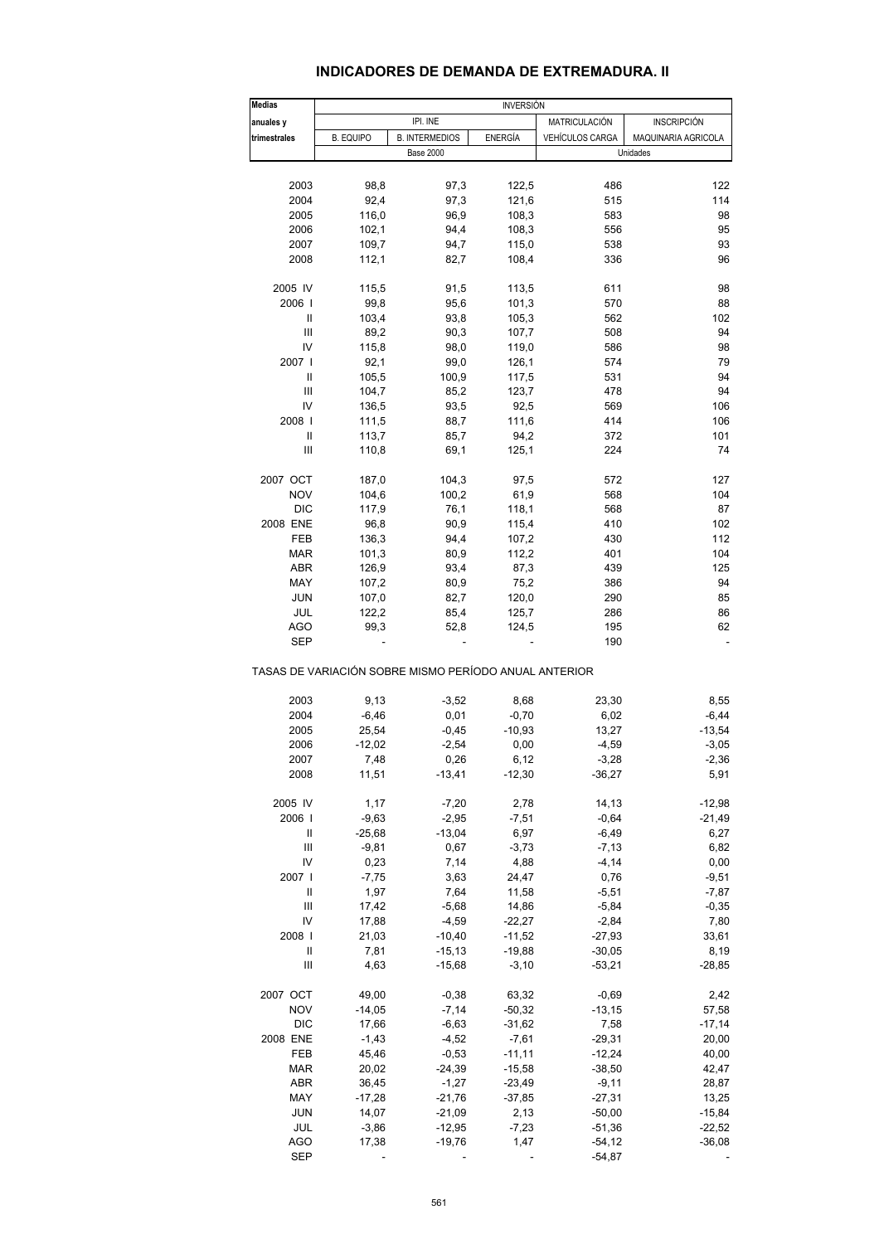## **INDICADORES DE DEMANDA DE EXTREMADURA. II**

| <b>Medias</b>              |                                                       |                       | <b>INVERSIÓN</b> |                      |                     |
|----------------------------|-------------------------------------------------------|-----------------------|------------------|----------------------|---------------------|
| anuales y                  |                                                       | IPI. INE              |                  | <b>MATRICULACIÓN</b> | <b>INSCRIPCIÓN</b>  |
| trimestrales               | <b>B. EQUIPO</b>                                      | <b>B. INTERMEDIOS</b> | ENERGÍA          | VEHÍCULOS CARGA      | MAQUINARIA AGRICOLA |
|                            |                                                       | <b>Base 2000</b>      |                  |                      | Unidades            |
|                            |                                                       |                       |                  |                      |                     |
| 2003                       | 98,8                                                  | 97,3                  | 122,5            | 486                  | 122                 |
| 2004                       | 92,4                                                  | 97,3                  | 121,6            | 515                  | 114                 |
| 2005                       | 116,0                                                 | 96,9                  | 108,3            | 583                  | 98                  |
| 2006                       | 102,1                                                 | 94,4                  | 108,3            | 556                  | 95                  |
|                            |                                                       |                       |                  |                      |                     |
| 2007                       | 109,7                                                 | 94,7                  | 115,0            | 538                  | 93                  |
| 2008                       | 112,1                                                 | 82,7                  | 108,4            | 336                  | 96                  |
| 2005 IV                    | 115,5                                                 | 91,5                  | 113,5            | 611                  | 98                  |
| 2006                       | 99,8                                                  | 95,6                  | 101,3            | 570                  | 88                  |
| Ш                          | 103,4                                                 | 93,8                  | 105,3            | 562                  | 102                 |
| Ш                          | 89,2                                                  | 90,3                  | 107,7            | 508                  | 94                  |
| IV                         | 115,8                                                 | 98,0                  | 119,0            | 586                  | 98                  |
|                            |                                                       |                       |                  |                      |                     |
| 2007                       | 92,1                                                  | 99,0                  | 126,1            | 574                  | 79                  |
| $\mathsf{I}$               | 105,5                                                 | 100,9                 | 117,5            | 531                  | 94                  |
| Ш                          | 104,7                                                 | 85,2                  | 123,7            | 478                  | 94                  |
| IV                         | 136,5                                                 | 93,5                  | 92,5             | 569                  | 106                 |
| 2008                       | 111,5                                                 | 88,7                  | 111,6            | 414                  | 106                 |
| Ш                          | 113,7                                                 | 85,7                  | 94,2             | 372                  | 101                 |
| Ш                          | 110,8                                                 | 69,1                  | 125,1            | 224                  | 74                  |
|                            |                                                       |                       |                  |                      |                     |
| 2007 OCT                   | 187,0                                                 | 104,3                 | 97,5             | 572                  | 127                 |
| <b>NOV</b>                 | 104,6                                                 | 100,2                 | 61,9             | 568                  | 104                 |
| <b>DIC</b>                 | 117,9                                                 | 76,1                  | 118,1            | 568                  | 87                  |
| 2008 ENE                   | 96,8                                                  | 90,9                  | 115,4            | 410                  | 102                 |
| FEB                        | 136,3                                                 | 94,4                  | 107,2            | 430                  | 112                 |
| MAR                        | 101,3                                                 | 80,9                  | 112,2            | 401                  | 104                 |
| ABR                        |                                                       | 93,4                  | 87,3             | 439                  | 125                 |
|                            | 126,9                                                 |                       |                  |                      |                     |
| MAY                        | 107,2                                                 | 80,9                  | 75,2             | 386                  | 94                  |
| <b>JUN</b>                 | 107,0                                                 | 82,7                  | 120,0            | 290                  | 85                  |
| JUL                        | 122,2                                                 | 85,4                  | 125,7            | 286                  | 86                  |
| AGO                        | 99,3                                                  | 52,8                  | 124,5            | 195                  | 62                  |
| SEP                        |                                                       |                       |                  | 190                  |                     |
|                            | TASAS DE VARIACIÓN SOBRE MISMO PERÍODO ANUAL ANTERIOR |                       |                  |                      |                     |
| 2003                       | 9,13                                                  | $-3,52$               | 8,68             | 23,30                | 8,55                |
| 2004                       | $-6,46$                                               | 0,01                  | $-0,70$          | 6,02                 | $-6,44$             |
|                            |                                                       |                       |                  |                      |                     |
| 2005                       | 25,54                                                 | $-0,45$               | $-10,93$         | 13,27                | $-13,54$            |
| 2006                       | $-12,02$                                              | $-2,54$               | 0,00             | $-4,59$              | $-3,05$             |
| 2007                       | 7,48                                                  | 0,26                  | 6,12             | $-3,28$              | $-2,36$             |
| 2008                       | 11,51                                                 | -13,41                | $-12,30$         | $-36,27$             | 5,91                |
| 2005 IV                    | 1,17                                                  | $-7,20$               | 2,78             | 14,13                | $-12,98$            |
| 2006                       | $-9,63$                                               | $-2,95$               | $-7,51$          | $-0,64$              | $-21,49$            |
| Ш                          | $-25,68$                                              | $-13,04$              | 6,97             | $-6,49$              | 6,27                |
|                            |                                                       |                       |                  |                      |                     |
| Ш                          | $-9,81$                                               | 0,67                  | $-3,73$          | $-7,13$              | 6,82                |
| IV                         | 0,23                                                  | 7,14                  | 4,88             | $-4, 14$             | 0,00                |
| 2007 l                     | $-7,75$                                               | 3,63                  | 24,47            | 0,76                 | $-9,51$             |
| $\ensuremath{\mathsf{II}}$ | 1,97                                                  | 7,64                  | 11,58            | $-5,51$              | $-7,87$             |
| Ш                          | 17,42                                                 | $-5,68$               | 14,86            | $-5,84$              | $-0,35$             |
| IV                         | 17,88                                                 | $-4,59$               | $-22,27$         | $-2,84$              | 7,80                |
| 2008                       |                                                       |                       |                  |                      |                     |
|                            | 21,03                                                 | $-10,40$              | $-11,52$         | $-27,93$             | 33,61               |
| Ш                          | 7,81                                                  | $-15,13$              | $-19,88$         | $-30,05$             | 8,19                |
| Ш                          | 4,63                                                  | $-15,68$              | $-3,10$          | $-53,21$             | $-28,85$            |
| 2007 OCT                   | 49,00                                                 | $-0,38$               | 63,32            | $-0,69$              | 2,42                |
| <b>NOV</b>                 | $-14,05$                                              | $-7,14$               | $-50,32$         | $-13,15$             | 57,58               |
| <b>DIC</b>                 | 17,66                                                 | $-6,63$               | $-31,62$         | 7,58                 | $-17,14$            |
| 2008 ENE                   | $-1,43$                                               | $-4,52$               | $-7,61$          | $-29,31$             | 20,00               |
|                            |                                                       |                       |                  |                      |                     |
| FEB                        | 45,46                                                 | $-0,53$               | $-11,11$         | $-12,24$             | 40,00               |
| <b>MAR</b>                 | 20,02                                                 | $-24,39$              | $-15,58$         | $-38,50$             | 42,47               |
| ABR                        | 36,45                                                 | $-1,27$               | $-23,49$         | $-9,11$              | 28,87               |
| MAY                        | $-17,28$                                              | $-21,76$              | $-37,85$         | $-27,31$             | 13,25               |
| <b>JUN</b>                 | 14,07                                                 | $-21,09$              | 2,13             | $-50,00$             | $-15,84$            |
| JUL                        | $-3,86$                                               | $-12,95$              | $-7,23$          | $-51,36$             | $-22,52$            |
|                            |                                                       |                       |                  |                      |                     |
| <b>AGO</b>                 | 17,38                                                 | $-19,76$              | 1,47             | $-54,12$             | $-36,08$            |
| <b>SEP</b>                 |                                                       |                       |                  | $-54,87$             |                     |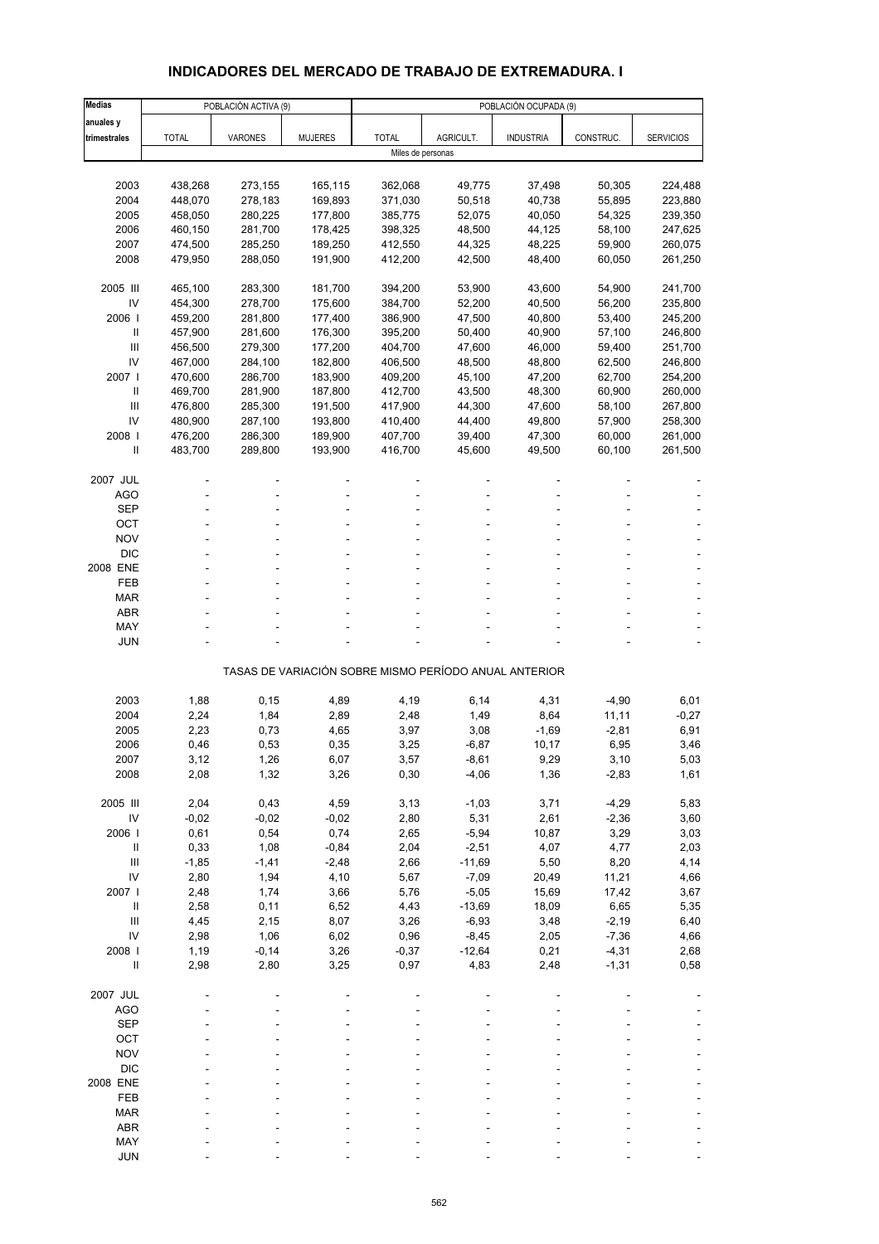# **INDICADORES DEL MERCADO DE TRABAJO DE EXTREMADURA. I**

| <b>Medias</b>  |              | POBLACIÓN ACTIVA (9) |                | POBLACIÓN OCUPADA (9) |           |                                                       |           |                  |  |  |
|----------------|--------------|----------------------|----------------|-----------------------|-----------|-------------------------------------------------------|-----------|------------------|--|--|
| anuales y      |              |                      |                |                       |           |                                                       |           |                  |  |  |
| trimestrales   | <b>TOTAL</b> | <b>VARONES</b>       | <b>MUJERES</b> | <b>TOTAL</b>          | AGRICULT. | <b>INDUSTRIA</b>                                      | CONSTRUC. | <b>SERVICIOS</b> |  |  |
|                |              |                      |                | Miles de personas     |           |                                                       |           |                  |  |  |
|                |              |                      |                |                       |           |                                                       |           |                  |  |  |
| 2003           | 438,268      | 273,155              | 165,115        | 362,068               | 49,775    | 37,498                                                | 50,305    | 224,488          |  |  |
| 2004           | 448,070      | 278,183              | 169,893        | 371,030               | 50,518    | 40,738                                                | 55,895    | 223,880          |  |  |
| 2005           | 458,050      | 280,225              | 177,800        | 385,775               | 52,075    | 40,050                                                | 54,325    | 239,350          |  |  |
| 2006           | 460,150      | 281,700              | 178,425        | 398,325               | 48,500    | 44,125                                                | 58,100    | 247,625          |  |  |
| 2007           | 474,500      | 285,250              | 189,250        | 412,550               | 44,325    | 48,225                                                | 59,900    | 260,075          |  |  |
| 2008           | 479,950      | 288,050              | 191,900        | 412,200               | 42,500    | 48,400                                                | 60,050    | 261,250          |  |  |
|                |              |                      |                |                       |           |                                                       |           |                  |  |  |
| 2005 III       | 465,100      | 283,300              | 181,700        | 394,200               | 53,900    | 43,600                                                | 54,900    | 241,700          |  |  |
| IV             | 454,300      | 278,700              | 175,600        | 384,700               | 52,200    | 40,500                                                | 56,200    | 235,800          |  |  |
| 2006           | 459,200      | 281,800              | 177,400        | 386,900               | 47,500    | 40,800                                                | 53,400    | 245,200          |  |  |
| $\mathbf{I}$   | 457,900      | 281,600              | 176,300        | 395,200               | 50,400    | 40,900                                                | 57,100    | 246,800          |  |  |
| $\mathbf{III}$ | 456,500      | 279,300              | 177,200        | 404,700               | 47,600    | 46,000                                                | 59,400    | 251,700          |  |  |
| IV             | 467,000      | 284,100              | 182,800        | 406,500               | 48,500    | 48,800                                                | 62,500    | 246,800          |  |  |
| 2007           | 470,600      | 286,700              | 183,900        | 409,200               | 45,100    | 47,200                                                | 62,700    | 254,200          |  |  |
| $\mathbf{I}$   | 469,700      | 281,900              | 187,800        | 412,700               | 43,500    | 48,300                                                | 60,900    | 260,000          |  |  |
| Ш              | 476,800      | 285,300              | 191,500        | 417,900               | 44,300    | 47,600                                                | 58,100    | 267,800          |  |  |
| IV             | 480,900      | 287,100              | 193,800        | 410,400               | 44,400    | 49,800                                                | 57,900    | 258,300          |  |  |
| 2008           | 476,200      | 286,300              | 189,900        | 407,700               | 39,400    | 47,300                                                | 60,000    | 261,000          |  |  |
| $\mathbf{I}$   | 483,700      | 289,800              | 193,900        | 416,700               | 45,600    | 49,500                                                | 60,100    | 261,500          |  |  |
|                |              |                      |                |                       |           |                                                       |           |                  |  |  |
| 2007 JUL       |              |                      |                |                       |           |                                                       |           |                  |  |  |
| <b>AGO</b>     |              |                      |                |                       |           |                                                       |           |                  |  |  |
| <b>SEP</b>     |              |                      |                |                       |           |                                                       |           |                  |  |  |
| OCT            |              |                      |                |                       |           |                                                       |           |                  |  |  |
| <b>NOV</b>     |              |                      |                |                       |           |                                                       |           |                  |  |  |
| <b>DIC</b>     |              |                      |                |                       |           |                                                       |           |                  |  |  |
| 2008 ENE       |              | ٠                    |                |                       |           |                                                       |           |                  |  |  |
| FEB            |              |                      |                |                       |           |                                                       |           |                  |  |  |
| <b>MAR</b>     |              |                      |                |                       |           |                                                       |           |                  |  |  |
| <b>ABR</b>     |              |                      |                |                       |           |                                                       |           |                  |  |  |
| MAY            |              |                      |                |                       |           |                                                       |           |                  |  |  |
| <b>JUN</b>     |              |                      |                |                       |           |                                                       |           |                  |  |  |
|                |              |                      |                |                       |           |                                                       |           |                  |  |  |
|                |              |                      |                |                       |           | TASAS DE VARIACIÓN SOBRE MISMO PERÍODO ANUAL ANTERIOR |           |                  |  |  |
|                |              |                      |                |                       |           |                                                       |           |                  |  |  |
| 2003           | 1,88         | 0, 15                | 4,89           | 4,19                  | 6,14      | 4,31                                                  | $-4,90$   | 6,01             |  |  |
| 2004           | 2,24         | 1,84                 | 2,89           | 2,48                  | 1,49      | 8,64                                                  | 11,11     | $-0,27$          |  |  |
| 2005           | 2,23         | 0,73                 | 4,65           | 3,97                  | 3,08      | $-1,69$                                               | $-2,81$   | 6,91             |  |  |
| 2006           | 0,46         | 0,53                 | 0,35           | 3,25                  | $-6,87$   | 10,17                                                 | 6,95      | 3,46             |  |  |
| 2007           | 3,12         | 1,26                 | 6,07           | 3,57                  | -8,61     | 9,29                                                  | 3,10      | 5,03             |  |  |
| 2008           | 2,08         | 1,32                 | 3,26           | 0,30                  | $-4,06$   | 1,36                                                  | $-2,83$   | 1,61             |  |  |
|                |              |                      |                |                       |           |                                                       |           |                  |  |  |
| 2005 III       | 2,04         | 0,43                 | 4,59           | 3,13                  | $-1,03$   | 3,71                                                  | $-4,29$   | 5,83             |  |  |
| IV             | $-0,02$      | $-0,02$              | $-0,02$        | 2,80                  | 5,31      | 2,61                                                  | $-2,36$   | 3,60             |  |  |
| 2006           | 0,61         | 0,54                 | 0,74           | 2,65                  | $-5,94$   | 10,87                                                 | 3,29      | 3,03             |  |  |
| $\, \parallel$ | 0,33         | 1,08                 | $-0,84$        | 2,04                  | $-2,51$   | 4,07                                                  | 4,77      | 2,03             |  |  |
| Ш              | $-1,85$      | $-1,41$              | $-2,48$        | 2,66                  | $-11,69$  | 5,50                                                  | 8,20      | 4,14             |  |  |
| IV             | 2,80         | 1,94                 | 4,10           | 5,67                  | $-7,09$   | 20,49                                                 | 11,21     | 4,66             |  |  |
| 2007 l         | 2,48         | 1,74                 | 3,66           | 5,76                  | $-5,05$   | 15,69                                                 | 17,42     | 3,67             |  |  |
| $\, \parallel$ | 2,58         | 0,11                 | 6,52           | 4,43                  | $-13,69$  | 18,09                                                 | 6,65      | 5,35             |  |  |
| Ш              | 4,45         | 2,15                 | 8,07           | 3,26                  | $-6,93$   | 3,48                                                  | $-2,19$   | 6,40             |  |  |
| IV             | 2,98         | 1,06                 | 6,02           | 0,96                  | $-8,45$   | 2,05                                                  | $-7,36$   | 4,66             |  |  |
| 2008 l         | 1,19         | $-0,14$              | 3,26           | $-0,37$               | $-12,64$  | 0,21                                                  | $-4,31$   | 2,68             |  |  |
| $\sf II$       | 2,98         | 2,80                 | 3,25           | 0,97                  | 4,83      | 2,48                                                  | $-1,31$   | 0,58             |  |  |
|                |              |                      |                |                       |           |                                                       |           |                  |  |  |
| 2007 JUL       |              |                      |                |                       |           |                                                       |           |                  |  |  |
| <b>AGO</b>     |              |                      |                |                       |           |                                                       |           |                  |  |  |
| <b>SEP</b>     |              |                      |                |                       |           |                                                       |           |                  |  |  |
| OCT            |              |                      |                |                       |           |                                                       |           |                  |  |  |
| <b>NOV</b>     |              |                      |                |                       |           |                                                       |           |                  |  |  |
| <b>DIC</b>     |              |                      |                |                       |           |                                                       |           |                  |  |  |
| 2008 ENE       |              |                      |                |                       |           |                                                       |           |                  |  |  |
| FEB            |              |                      |                |                       |           |                                                       |           |                  |  |  |
| <b>MAR</b>     |              |                      |                |                       |           |                                                       |           |                  |  |  |
| ABR            |              |                      |                |                       |           |                                                       |           |                  |  |  |
| MAY            |              |                      |                |                       |           |                                                       |           |                  |  |  |
| <b>JUN</b>     |              |                      |                |                       |           |                                                       |           |                  |  |  |
|                |              |                      |                |                       |           |                                                       |           |                  |  |  |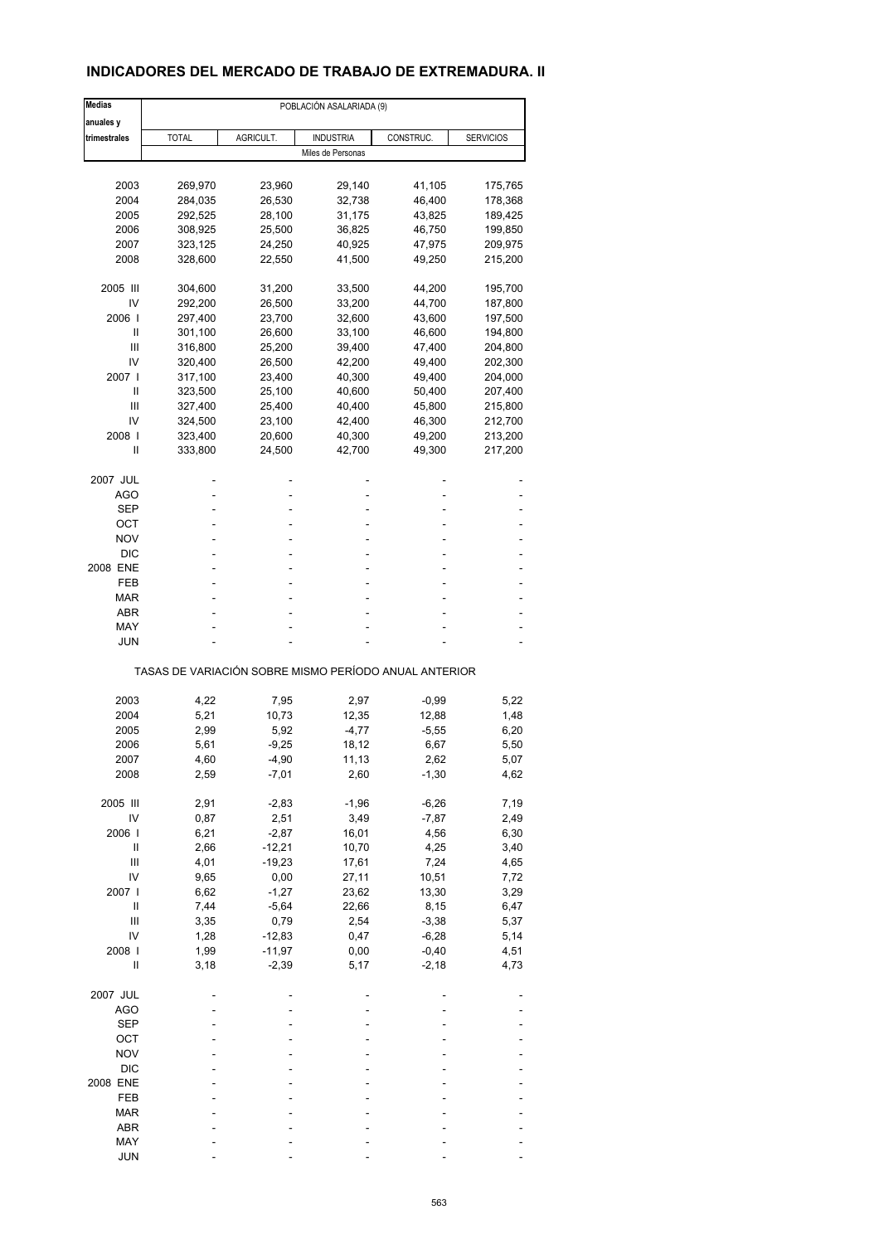## **INDICADORES DEL MERCADO DE TRABAJO DE EXTREMADURA. II**

| <b>Medias</b> | POBLACIÓN ASALARIADA (9) |           |                                                       |           |                  |  |  |  |
|---------------|--------------------------|-----------|-------------------------------------------------------|-----------|------------------|--|--|--|
| anuales y     |                          |           |                                                       |           |                  |  |  |  |
| trimestrales  | <b>TOTAL</b>             | AGRICULT. | <b>INDUSTRIA</b>                                      | CONSTRUC. | <b>SERVICIOS</b> |  |  |  |
|               |                          |           | Miles de Personas                                     |           |                  |  |  |  |
|               |                          |           |                                                       |           |                  |  |  |  |
| 2003          | 269,970                  | 23,960    | 29,140                                                | 41,105    | 175,765          |  |  |  |
| 2004          | 284,035                  | 26,530    | 32,738                                                | 46,400    | 178,368          |  |  |  |
| 2005          | 292,525                  | 28,100    | 31,175                                                | 43,825    | 189,425          |  |  |  |
| 2006          | 308,925                  | 25,500    | 36,825                                                | 46,750    | 199,850          |  |  |  |
| 2007          | 323,125                  | 24,250    | 40,925                                                | 47,975    | 209,975          |  |  |  |
| 2008          | 328,600                  | 22,550    | 41,500                                                | 49,250    | 215,200          |  |  |  |
| 2005 III      | 304,600                  | 31,200    | 33,500                                                | 44,200    | 195,700          |  |  |  |
| IV            | 292,200                  | 26,500    | 33,200                                                | 44,700    | 187,800          |  |  |  |
| 2006          | 297,400                  | 23,700    | 32,600                                                | 43,600    | 197,500          |  |  |  |
| Ш             | 301,100                  | 26,600    | 33,100                                                | 46,600    | 194,800          |  |  |  |
| Ш             | 316,800                  | 25,200    | 39,400                                                | 47,400    | 204,800          |  |  |  |
|               |                          |           |                                                       |           |                  |  |  |  |
| IV            | 320,400                  | 26,500    | 42,200                                                | 49,400    | 202,300          |  |  |  |
| 2007 l        | 317,100                  | 23,400    | 40,300                                                | 49,400    | 204,000          |  |  |  |
| Ш             | 323,500                  | 25,100    | 40,600                                                | 50,400    | 207,400          |  |  |  |
| Ш             | 327,400                  | 25,400    | 40,400                                                | 45,800    | 215,800          |  |  |  |
| IV            | 324,500                  | 23,100    | 42,400                                                | 46,300    | 212,700          |  |  |  |
| 2008          | 323,400                  | 20,600    | 40,300                                                | 49,200    | 213,200          |  |  |  |
| Ш             | 333,800                  | 24,500    | 42,700                                                | 49,300    | 217,200          |  |  |  |
|               |                          |           |                                                       |           |                  |  |  |  |
| 2007 JUL      |                          |           |                                                       |           |                  |  |  |  |
| AGO           |                          |           | ä,                                                    |           |                  |  |  |  |
| <b>SEP</b>    |                          |           | ۰                                                     |           |                  |  |  |  |
| ОСТ           |                          |           |                                                       |           |                  |  |  |  |
| NOV           |                          |           |                                                       |           |                  |  |  |  |
| <b>DIC</b>    |                          |           |                                                       |           |                  |  |  |  |
| 2008 ENE      |                          |           |                                                       |           |                  |  |  |  |
| FEB           |                          |           | ä,                                                    |           |                  |  |  |  |
|               |                          |           |                                                       |           |                  |  |  |  |
| MAR           |                          |           |                                                       |           |                  |  |  |  |
| <b>ABR</b>    |                          |           |                                                       |           |                  |  |  |  |
| MAY           |                          |           |                                                       |           |                  |  |  |  |
| <b>JUN</b>    |                          |           |                                                       |           |                  |  |  |  |
|               |                          |           | TASAS DE VARIACIÓN SOBRE MISMO PERÍODO ANUAL ANTERIOR |           |                  |  |  |  |
|               |                          |           |                                                       |           |                  |  |  |  |
| 2003          | 4,22                     | 7,95      | 2,97                                                  | $-0,99$   | 5,22             |  |  |  |
| 2004          | 5,21                     | 10,73     | 12,35                                                 | 12,88     | 1,48             |  |  |  |
| 2005          | 2,99                     | 5,92      | $-4,77$                                               | $-5,55$   | 6,20             |  |  |  |
| 2006          | 5,61                     | $-9,25$   | 18,12                                                 | 6,67      | 5,50             |  |  |  |
| 2007          | 4,60                     | -4,90     | 11,13                                                 | 2,62      | 5,07             |  |  |  |
| 2008          | 2,59                     | $-7,01$   | 2,60                                                  | $-1,30$   | 4,62             |  |  |  |
|               |                          |           |                                                       |           |                  |  |  |  |
| 2005 III      | 2,91                     | $-2,83$   | $-1,96$                                               | $-6,26$   | 7,19             |  |  |  |
| IV            | 0,87                     | 2,51      | 3,49                                                  | $-7,87$   | 2,49             |  |  |  |
| 2006          | 6,21                     | $-2,87$   | 16,01                                                 | 4,56      | 6,30             |  |  |  |
| Ш             | 2,66                     | $-12,21$  | 10,70                                                 | 4,25      | 3,40             |  |  |  |
| Ш             | 4,01                     | $-19,23$  | 17,61                                                 | 7,24      | 4,65             |  |  |  |
| IV            | 9,65                     | 0,00      | 27,11                                                 | 10,51     | 7,72             |  |  |  |
| 2007 l        | 6,62                     | $-1,27$   | 23,62                                                 | 13,30     | 3,29             |  |  |  |
|               |                          |           |                                                       |           |                  |  |  |  |
| Ш             | 7,44                     | $-5,64$   | 22,66                                                 | 8,15      | 6,47             |  |  |  |
| Ш             | 3,35                     | 0,79      | 2,54                                                  | $-3,38$   | 5,37             |  |  |  |
| IV            | 1,28                     | $-12,83$  | 0,47                                                  | $-6,28$   | 5,14             |  |  |  |
| 2008          | 1,99                     | $-11,97$  | 0,00                                                  | $-0,40$   | 4,51             |  |  |  |
| Ш             | 3,18                     | $-2,39$   | 5,17                                                  | $-2,18$   | 4,73             |  |  |  |
| 2007 JUL      |                          |           |                                                       |           |                  |  |  |  |
| <b>AGO</b>    |                          |           |                                                       |           |                  |  |  |  |
|               |                          |           |                                                       |           |                  |  |  |  |
| <b>SEP</b>    |                          |           |                                                       |           |                  |  |  |  |
| OCT           |                          |           |                                                       |           |                  |  |  |  |
| <b>NOV</b>    |                          |           |                                                       |           |                  |  |  |  |
| $DIC$         |                          |           |                                                       |           |                  |  |  |  |
| 2008 ENE      |                          |           |                                                       |           |                  |  |  |  |
| FEB           |                          |           |                                                       |           |                  |  |  |  |
| <b>MAR</b>    |                          |           |                                                       |           |                  |  |  |  |
|               |                          |           |                                                       |           |                  |  |  |  |
| ABR           |                          |           |                                                       |           |                  |  |  |  |
| MAY           |                          |           |                                                       |           |                  |  |  |  |
| <b>JUN</b>    |                          |           |                                                       |           |                  |  |  |  |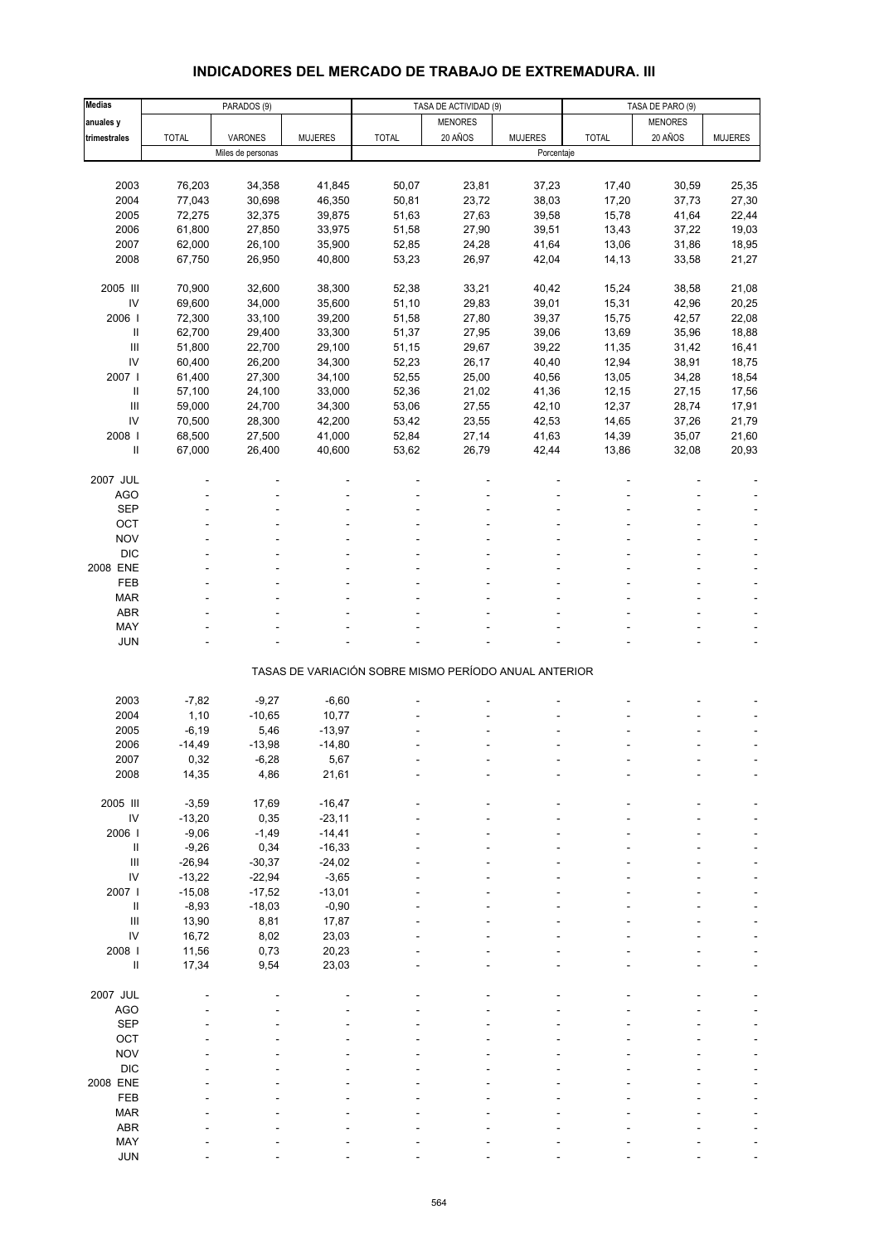# **INDICADORES DEL MERCADO DE TRABAJO DE EXTREMADURA. III**

| <b>Medias</b>              |              | PARADOS (9)       |                |                                                       | TASA DE ACTIVIDAD (9) |                | TASA DE PARO (9) |                |                |
|----------------------------|--------------|-------------------|----------------|-------------------------------------------------------|-----------------------|----------------|------------------|----------------|----------------|
| anuales y                  |              |                   |                |                                                       | <b>MENORES</b>        |                |                  | <b>MENORES</b> |                |
| trimestrales               | <b>TOTAL</b> | VARONES           | <b>MUJERES</b> | <b>TOTAL</b>                                          | 20 AÑOS               | <b>MUJERES</b> | <b>TOTAL</b>     | 20 AÑOS        | <b>MUJERES</b> |
|                            |              | Miles de personas |                |                                                       |                       | Porcentaje     |                  |                |                |
|                            |              |                   |                |                                                       |                       |                |                  |                |                |
| 2003                       | 76,203       | 34,358            | 41,845         | 50,07                                                 | 23,81                 | 37,23          | 17,40            | 30,59          | 25,35          |
| 2004                       | 77,043       | 30,698            | 46,350         | 50,81                                                 | 23,72                 | 38,03          | 17,20            | 37,73          | 27,30          |
| 2005                       | 72,275       | 32,375            | 39,875         | 51,63                                                 | 27,63                 | 39,58          | 15,78            | 41,64          | 22,44          |
| 2006                       | 61,800       | 27,850            | 33,975         | 51,58                                                 | 27,90                 | 39,51          | 13,43            | 37,22          | 19,03          |
| 2007                       | 62,000       | 26,100            | 35,900         | 52,85                                                 | 24,28                 | 41,64          | 13,06            | 31,86          | 18,95          |
| 2008                       | 67,750       | 26,950            | 40,800         | 53,23                                                 | 26,97                 | 42,04          | 14,13            | 33,58          | 21,27          |
|                            |              |                   |                |                                                       |                       |                |                  |                |                |
| 2005 III                   | 70,900       | 32,600            | 38,300         | 52,38                                                 | 33,21                 | 40,42          | 15,24            | 38,58          | 21,08          |
| IV                         | 69,600       | 34,000            | 35,600         | 51,10                                                 | 29,83                 | 39,01          | 15,31            | 42,96          | 20,25          |
| 2006                       | 72,300       | 33,100            | 39,200         | 51,58                                                 | 27,80                 | 39,37          | 15,75            | 42,57          | 22,08          |
| $\sf II$                   | 62,700       | 29,400            | 33,300         | 51,37                                                 | 27,95                 | 39,06          | 13,69            | 35,96          | 18,88          |
| $\mathbf{III}$             | 51,800       | 22,700            | 29,100         | 51,15                                                 | 29,67                 | 39,22          | 11,35            | 31,42          | 16,41          |
| IV                         | 60,400       | 26,200            | 34,300         | 52,23                                                 | 26,17                 | 40,40          | 12,94            | 38,91          | 18,75          |
| 2007 l                     | 61,400       | 27,300            | 34,100         | 52,55                                                 | 25,00                 | 40,56          | 13,05            | 34,28          | 18,54          |
| $\,$ II                    | 57,100       | 24,100            | 33,000         | 52,36                                                 | 21,02                 | 41,36          | 12,15            | 27,15          | 17,56          |
| $\mathbf{III}$             | 59,000       | 24,700            | 34,300         | 53,06                                                 | 27,55                 | 42,10          | 12,37            | 28,74          | 17,91          |
| IV                         | 70,500       | 28,300            | 42,200         | 53,42                                                 | 23,55                 | 42,53          | 14,65            | 37,26          | 21,79          |
| 2008                       | 68,500       | 27,500            | 41,000         | 52,84                                                 | 27,14                 | 41,63          | 14,39            | 35,07          | 21,60          |
| $\sf II$                   | 67,000       | 26,400            | 40,600         | 53,62                                                 | 26,79                 | 42,44          | 13,86            | 32,08          | 20,93          |
|                            |              |                   |                |                                                       |                       |                |                  |                |                |
| 2007 JUL                   |              |                   |                |                                                       |                       |                |                  |                |                |
|                            |              |                   |                |                                                       |                       |                |                  |                |                |
| <b>AGO</b>                 |              |                   |                |                                                       |                       |                |                  |                |                |
| <b>SEP</b>                 |              |                   |                |                                                       |                       |                |                  |                |                |
| OCT                        |              |                   |                |                                                       |                       |                |                  |                |                |
| <b>NOV</b>                 |              |                   |                |                                                       |                       |                |                  |                |                |
| <b>DIC</b>                 |              |                   |                |                                                       |                       |                |                  |                |                |
| 2008 ENE                   |              |                   |                |                                                       |                       |                |                  |                |                |
| FEB                        |              |                   |                |                                                       |                       |                |                  |                |                |
| <b>MAR</b>                 |              |                   |                |                                                       |                       |                |                  |                |                |
| <b>ABR</b>                 |              |                   |                |                                                       |                       |                |                  |                |                |
| MAY                        |              |                   |                |                                                       |                       |                |                  |                |                |
| <b>JUN</b>                 |              |                   |                |                                                       |                       |                |                  |                |                |
|                            |              |                   |                | TASAS DE VARIACIÓN SOBRE MISMO PERÍODO ANUAL ANTERIOR |                       |                |                  |                |                |
|                            |              |                   |                |                                                       |                       |                |                  |                |                |
| 2003                       | $-7,82$      | $-9,27$           | $-6,60$        |                                                       |                       |                |                  |                |                |
| 2004                       | 1,10         | $-10,65$          | 10,77          |                                                       |                       |                |                  |                |                |
| 2005                       | $-6, 19$     | 5,46              | $-13,97$       |                                                       |                       |                |                  |                |                |
| 2006                       | $-14,49$     | $-13,98$          | $-14,80$       |                                                       |                       |                |                  |                |                |
| 2007                       | 0,32         | -6,28             | 5,67           |                                                       |                       |                |                  |                |                |
| 2008                       | 14,35        | 4,86              | 21,61          |                                                       |                       |                |                  |                |                |
|                            |              |                   |                |                                                       |                       |                |                  |                |                |
| 2005 III                   | $-3,59$      | 17,69             | $-16,47$       |                                                       |                       |                |                  |                |                |
| $\mathsf{IV}$              | $-13,20$     | 0,35              | $-23,11$       |                                                       |                       |                |                  |                |                |
| 2006                       | $-9,06$      | $-1,49$           | $-14,41$       |                                                       |                       |                |                  |                |                |
| $\, \parallel$             | $-9,26$      | 0,34              | $-16,33$       |                                                       |                       |                |                  |                |                |
| $\mathbf{III}$             | $-26,94$     | $-30,37$          | $-24,02$       |                                                       |                       |                |                  |                |                |
| IV                         | $-13,22$     | $-22,94$          | $-3,65$        |                                                       |                       |                |                  |                |                |
| 2007 l                     | $-15,08$     | $-17,52$          | $-13,01$       |                                                       |                       |                |                  |                |                |
| $\ensuremath{\mathsf{II}}$ | $-8,93$      | $-18,03$          | $-0,90$        |                                                       |                       |                |                  |                |                |
| $\mathbf{III}$             | 13,90        | 8,81              | 17,87          |                                                       |                       |                |                  |                |                |
| IV                         | 16,72        | 8,02              | 23,03          |                                                       |                       |                |                  |                |                |
| 2008 l                     | 11,56        | 0,73              | 20,23          |                                                       |                       |                |                  |                |                |
| Ш                          | 17,34        | 9,54              | 23,03          |                                                       |                       |                |                  |                |                |
|                            |              |                   |                |                                                       |                       |                |                  |                |                |
| 2007 JUL                   |              |                   |                |                                                       |                       |                |                  |                |                |
| <b>AGO</b>                 |              |                   |                |                                                       |                       |                |                  |                |                |
| <b>SEP</b>                 |              |                   |                |                                                       |                       |                |                  |                |                |
| OCT                        |              |                   |                |                                                       |                       |                |                  |                |                |
| <b>NOV</b>                 |              |                   |                |                                                       |                       |                |                  |                |                |
| <b>DIC</b>                 |              |                   |                |                                                       |                       |                |                  |                |                |
| 2008 ENE                   |              |                   |                |                                                       |                       |                |                  |                |                |
| FEB                        |              |                   |                |                                                       |                       |                |                  |                |                |
| <b>MAR</b>                 |              |                   |                |                                                       |                       |                |                  |                |                |
| <b>ABR</b>                 |              |                   |                |                                                       |                       |                |                  |                |                |
| MAY                        |              |                   |                |                                                       |                       |                |                  |                |                |
| <b>JUN</b>                 |              |                   |                |                                                       |                       |                |                  |                |                |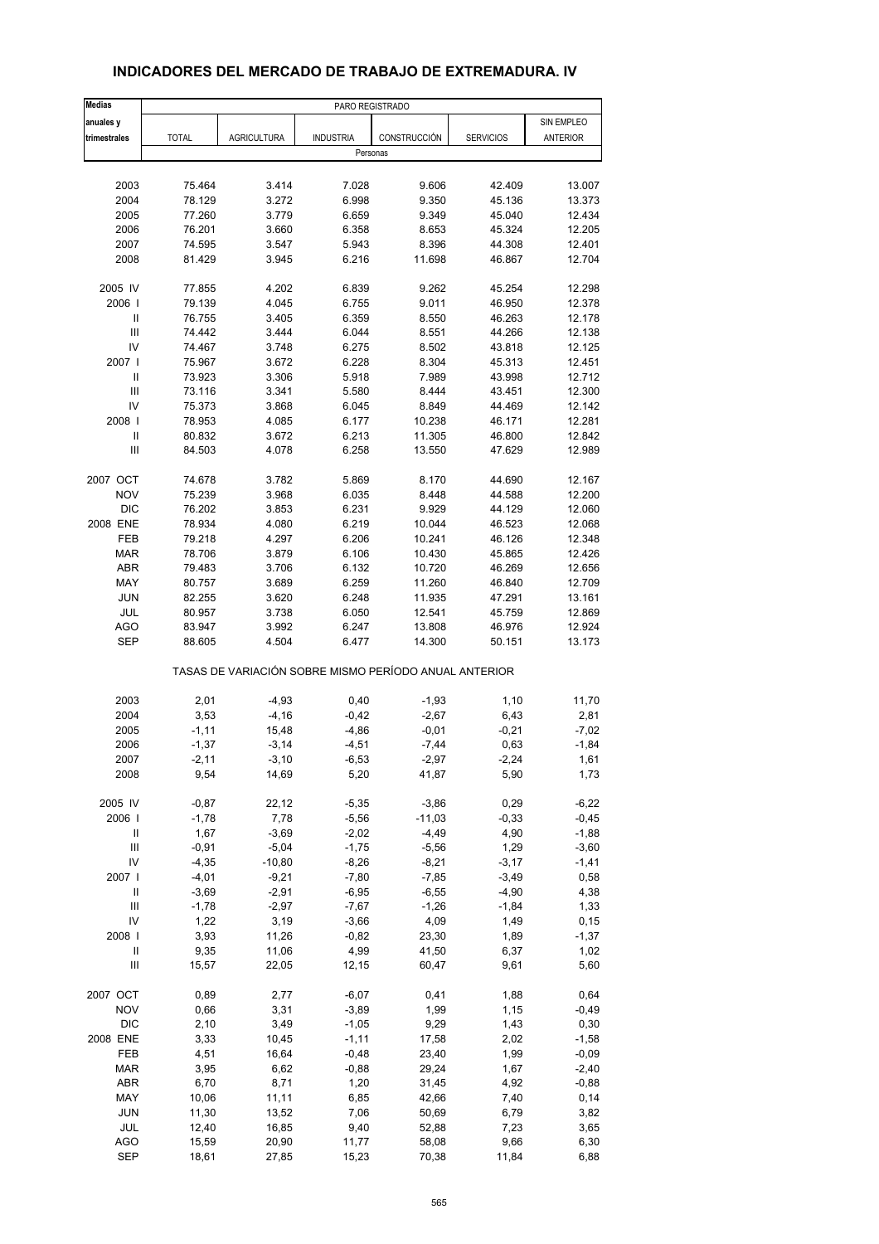| <b>Medias</b>              | PARO REGISTRADO |                                                       |                  |              |                  |                 |  |
|----------------------------|-----------------|-------------------------------------------------------|------------------|--------------|------------------|-----------------|--|
| anuales y                  |                 |                                                       |                  |              |                  | SIN EMPLEO      |  |
| trimestrales               | <b>TOTAL</b>    | <b>AGRICULTURA</b>                                    | <b>INDUSTRIA</b> | CONSTRUCCIÓN | <b>SERVICIOS</b> | <b>ANTERIOR</b> |  |
|                            |                 |                                                       | Personas         |              |                  |                 |  |
|                            |                 |                                                       |                  |              |                  |                 |  |
| 2003                       | 75.464          | 3.414                                                 | 7.028            | 9.606        | 42.409           | 13.007          |  |
| 2004                       | 78.129          | 3.272                                                 | 6.998            | 9.350        | 45.136           | 13.373          |  |
| 2005                       | 77.260          | 3.779                                                 | 6.659            | 9.349        | 45.040           | 12.434          |  |
| 2006                       | 76.201          | 3.660                                                 | 6.358            | 8.653        | 45.324           | 12.205          |  |
| 2007                       | 74.595          | 3.547                                                 | 5.943            | 8.396        | 44.308           | 12.401          |  |
| 2008                       | 81.429          | 3.945                                                 | 6.216            | 11.698       | 46.867           | 12.704          |  |
| 2005 IV                    | 77.855          | 4.202                                                 | 6.839            | 9.262        | 45.254           | 12.298          |  |
| 2006                       | 79.139          | 4.045                                                 | 6.755            | 9.011        | 46.950           | 12.378          |  |
| Ш                          | 76.755          | 3.405                                                 | 6.359            | 8.550        | 46.263           | 12.178          |  |
| $\mathbf{III}$             | 74.442          | 3.444                                                 | 6.044            | 8.551        | 44.266           | 12.138          |  |
| IV                         | 74.467          | 3.748                                                 | 6.275            | 8.502        | 43.818           | 12.125          |  |
| 2007 l                     | 75.967          | 3.672                                                 | 6.228            | 8.304        | 45.313           | 12.451          |  |
| $\ensuremath{\mathsf{II}}$ | 73.923          | 3.306                                                 | 5.918            | 7.989        | 43.998           | 12.712          |  |
| Ш                          | 73.116          | 3.341                                                 | 5.580            | 8.444        | 43.451           | 12.300          |  |
| IV                         | 75.373          | 3.868                                                 | 6.045            | 8.849        | 44.469           | 12.142          |  |
| 2008                       | 78.953          | 4.085                                                 | 6.177            | 10.238       | 46.171           | 12.281          |  |
| $\ensuremath{\mathsf{II}}$ | 80.832          | 3.672                                                 | 6.213            | 11.305       | 46.800           | 12.842          |  |
| Ш                          | 84.503          | 4.078                                                 | 6.258            | 13.550       | 47.629           | 12.989          |  |
|                            |                 |                                                       |                  |              |                  |                 |  |
| 2007 OCT                   | 74.678          | 3.782                                                 | 5.869            | 8.170        | 44.690           | 12.167          |  |
| <b>NOV</b>                 | 75.239          | 3.968                                                 | 6.035            | 8.448        | 44.588           | 12.200          |  |
| <b>DIC</b>                 | 76.202          | 3.853                                                 | 6.231            | 9.929        | 44.129           | 12.060          |  |
| 2008 ENE                   | 78.934          | 4.080                                                 | 6.219            | 10.044       | 46.523           | 12.068          |  |
| FEB                        | 79.218          | 4.297                                                 | 6.206            | 10.241       | 46.126           | 12.348          |  |
| <b>MAR</b>                 | 78.706          | 3.879                                                 | 6.106            | 10.430       | 45.865           | 12.426          |  |
| <b>ABR</b>                 | 79.483          | 3.706                                                 | 6.132            | 10.720       | 46.269           | 12.656          |  |
| MAY                        | 80.757          | 3.689                                                 | 6.259            | 11.260       | 46.840           | 12.709          |  |
| <b>JUN</b>                 | 82.255          | 3.620                                                 | 6.248            | 11.935       | 47.291           | 13.161          |  |
| <b>JUL</b>                 | 80.957          | 3.738                                                 | 6.050            | 12.541       | 45.759           | 12.869          |  |
| <b>AGO</b>                 | 83.947          | 3.992                                                 | 6.247            | 13.808       | 46.976           | 12.924          |  |
| <b>SEP</b>                 | 88.605          | 4.504                                                 | 6.477            | 14.300       | 50.151           | 13.173          |  |
|                            |                 | TASAS DE VARIACIÓN SOBRE MISMO PERÍODO ANUAL ANTERIOR |                  |              |                  |                 |  |
| 2003                       | 2,01            | $-4,93$                                               | 0,40             | $-1,93$      | 1,10             | 11,70           |  |
| 2004                       | 3,53            | $-4,16$                                               | $-0,42$          | $-2,67$      | 6,43             | 2,81            |  |
| 2005                       | $-1, 11$        | 15,48                                                 | -4,86            | $-0,01$      | $-0,21$          | $-7,02$         |  |
| 2006                       | $-1,37$         | $-3,14$                                               | $-4,51$          | $-7,44$      | 0,63             | $-1,84$         |  |
| 2007                       | -2,11           | $-3,10$                                               | -6,53            | -2,97        | -2,24            | 1,61            |  |
| 2008                       | 9,54            | 14,69                                                 | 5,20             | 41,87        | 5,90             | 1,73            |  |
| 2005 IV                    | $-0,87$         | 22,12                                                 | $-5,35$          | $-3,86$      | 0,29             | $-6,22$         |  |
| 2006                       | $-1,78$         | 7,78                                                  | $-5,56$          | $-11,03$     | $-0,33$          | $-0,45$         |  |
| $\ensuremath{\mathsf{II}}$ | 1,67            | $-3,69$                                               | $-2,02$          | $-4,49$      | 4,90             | $-1,88$         |  |
| $\mathsf{III}$             | $-0,91$         | $-5,04$                                               | $-1,75$          | $-5,56$      | 1,29             | $-3,60$         |  |
| IV                         | $-4,35$         | $-10,80$                                              | $-8,26$          | $-8,21$      | $-3,17$          | $-1,41$         |  |
| 2007 l                     | $-4,01$         | $-9,21$                                               | $-7,80$          | $-7,85$      | $-3,49$          | 0,58            |  |
| $\sf II$                   | $-3,69$         | $-2,91$                                               | $-6,95$          | $-6,55$      | $-4,90$          | 4,38            |  |
| Ш                          | $-1,78$         | $-2,97$                                               | $-7,67$          | $-1,26$      | $-1,84$          | 1,33            |  |
| IV                         | 1,22            | 3,19                                                  | $-3,66$          | 4,09         | 1,49             | 0, 15           |  |
| 2008                       | 3,93            | 11,26                                                 | $-0,82$          | 23,30        | 1,89             | $-1,37$         |  |
| Ш                          | 9,35            | 11,06                                                 | 4,99             | 41,50        | 6,37             | 1,02            |  |
| Ш                          | 15,57           | 22,05                                                 | 12,15            | 60,47        | 9,61             | 5,60            |  |
|                            |                 |                                                       |                  |              |                  |                 |  |
| 2007 OCT                   | 0,89            | 2,77                                                  | -6,07            | 0,41         | 1,88             | 0,64            |  |
| <b>NOV</b>                 | 0,66            | 3,31                                                  | $-3,89$          | 1,99         | 1,15             | $-0,49$         |  |
| <b>DIC</b>                 | 2,10            | 3,49                                                  | $-1,05$          | 9,29         | 1,43             | 0,30            |  |
| 2008 ENE                   | 3,33            | 10,45                                                 | $-1, 11$         | 17,58        | 2,02             | $-1,58$         |  |
| FEB                        | 4,51            | 16,64                                                 | $-0,48$          | 23,40        | 1,99             | $-0,09$         |  |
| <b>MAR</b>                 | 3,95            | 6,62                                                  | $-0,88$          | 29,24        | 1,67             | $-2,40$         |  |
| ABR                        | 6,70            | 8,71                                                  | 1,20             | 31,45        | 4,92             | $-0,88$         |  |
| MAY                        | 10,06           | 11,11                                                 | 6,85             | 42,66        | 7,40             | 0,14            |  |
| <b>JUN</b>                 | 11,30           | 13,52                                                 | 7,06             | 50,69        | 6,79             | 3,82            |  |
| JUL                        | 12,40           | 16,85                                                 | 9,40             | 52,88        | 7,23             | 3,65            |  |
| <b>AGO</b>                 | 15,59           | 20,90                                                 | 11,77            | 58,08        | 9,66             | 6,30            |  |
| <b>SEP</b>                 | 18,61           | 27,85                                                 | 15,23            | 70,38        | 11,84            | 6,88            |  |

## **INDICADORES DEL MERCADO DE TRABAJO DE EXTREMADURA. IV**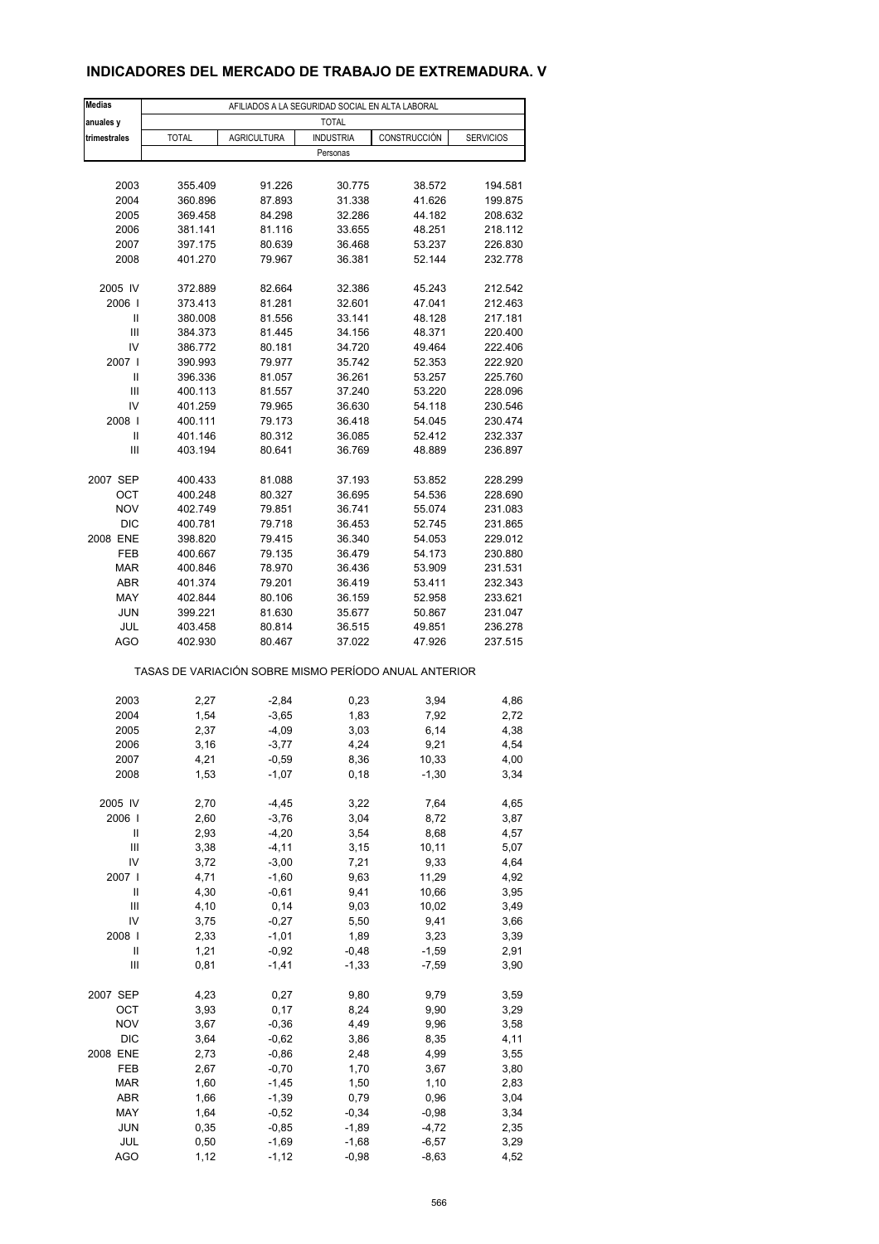## **INDICADORES DEL MERCADO DE TRABAJO DE EXTREMADURA. V**

| <b>Medias</b>     | AFILIADOS A LA SEGURIDAD SOCIAL EN ALTA LABORAL       |                    |                  |                  |                    |  |  |  |  |
|-------------------|-------------------------------------------------------|--------------------|------------------|------------------|--------------------|--|--|--|--|
| anuales y         | <b>TOTAL</b>                                          |                    |                  |                  |                    |  |  |  |  |
| trimestrales      | <b>TOTAL</b>                                          | <b>AGRICULTURA</b> | <b>INDUSTRIA</b> | CONSTRUCCIÓN     | <b>SERVICIOS</b>   |  |  |  |  |
|                   |                                                       |                    | Personas         |                  |                    |  |  |  |  |
|                   |                                                       |                    |                  |                  |                    |  |  |  |  |
| 2003              | 355.409                                               | 91.226             | 30.775           | 38.572           | 194.581            |  |  |  |  |
| 2004              | 360.896                                               | 87.893             | 31.338           | 41.626           | 199.875            |  |  |  |  |
| 2005              | 369.458                                               | 84.298             | 32.286           | 44.182           | 208.632            |  |  |  |  |
| 2006              | 381.141                                               | 81.116             | 33.655           | 48.251           | 218.112            |  |  |  |  |
| 2007              | 397.175                                               | 80.639             | 36.468           | 53.237           | 226.830            |  |  |  |  |
| 2008              | 401.270                                               | 79.967             | 36.381           | 52.144           | 232.778            |  |  |  |  |
|                   |                                                       |                    |                  |                  |                    |  |  |  |  |
| 2005 IV           | 372.889                                               | 82.664             | 32.386           | 45.243           | 212.542            |  |  |  |  |
| 2006              | 373.413                                               | 81.281             | 32.601           | 47.041           | 212.463            |  |  |  |  |
| Ш                 | 380.008                                               | 81.556             | 33.141           | 48.128           | 217.181            |  |  |  |  |
| Ш                 | 384.373                                               | 81.445             | 34.156           | 48.371           | 220.400            |  |  |  |  |
| IV                | 386.772                                               | 80.181             | 34.720           | 49.464           | 222.406            |  |  |  |  |
| 2007 l            | 390.993                                               | 79.977             | 35.742           | 52.353           | 222.920            |  |  |  |  |
| Ш                 | 396.336                                               | 81.057             | 36.261           | 53.257           | 225.760            |  |  |  |  |
| Ш                 | 400.113                                               | 81.557             | 37.240           | 53.220           | 228.096            |  |  |  |  |
| IV                | 401.259                                               | 79.965             | 36.630           | 54.118           | 230.546            |  |  |  |  |
| 2008              | 400.111                                               | 79.173             | 36.418           | 54.045           | 230.474            |  |  |  |  |
| $\mathsf{I}$      | 401.146                                               | 80.312             | 36.085           | 52.412           | 232.337            |  |  |  |  |
| Ш                 | 403.194                                               | 80.641             | 36.769           | 48.889           | 236.897            |  |  |  |  |
|                   |                                                       |                    |                  |                  |                    |  |  |  |  |
| 2007 SEP          | 400.433                                               | 81.088             | 37.193           | 53.852           | 228.299            |  |  |  |  |
| ОСТ               | 400.248                                               | 80.327             | 36.695           | 54.536           | 228.690            |  |  |  |  |
| <b>NOV</b>        | 402.749                                               | 79.851             | 36.741           | 55.074           | 231.083            |  |  |  |  |
| <b>DIC</b>        | 400.781                                               | 79.718             | 36.453           | 52.745           | 231.865            |  |  |  |  |
| 2008 ENE          | 398.820                                               | 79.415             | 36.340           | 54.053           | 229.012            |  |  |  |  |
| FEB               | 400.667                                               | 79.135             | 36.479           | 54.173           | 230.880            |  |  |  |  |
| <b>MAR</b>        | 400.846                                               | 78.970             | 36.436           | 53.909           | 231.531            |  |  |  |  |
| <b>ABR</b><br>MAY | 401.374                                               | 79.201             | 36.419           | 53.411<br>52.958 | 232.343            |  |  |  |  |
| <b>JUN</b>        | 402.844<br>399.221                                    | 80.106<br>81.630   | 36.159<br>35.677 | 50.867           | 233.621<br>231.047 |  |  |  |  |
| JUL               | 403.458                                               | 80.814             | 36.515           | 49.851           | 236.278            |  |  |  |  |
| <b>AGO</b>        | 402.930                                               | 80.467             | 37.022           | 47.926           | 237.515            |  |  |  |  |
|                   |                                                       |                    |                  |                  |                    |  |  |  |  |
|                   | TASAS DE VARIACIÓN SOBRE MISMO PERÍODO ANUAL ANTERIOR |                    |                  |                  |                    |  |  |  |  |
|                   |                                                       |                    |                  |                  |                    |  |  |  |  |
| 2003              | 2,27                                                  | $-2,84$            | 0,23             | 3,94             | 4,86               |  |  |  |  |
| 2004              | 1,54                                                  | $-3,65$            | 1,83             | 7,92             | 2,72               |  |  |  |  |
| 2005              | 2,37                                                  | $-4,09$            | 3,03             | 6,14             | 4,38               |  |  |  |  |
| 2006              | 3,16                                                  | $-3,77$            | 4,24             | 9,21             | 4,54               |  |  |  |  |
| 2007              | 4,21                                                  | -0,59              | 8,36             | 10,33            | 4,00               |  |  |  |  |
| 2008              | 1,53                                                  | $-1,07$            | 0, 18            | $-1,30$          | 3,34               |  |  |  |  |
|                   |                                                       |                    |                  |                  |                    |  |  |  |  |
| 2005 IV           | 2,70                                                  | $-4,45$            | 3,22             | 7,64             | 4,65               |  |  |  |  |
| 2006              | 2,60                                                  | $-3,76$            | 3,04             | 8,72             | 3,87               |  |  |  |  |
| Ш                 | 2,93                                                  | $-4,20$            | 3,54             | 8,68             | 4,57               |  |  |  |  |
| Ш                 | 3,38                                                  | $-4, 11$           | 3,15             | 10, 11           | 5,07               |  |  |  |  |
| IV<br>2007 l      | 3,72                                                  | $-3,00$            | 7,21             | 9,33             | 4,64               |  |  |  |  |
| Ш                 | 4,71<br>4,30                                          | $-1,60$<br>$-0,61$ | 9,63             | 11,29            | 4,92               |  |  |  |  |
| Ш                 | 4,10                                                  | 0,14               | 9,41<br>9,03     | 10,66<br>10,02   | 3,95<br>3,49       |  |  |  |  |
| IV                | 3,75                                                  | $-0,27$            | 5,50             | 9,41             | 3,66               |  |  |  |  |
| 2008              | 2,33                                                  | $-1,01$            | 1,89             | 3,23             | 3,39               |  |  |  |  |
| Ш                 | 1,21                                                  | $-0,92$            | $-0,48$          | $-1,59$          | 2,91               |  |  |  |  |
| $\mathsf{III}$    | 0,81                                                  | $-1,41$            | $-1,33$          | $-7,59$          | 3,90               |  |  |  |  |
|                   |                                                       |                    |                  |                  |                    |  |  |  |  |
| 2007 SEP          | 4,23                                                  | 0,27               | 9,80             | 9,79             | 3,59               |  |  |  |  |
| OCT               | 3,93                                                  | 0,17               | 8,24             | 9,90             | 3,29               |  |  |  |  |
| <b>NOV</b>        | 3,67                                                  | $-0,36$            | 4,49             | 9,96             | 3,58               |  |  |  |  |
| <b>DIC</b>        | 3,64                                                  | $-0,62$            | 3,86             | 8,35             | 4,11               |  |  |  |  |
| 2008 ENE          | 2,73                                                  | $-0,86$            | 2,48             | 4,99             | 3,55               |  |  |  |  |
| FEB               | 2,67                                                  | $-0,70$            | 1,70             | 3,67             | 3,80               |  |  |  |  |
| <b>MAR</b>        | 1,60                                                  | $-1,45$            | 1,50             | 1,10             | 2,83               |  |  |  |  |
| ABR               | 1,66                                                  | $-1,39$            | 0,79             | 0,96             | 3,04               |  |  |  |  |
| MAY               | 1,64                                                  | $-0,52$            | $-0,34$          | $-0,98$          | 3,34               |  |  |  |  |
| <b>JUN</b>        | 0,35                                                  | $-0,85$            | $-1,89$          | $-4,72$          | 2,35               |  |  |  |  |
| JUL               | 0,50                                                  | $-1,69$            | $-1,68$          | $-6,57$          | 3,29               |  |  |  |  |
| <b>AGO</b>        | 1,12                                                  | $-1, 12$           | $-0,98$          | $-8,63$          | 4,52               |  |  |  |  |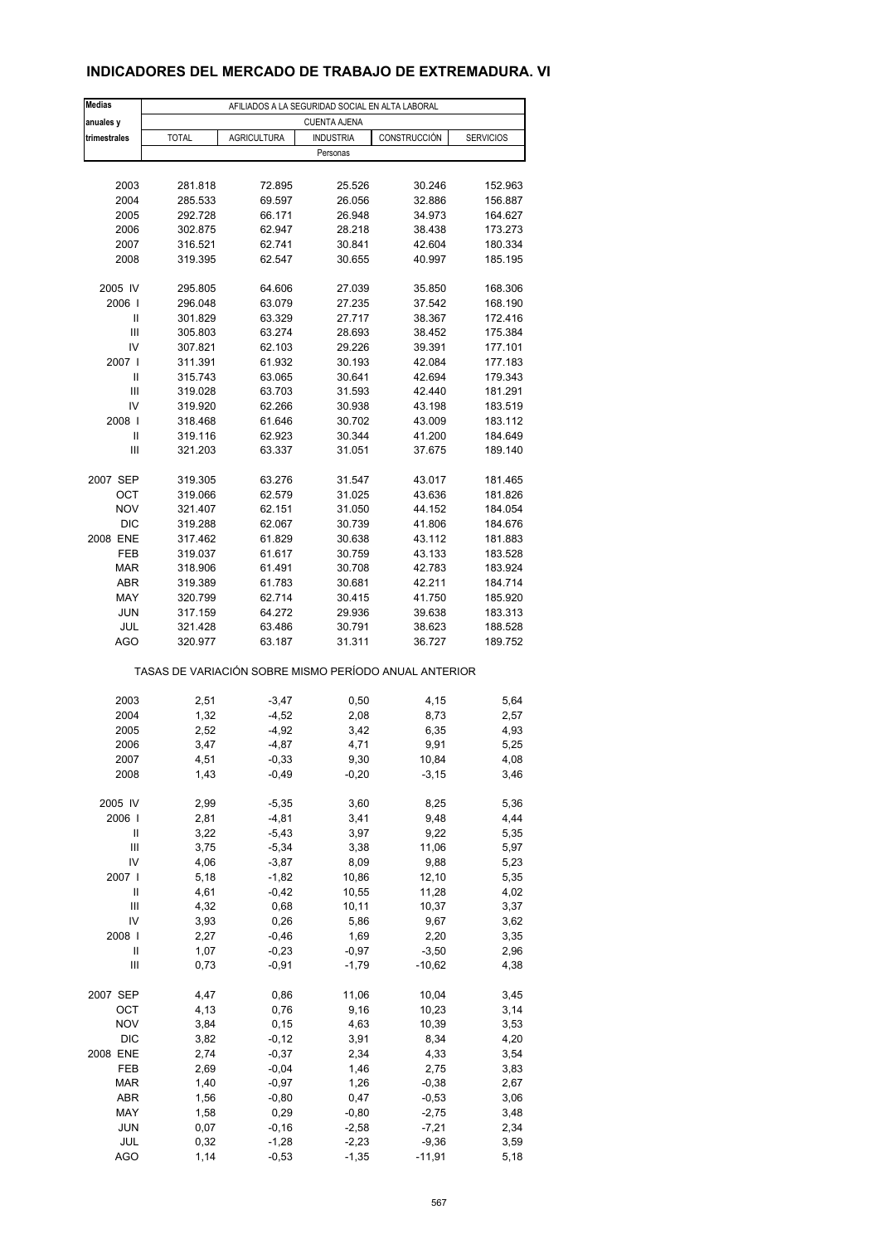## **INDICADORES DEL MERCADO DE TRABAJO DE EXTREMADURA. VI**

| <b>Medias</b>  | AFILIADOS A LA SEGURIDAD SOCIAL EN ALTA LABORAL       |                    |                     |              |                  |  |  |  |  |  |
|----------------|-------------------------------------------------------|--------------------|---------------------|--------------|------------------|--|--|--|--|--|
| anuales y      |                                                       |                    | <b>CUENTA AJENA</b> |              |                  |  |  |  |  |  |
| trimestrales   | <b>TOTAL</b>                                          | <b>AGRICULTURA</b> | <b>INDUSTRIA</b>    | CONSTRUCCIÓN | <b>SERVICIOS</b> |  |  |  |  |  |
|                |                                                       |                    | Personas            |              |                  |  |  |  |  |  |
|                |                                                       |                    |                     |              |                  |  |  |  |  |  |
| 2003           | 281.818                                               | 72.895             | 25.526              | 30.246       | 152.963          |  |  |  |  |  |
| 2004           | 285.533                                               | 69.597             | 26.056              | 32.886       | 156.887          |  |  |  |  |  |
| 2005           | 292.728                                               | 66.171             | 26.948              | 34.973       | 164.627          |  |  |  |  |  |
| 2006           | 302.875                                               | 62.947             | 28.218              | 38.438       | 173.273          |  |  |  |  |  |
| 2007           | 316.521                                               | 62.741             | 30.841              | 42.604       | 180.334          |  |  |  |  |  |
| 2008           | 319.395                                               | 62.547             | 30.655              | 40.997       | 185.195          |  |  |  |  |  |
| 2005 IV        | 295.805                                               | 64.606             | 27.039              | 35.850       | 168.306          |  |  |  |  |  |
| 2006           | 296.048                                               | 63.079             | 27.235              | 37.542       | 168.190          |  |  |  |  |  |
| Ш              | 301.829                                               | 63.329             | 27.717              | 38.367       | 172.416          |  |  |  |  |  |
| $\mathsf{III}$ | 305.803                                               | 63.274             | 28.693              | 38.452       | 175.384          |  |  |  |  |  |
| IV             | 307.821                                               | 62.103             | 29.226              | 39.391       | 177.101          |  |  |  |  |  |
| 2007 l         | 311.391                                               | 61.932             | 30.193              | 42.084       | 177.183          |  |  |  |  |  |
| Ш              | 315.743                                               | 63.065             | 30.641              | 42.694       | 179.343          |  |  |  |  |  |
| Ш              | 319.028                                               | 63.703             | 31.593              | 42.440       | 181.291          |  |  |  |  |  |
| IV             | 319.920                                               | 62.266             | 30.938              | 43.198       | 183.519          |  |  |  |  |  |
| 2008           | 318.468                                               | 61.646             | 30.702              | 43.009       | 183.112          |  |  |  |  |  |
| Ш              | 319.116                                               | 62.923             | 30.344              | 41.200       | 184.649          |  |  |  |  |  |
| Ш              | 321.203                                               | 63.337             | 31.051              | 37.675       | 189.140          |  |  |  |  |  |
| 2007 SEP       | 319.305                                               | 63.276             | 31.547              | 43.017       | 181.465          |  |  |  |  |  |
| OCT            | 319.066                                               | 62.579             | 31.025              | 43.636       | 181.826          |  |  |  |  |  |
| <b>NOV</b>     | 321.407                                               | 62.151             | 31.050              | 44.152       | 184.054          |  |  |  |  |  |
| <b>DIC</b>     | 319.288                                               | 62.067             | 30.739              | 41.806       | 184.676          |  |  |  |  |  |
| 2008 ENE       | 317.462                                               | 61.829             | 30.638              | 43.112       | 181.883          |  |  |  |  |  |
| FEB            | 319.037                                               | 61.617             | 30.759              | 43.133       | 183.528          |  |  |  |  |  |
| <b>MAR</b>     | 318.906                                               | 61.491             | 30.708              | 42.783       | 183.924          |  |  |  |  |  |
| <b>ABR</b>     | 319.389                                               | 61.783             | 30.681              | 42.211       | 184.714          |  |  |  |  |  |
| MAY            | 320.799                                               | 62.714             | 30.415              | 41.750       | 185.920          |  |  |  |  |  |
| <b>JUN</b>     | 317.159                                               | 64.272             | 29.936              | 39.638       | 183.313          |  |  |  |  |  |
| JUL            | 321.428                                               | 63.486             | 30.791              | 38.623       | 188.528          |  |  |  |  |  |
| AGO            | 320.977                                               | 63.187             | 31.311              | 36.727       | 189.752          |  |  |  |  |  |
|                | TASAS DE VARIACIÓN SOBRE MISMO PERÍODO ANUAL ANTERIOR |                    |                     |              |                  |  |  |  |  |  |
| 2003           | 2,51                                                  | $-3,47$            | 0,50                | 4,15         | 5,64             |  |  |  |  |  |
| 2004           | 1,32                                                  | $-4,52$            | 2,08                | 8,73         | 2,57             |  |  |  |  |  |
| 2005           | 2,52                                                  | $-4,92$            | 3,42                | 6,35         | 4,93             |  |  |  |  |  |
| 2006           | 3,47                                                  | $-4,87$            | 4,71                | 9,91         | 5,25             |  |  |  |  |  |
| 2007           | 4,51                                                  | -0,33              | 9,30                | 10,84        | 4,08             |  |  |  |  |  |
| 2008           | 1,43                                                  | $-0,49$            | $-0,20$             | $-3,15$      | 3,46             |  |  |  |  |  |
| 2005 IV        | 2,99                                                  | $-5,35$            | 3,60                | 8,25         | 5,36             |  |  |  |  |  |
| 2006           | 2,81                                                  | $-4,81$            | 3,41                | 9,48         | 4,44             |  |  |  |  |  |
| Ш              | 3,22                                                  | $-5,43$            | 3,97                | 9,22         | 5,35             |  |  |  |  |  |
| Ш              | 3,75                                                  | $-5,34$            | 3,38                | 11,06        | 5,97             |  |  |  |  |  |
| IV             | 4,06                                                  | $-3,87$            | 8,09                | 9,88         | 5,23             |  |  |  |  |  |
| 2007           | 5,18                                                  | $-1,82$            | 10,86               | 12,10        | 5,35             |  |  |  |  |  |
| Ш              | 4,61                                                  | $-0,42$            | 10,55               | 11,28        | 4,02             |  |  |  |  |  |
| Ш              | 4,32                                                  | 0,68               | 10,11               | 10,37        | 3,37             |  |  |  |  |  |
| IV             | 3,93                                                  | 0,26               | 5,86                | 9,67         | 3,62             |  |  |  |  |  |
| 2008           | 2,27                                                  | $-0,46$            | 1,69                | 2,20         | 3,35             |  |  |  |  |  |
| Ш              | 1,07                                                  | $-0,23$            | $-0,97$             | $-3,50$      | 2,96             |  |  |  |  |  |
| $\mathsf{III}$ | 0,73                                                  | $-0,91$            | $-1,79$             | $-10,62$     | 4,38             |  |  |  |  |  |
| 2007 SEP       | 4,47                                                  | 0,86               | 11,06               | 10,04        | 3,45             |  |  |  |  |  |
| OCT            | 4,13                                                  | 0,76               | 9,16                | 10,23        | 3,14             |  |  |  |  |  |
| <b>NOV</b>     | 3,84                                                  | 0, 15              | 4,63                | 10,39        | 3,53             |  |  |  |  |  |
| DIC            | 3,82                                                  | $-0,12$            | 3,91                | 8,34         | 4,20             |  |  |  |  |  |
| 2008 ENE       | 2,74                                                  | $-0,37$            | 2,34                | 4,33         | 3,54             |  |  |  |  |  |
| FEB            | 2,69                                                  | $-0,04$            | 1,46                | 2,75         | 3,83             |  |  |  |  |  |
| <b>MAR</b>     | 1,40                                                  | $-0,97$            | 1,26                | $-0,38$      | 2,67             |  |  |  |  |  |
| ABR            | 1,56                                                  | $-0,80$            | 0,47                | $-0,53$      | 3,06             |  |  |  |  |  |
| MAY            | 1,58                                                  | 0,29               | $-0,80$             | $-2,75$      | 3,48             |  |  |  |  |  |
| <b>JUN</b>     | 0,07                                                  | $-0,16$            | $-2,58$             | $-7,21$      | 2,34             |  |  |  |  |  |
| JUL            | 0,32                                                  | $-1,28$            | $-2,23$             | $-9,36$      | 3,59             |  |  |  |  |  |
| <b>AGO</b>     | 1,14                                                  | $-0,53$            | $-1,35$             | $-11,91$     | 5,18             |  |  |  |  |  |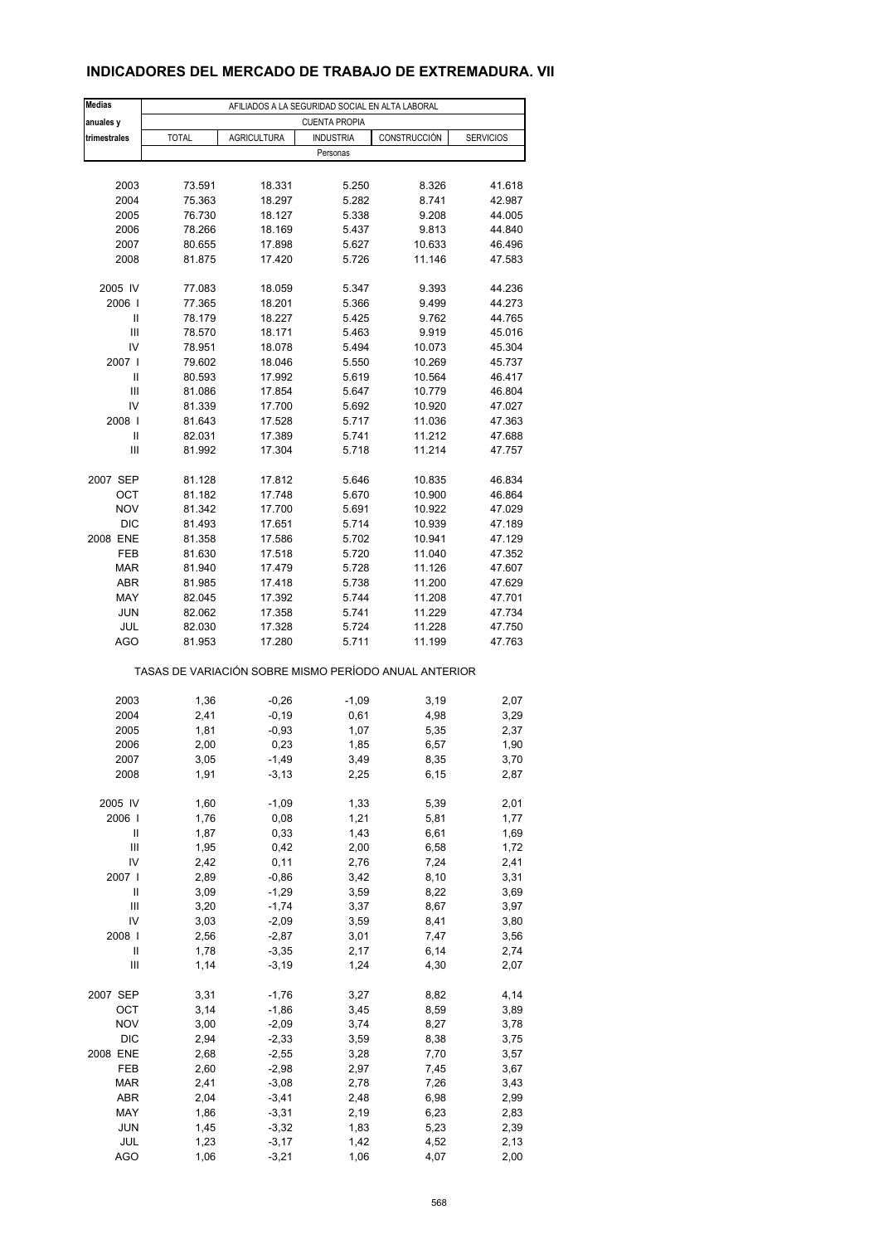#### **INDICADORES DEL MERCADO DE TRABAJO DE EXTREMADURA. VII**

| <b>Medias</b>            | AFILIADOS A LA SEGURIDAD SOCIAL EN ALTA LABORAL       |                    |                  |                  |                  |  |  |  |  |  |
|--------------------------|-------------------------------------------------------|--------------------|------------------|------------------|------------------|--|--|--|--|--|
| anuales y                | <b>CUENTA PROPIA</b>                                  |                    |                  |                  |                  |  |  |  |  |  |
| trimestrales             | <b>TOTAL</b>                                          | <b>AGRICULTURA</b> | <b>INDUSTRIA</b> | CONSTRUCCIÓN     | <b>SERVICIOS</b> |  |  |  |  |  |
|                          |                                                       |                    | Personas         |                  |                  |  |  |  |  |  |
|                          |                                                       |                    |                  |                  |                  |  |  |  |  |  |
| 2003                     | 73.591                                                | 18.331             | 5.250            | 8.326            | 41.618           |  |  |  |  |  |
| 2004                     | 75.363                                                | 18.297             | 5.282            | 8.741            | 42.987           |  |  |  |  |  |
| 2005                     | 76.730                                                | 18.127             | 5.338            | 9.208            | 44.005           |  |  |  |  |  |
| 2006                     | 78.266                                                | 18.169             | 5.437            | 9.813            | 44.840           |  |  |  |  |  |
| 2007                     | 80.655                                                | 17.898             | 5.627            | 10.633           | 46.496           |  |  |  |  |  |
| 2008                     | 81.875                                                | 17.420             | 5.726            | 11.146           | 47.583           |  |  |  |  |  |
|                          |                                                       |                    |                  |                  |                  |  |  |  |  |  |
| 2005 IV<br>2006          | 77.083<br>77.365                                      | 18.059<br>18.201   | 5.347<br>5.366   | 9.393<br>9.499   | 44.236<br>44.273 |  |  |  |  |  |
| Ш                        | 78.179                                                | 18.227             | 5.425            | 9.762            | 44.765           |  |  |  |  |  |
| Ш                        | 78.570                                                | 18.171             | 5.463            | 9.919            | 45.016           |  |  |  |  |  |
| IV                       | 78.951                                                | 18.078             | 5.494            | 10.073           | 45.304           |  |  |  |  |  |
| 2007 l                   | 79.602                                                | 18.046             | 5.550            | 10.269           | 45.737           |  |  |  |  |  |
| Ш                        | 80.593                                                | 17.992             | 5.619            | 10.564           | 46.417           |  |  |  |  |  |
| Ш                        | 81.086                                                | 17.854             | 5.647            | 10.779           | 46.804           |  |  |  |  |  |
| IV                       | 81.339                                                | 17.700             | 5.692            | 10.920           | 47.027           |  |  |  |  |  |
| 2008                     | 81.643                                                | 17.528             | 5.717            | 11.036           | 47.363           |  |  |  |  |  |
| Ш                        | 82.031                                                | 17.389             | 5.741            | 11.212           | 47.688           |  |  |  |  |  |
| Ш                        | 81.992                                                | 17.304             | 5.718            | 11.214           | 47.757           |  |  |  |  |  |
|                          |                                                       |                    |                  |                  |                  |  |  |  |  |  |
| 2007 SEP                 | 81.128                                                | 17.812             | 5.646            | 10.835           | 46.834           |  |  |  |  |  |
| ОСТ                      | 81.182                                                | 17.748             | 5.670            | 10.900           | 46.864           |  |  |  |  |  |
| <b>NOV</b><br><b>DIC</b> | 81.342<br>81.493                                      | 17.700<br>17.651   | 5.691<br>5.714   | 10.922<br>10.939 | 47.029<br>47.189 |  |  |  |  |  |
| 2008 ENE                 |                                                       | 17.586             | 5.702            | 10.941           | 47.129           |  |  |  |  |  |
| FEB                      | 81.358<br>81.630                                      | 17.518             | 5.720            | 11.040           | 47.352           |  |  |  |  |  |
| <b>MAR</b>               | 81.940                                                | 17.479             | 5.728            | 11.126           | 47.607           |  |  |  |  |  |
| ABR                      | 81.985                                                | 17.418             | 5.738            | 11.200           | 47.629           |  |  |  |  |  |
| MAY                      | 82.045                                                | 17.392             | 5.744            | 11.208           | 47.701           |  |  |  |  |  |
| <b>JUN</b>               | 82.062                                                | 17.358             | 5.741            | 11.229           | 47.734           |  |  |  |  |  |
| JUL                      | 82.030                                                | 17.328             | 5.724            | 11.228           | 47.750           |  |  |  |  |  |
| AGO                      | 81.953                                                | 17.280             | 5.711            | 11.199           | 47.763           |  |  |  |  |  |
|                          | TASAS DE VARIACIÓN SOBRE MISMO PERÍODO ANUAL ANTERIOR |                    |                  |                  |                  |  |  |  |  |  |
| 2003                     |                                                       |                    |                  | 3,19             |                  |  |  |  |  |  |
| 2004                     | 1,36<br>2,41                                          | $-0,26$<br>$-0,19$ | $-1,09$<br>0,61  | 4,98             | 2,07<br>3,29     |  |  |  |  |  |
| 2005                     | 1,81                                                  | $-0,93$            | 1,07             | 5,35             | 2,37             |  |  |  |  |  |
| 2006                     | 2,00                                                  | 0,23               | 1,85             | 6,57             | 1,90             |  |  |  |  |  |
| 2007                     | 3,05                                                  | -1,49              | 3,49             | 8,35             | 3,70             |  |  |  |  |  |
| 2008                     | 1,91                                                  | $-3, 13$           | 2,25             | 6, 15            | 2,87             |  |  |  |  |  |
|                          |                                                       |                    |                  |                  |                  |  |  |  |  |  |
| 2005 IV                  | 1,60                                                  | $-1,09$            | 1,33             | 5,39             | 2,01             |  |  |  |  |  |
| 2006                     | 1,76                                                  | 0,08               | 1,21             | 5,81             | 1,77             |  |  |  |  |  |
| Ш                        | 1,87                                                  | 0,33               | 1,43             | 6,61             | 1,69             |  |  |  |  |  |
| Ш                        | 1,95                                                  | 0,42               | 2,00             | 6,58             | 1,72             |  |  |  |  |  |
| IV                       | 2,42                                                  | 0,11               | 2,76             | 7,24             | 2,41             |  |  |  |  |  |
| 2007 l<br>Ш              | 2,89                                                  | $-0,86$            | 3,42             | 8,10<br>8,22     | 3,31             |  |  |  |  |  |
| Ш                        | 3,09<br>3,20                                          | $-1,29$<br>$-1,74$ | 3,59<br>3,37     | 8,67             | 3,69<br>3,97     |  |  |  |  |  |
| IV                       | 3,03                                                  | $-2,09$            | 3,59             | 8,41             | 3,80             |  |  |  |  |  |
| 2008                     | 2,56                                                  | $-2,87$            | 3,01             | 7,47             | 3,56             |  |  |  |  |  |
| Ш                        | 1,78                                                  | $-3,35$            | 2,17             | 6,14             | 2,74             |  |  |  |  |  |
| Ш                        | 1,14                                                  | $-3,19$            | 1,24             | 4,30             | 2,07             |  |  |  |  |  |
|                          |                                                       |                    |                  |                  |                  |  |  |  |  |  |
| 2007 SEP                 | 3,31                                                  | $-1,76$            | 3,27             | 8,82             | 4,14             |  |  |  |  |  |
| OCT                      | 3,14                                                  | $-1,86$            | 3,45             | 8,59             | 3,89             |  |  |  |  |  |
| <b>NOV</b>               | 3,00                                                  | $-2,09$            | 3,74             | 8,27             | 3,78             |  |  |  |  |  |
| DIC                      | 2,94                                                  | $-2,33$            | 3,59             | 8,38             | 3,75             |  |  |  |  |  |
| 2008 ENE                 | 2,68                                                  | $-2,55$            | 3,28             | 7,70             | 3,57             |  |  |  |  |  |
| FEB<br><b>MAR</b>        | 2,60<br>2,41                                          | $-2,98$<br>$-3,08$ | 2,97<br>2,78     | 7,45<br>7,26     | 3,67             |  |  |  |  |  |
| ABR                      | 2,04                                                  | $-3,41$            | 2,48             | 6,98             | 3,43<br>2,99     |  |  |  |  |  |
| MAY                      | 1,86                                                  | $-3,31$            | 2,19             | 6,23             | 2,83             |  |  |  |  |  |
| <b>JUN</b>               | 1,45                                                  | $-3,32$            | 1,83             | 5,23             | 2,39             |  |  |  |  |  |
| JUL                      | 1,23                                                  | $-3,17$            | 1,42             | 4,52             | 2,13             |  |  |  |  |  |
| AGO                      | 1,06                                                  | $-3,21$            | 1,06             | 4,07             | 2,00             |  |  |  |  |  |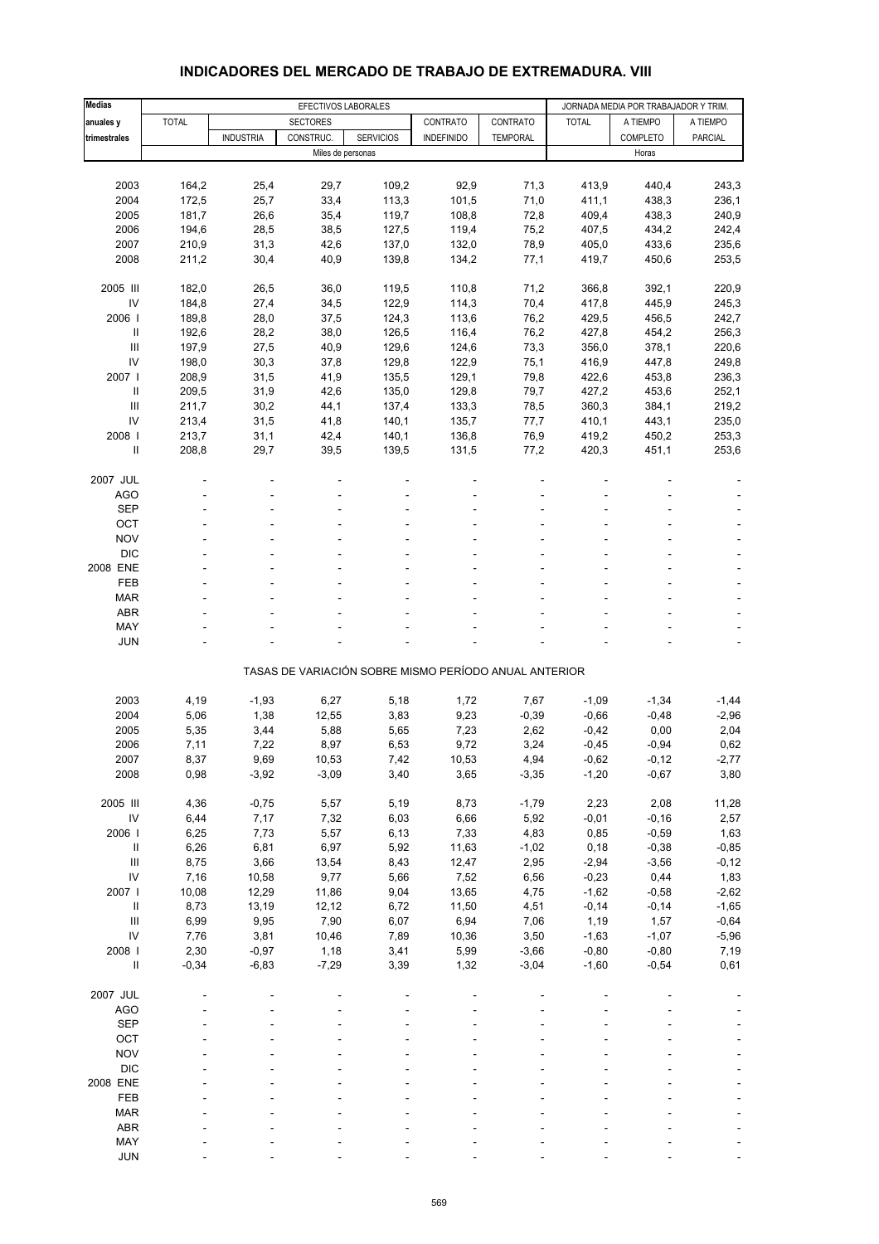| <b>Medias</b>                      |              |                  | EFECTIVOS LABORALES |                  |                                                       |                 |              | JORNADA MEDIA POR TRABAJADOR Y TRIM. |                |
|------------------------------------|--------------|------------------|---------------------|------------------|-------------------------------------------------------|-----------------|--------------|--------------------------------------|----------------|
| anuales y                          | <b>TOTAL</b> |                  | <b>SECTORES</b>     |                  | CONTRATO                                              | CONTRATO        | <b>TOTAL</b> | A TIEMPO                             | A TIEMPO       |
| trimestrales                       |              | <b>INDUSTRIA</b> | CONSTRUC.           | <b>SERVICIOS</b> | <b>INDEFINIDO</b>                                     | <b>TEMPORAL</b> |              | COMPLETO                             | <b>PARCIAL</b> |
|                                    |              |                  | Miles de personas   |                  |                                                       |                 |              | Horas                                |                |
|                                    |              |                  |                     |                  |                                                       |                 |              |                                      |                |
| 2003                               | 164,2        | 25,4             | 29,7                | 109,2            | 92,9                                                  | 71,3            | 413,9        | 440,4                                | 243,3          |
| 2004                               | 172,5        | 25,7             | 33,4                | 113,3            | 101,5                                                 | 71,0            | 411,1        | 438,3                                | 236,1          |
| 2005                               | 181,7        | 26,6             | 35,4                | 119,7            | 108,8                                                 | 72,8            | 409,4        | 438,3                                | 240,9          |
| 2006                               | 194,6        | 28,5             | 38,5                | 127,5            | 119,4                                                 | 75,2            | 407,5        | 434,2                                | 242,4          |
| 2007                               | 210,9        | 31,3             | 42,6                | 137,0            | 132,0                                                 | 78,9            | 405,0        | 433,6                                | 235,6          |
| 2008                               | 211,2        | 30,4             | 40,9                | 139,8            | 134,2                                                 | 77,1            | 419,7        | 450,6                                | 253,5          |
|                                    |              |                  |                     |                  |                                                       |                 |              |                                      |                |
| 2005 III                           | 182,0        | 26,5             | 36,0                | 119,5            | 110,8                                                 | 71,2            | 366,8        | 392,1                                | 220,9          |
| IV                                 | 184,8        | 27,4             | 34,5                | 122,9            | 114,3                                                 | 70,4            | 417,8        | 445,9                                | 245,3          |
| 2006                               | 189,8        | 28,0             | 37,5                | 124,3            | 113,6                                                 | 76,2            | 429,5        | 456,5                                | 242,7          |
| Ш                                  | 192,6        | 28,2             | 38,0                | 126,5            | 116,4                                                 | 76,2            | 427,8        | 454,2                                | 256,3          |
| Ш                                  | 197,9        | 27,5             | 40,9                | 129,6            | 124,6                                                 | 73,3            | 356,0        | 378,1                                | 220,6          |
| IV                                 | 198,0        | 30,3             | 37,8                | 129,8            | 122,9                                                 | 75,1            | 416,9        | 447,8                                | 249,8          |
| 2007 l                             | 208,9        | 31,5             | 41,9                | 135,5            | 129,1                                                 | 79,8            | 422,6        | 453,8                                | 236,3          |
| $\mathbf{I}$                       | 209,5        | 31,9             | 42,6                | 135,0            | 129,8                                                 | 79,7            | 427,2        | 453,6                                | 252,1          |
| Ш                                  |              |                  |                     |                  |                                                       |                 |              |                                      |                |
| IV                                 | 211,7        | 30,2             | 44,1                | 137,4            | 133,3                                                 | 78,5            | 360,3        | 384,1                                | 219,2          |
|                                    | 213,4        | 31,5             | 41,8                | 140,1            | 135,7                                                 | 77,7            | 410,1        | 443,1                                | 235,0          |
| 2008                               | 213,7        | 31,1             | 42,4                | 140,1            | 136,8                                                 | 76,9            | 419,2        | 450,2                                | 253,3          |
| Ш                                  | 208,8        | 29,7             | 39,5                | 139,5            | 131,5                                                 | 77,2            | 420,3        | 451,1                                | 253,6          |
|                                    |              |                  |                     |                  |                                                       |                 |              |                                      |                |
| 2007 JUL                           |              |                  |                     |                  |                                                       |                 |              |                                      |                |
| AGO                                |              |                  |                     |                  |                                                       |                 |              |                                      |                |
| <b>SEP</b>                         |              |                  |                     |                  |                                                       |                 |              |                                      |                |
| OCT                                |              |                  |                     |                  |                                                       |                 |              |                                      |                |
| <b>NOV</b>                         |              |                  |                     |                  |                                                       |                 |              |                                      |                |
| <b>DIC</b>                         |              |                  |                     |                  |                                                       |                 |              |                                      |                |
| 2008 ENE                           |              |                  |                     |                  |                                                       |                 |              |                                      |                |
| FEB                                |              |                  |                     |                  |                                                       |                 |              |                                      |                |
| <b>MAR</b>                         |              |                  |                     |                  |                                                       |                 |              |                                      |                |
| <b>ABR</b>                         |              |                  |                     |                  |                                                       |                 |              |                                      |                |
| MAY                                |              |                  |                     |                  |                                                       |                 |              |                                      |                |
| <b>JUN</b>                         |              |                  |                     |                  |                                                       |                 |              |                                      |                |
|                                    |              |                  |                     |                  |                                                       |                 |              |                                      |                |
|                                    |              |                  |                     |                  | TASAS DE VARIACIÓN SOBRE MISMO PERÍODO ANUAL ANTERIOR |                 |              |                                      |                |
|                                    |              |                  |                     |                  |                                                       |                 |              |                                      |                |
| 2003                               | 4,19         | $-1,93$          | 6,27                | 5,18             | 1,72                                                  | 7,67            | $-1,09$      | $-1,34$                              | $-1,44$        |
| 2004                               | 5,06         | 1,38             | 12,55               | 3,83             | 9,23                                                  | $-0,39$         | $-0,66$      | $-0,48$                              | $-2,96$        |
| 2005                               | 5,35         | 3,44             | 5,88                | 5,65             | 7,23                                                  | 2,62            | $-0,42$      | 0,00                                 | 2,04           |
| 2006                               | 7,11         | 7,22             | 8,97                | 6,53             | 9,72                                                  | 3,24            | $-0,45$      | $-0,94$                              | 0,62           |
| 2007                               | 8,37         | 9,69             | 10,53               | 7,42             | 10,53                                                 | 4,94            | $-0,62$      | -0,12                                | -2,77          |
| 2008                               | 0,98         | $-3,92$          | $-3,09$             | 3,40             | 3,65                                                  | $-3,35$         | $-1,20$      | $-0,67$                              | 3,80           |
|                                    |              |                  |                     |                  |                                                       |                 |              |                                      |                |
| 2005 III                           | 4,36         | $-0,75$          | 5,57                | 5,19             | 8,73                                                  | $-1,79$         | 2,23         | 2,08                                 | 11,28          |
| IV                                 | 6,44         | 7,17             | 7,32                | 6,03             | 6,66                                                  | 5,92            | $-0,01$      | $-0,16$                              | 2,57           |
| 2006                               | 6,25         | 7,73             | 5,57                | 6,13             | 7,33                                                  | 4,83            | 0,85         | $-0,59$                              | 1,63           |
| $\sf II$                           | 6,26         | 6,81             | 6,97                | 5,92             | 11,63                                                 | $-1,02$         | 0, 18        | $-0,38$                              | $-0,85$        |
| $\ensuremath{\mathsf{III}}\xspace$ | 8,75         | 3,66             | 13,54               | 8,43             | 12,47                                                 | 2,95            | $-2,94$      | $-3,56$                              | $-0,12$        |
| IV                                 | 7,16         | 10,58            | 9,77                | 5,66             | 7,52                                                  | 6,56            | $-0,23$      | 0,44                                 | 1,83           |
| 2007 l                             | 10,08        | 12,29            | 11,86               | 9,04             | 13,65                                                 | 4,75            | $-1,62$      | $-0,58$                              | $-2,62$        |
| $\ensuremath{\mathsf{II}}$         | 8,73         | 13,19            | 12,12               | 6,72             | 11,50                                                 | 4,51            | $-0,14$      | $-0,14$                              | $-1,65$        |
| $\ensuremath{\mathsf{III}}\xspace$ | 6,99         | 9,95             | 7,90                | 6,07             | 6,94                                                  | 7,06            | 1,19         | 1,57                                 | $-0,64$        |
| IV                                 | 7,76         | 3,81             | 10,46               | 7,89             | 10,36                                                 | 3,50            | $-1,63$      | $-1,07$                              | $-5,96$        |
| 2008 l                             | 2,30         | $-0,97$          | 1,18                | 3,41             | 5,99                                                  | $-3,66$         | $-0,80$      | $-0,80$                              | 7,19           |
| $\ensuremath{\mathsf{II}}$         | $-0,34$      | $-6,83$          | $-7,29$             | 3,39             | 1,32                                                  | $-3,04$         | $-1,60$      | $-0,54$                              | 0,61           |
|                                    |              |                  |                     |                  |                                                       |                 |              |                                      |                |
| 2007 JUL                           |              |                  |                     |                  |                                                       |                 |              |                                      |                |
| <b>AGO</b>                         |              |                  |                     |                  |                                                       |                 |              |                                      |                |
| <b>SEP</b>                         |              |                  |                     |                  |                                                       |                 |              |                                      |                |
| OCT                                |              |                  |                     |                  |                                                       |                 |              |                                      |                |
| <b>NOV</b>                         |              |                  |                     |                  |                                                       |                 |              |                                      |                |
| <b>DIC</b>                         |              |                  |                     |                  |                                                       |                 |              |                                      |                |
| 2008 ENE                           |              |                  |                     |                  |                                                       |                 |              |                                      |                |
| FEB                                |              |                  |                     |                  |                                                       |                 |              |                                      |                |
| <b>MAR</b>                         |              |                  |                     |                  |                                                       |                 |              |                                      |                |
| ABR                                |              |                  |                     |                  |                                                       |                 |              |                                      |                |
| MAY                                |              |                  |                     |                  |                                                       |                 |              |                                      |                |
| <b>JUN</b>                         |              |                  |                     |                  |                                                       |                 |              |                                      |                |

#### **INDICADORES DEL MERCADO DE TRABAJO DE EXTREMADURA. VIII**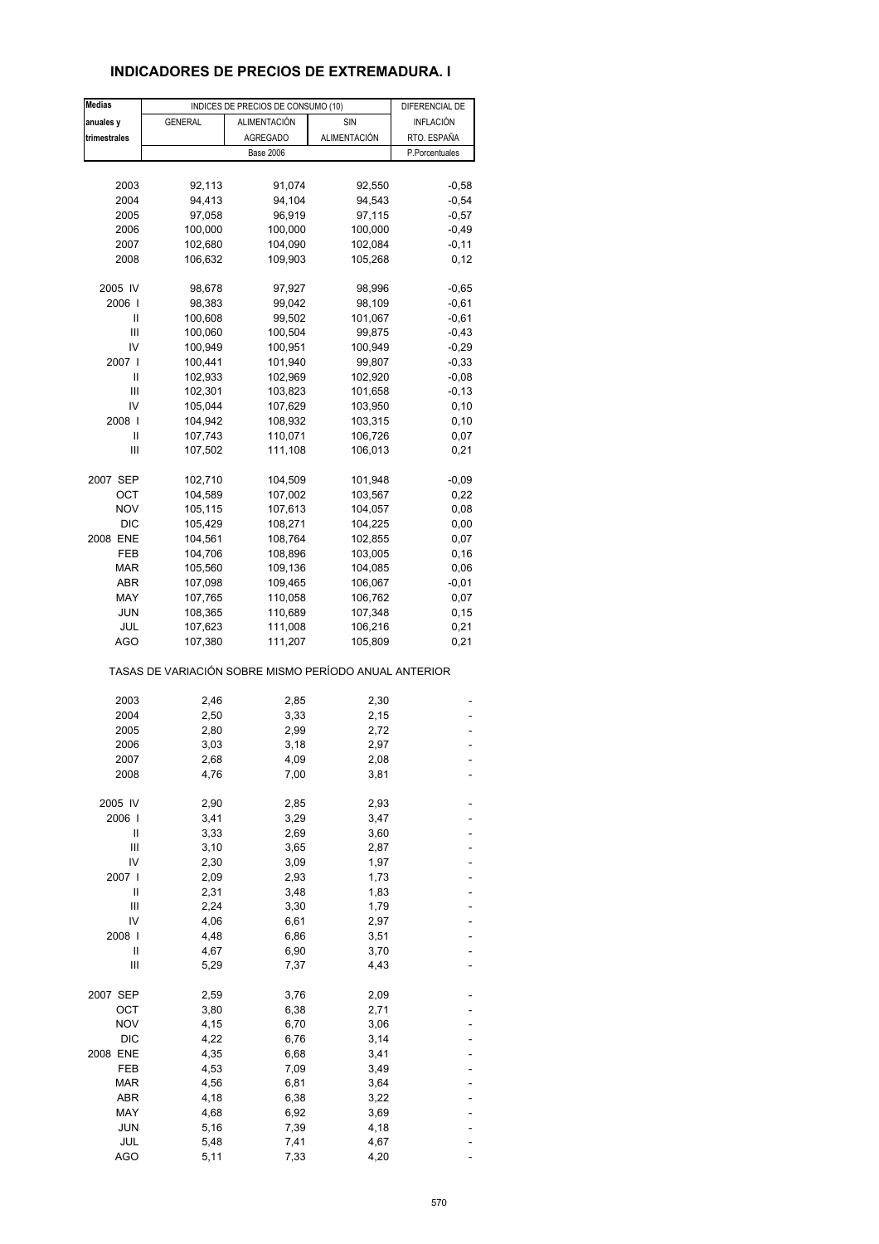## **INDICADORES DE PRECIOS DE EXTREMADURA. I**

| <b>Medias</b> |                                                       | INDICES DE PRECIOS DE CONSUMO (10) |              | DIFERENCIAL DE |
|---------------|-------------------------------------------------------|------------------------------------|--------------|----------------|
| anuales y     | <b>GENERAL</b>                                        | ALIMENTACIÓN                       | SIN          | INFLACIÓN      |
| trimestrales  |                                                       | <b>AGREGADO</b>                    | ALIMENTACIÓN | RTO. ESPAÑA    |
|               |                                                       | <b>Base 2006</b>                   |              | P.Porcentuales |
|               |                                                       |                                    |              |                |
|               |                                                       |                                    |              |                |
| 2003          | 92,113                                                | 91,074                             | 92,550       | $-0,58$        |
| 2004          | 94,413                                                | 94,104                             | 94,543       | $-0,54$        |
| 2005          | 97,058                                                | 96,919                             | 97,115       | $-0,57$        |
| 2006          | 100,000                                               | 100,000                            | 100,000      | $-0,49$        |
| 2007          | 102,680                                               | 104,090                            | 102,084      | $-0,11$        |
| 2008          | 106,632                                               | 109,903                            | 105,268      | 0,12           |
| 2005 IV       | 98,678                                                | 97,927                             | 98,996       | $-0,65$        |
| 2006          | 98,383                                                | 99,042                             | 98,109       | $-0,61$        |
| Ш             |                                                       |                                    |              | $-0,61$        |
| Ш             | 100,608                                               | 99,502                             | 101,067      |                |
|               | 100,060                                               | 100,504                            | 99,875       | $-0,43$        |
| IV            | 100,949                                               | 100,951                            | 100,949      | $-0,29$        |
| 2007 l        | 100,441                                               | 101,940                            | 99,807       | $-0,33$        |
| Ш             | 102,933                                               | 102,969                            | 102,920      | $-0,08$        |
| Ш             | 102,301                                               | 103,823                            | 101,658      | $-0,13$        |
| IV            | 105,044                                               | 107,629                            | 103,950      | 0, 10          |
| 2008          | 104,942                                               | 108,932                            | 103,315      | 0, 10          |
| Ш             | 107,743                                               | 110,071                            | 106,726      | 0,07           |
| Ш             | 107,502                                               | 111,108                            | 106,013      | 0,21           |
|               |                                                       |                                    |              |                |
| 2007 SEP      | 102,710                                               | 104,509                            | 101,948      | $-0,09$        |
| ОСТ           | 104,589                                               | 107,002                            | 103,567      | 0,22           |
| <b>NOV</b>    | 105,115                                               | 107,613                            | 104,057      | 0,08           |
| <b>DIC</b>    | 105,429                                               | 108,271                            | 104,225      | 0,00           |
| 2008 ENE      | 104,561                                               | 108,764                            | 102,855      | 0,07           |
| FEB           | 104,706                                               | 108,896                            | 103,005      | 0, 16          |
| <b>MAR</b>    | 105,560                                               | 109,136                            | 104,085      | 0,06           |
| ABR           | 107,098                                               | 109,465                            | 106,067      | $-0,01$        |
| MAY           | 107,765                                               | 110,058                            | 106,762      | 0,07           |
| <b>JUN</b>    | 108,365                                               | 110,689                            | 107,348      | 0, 15          |
| JUL           | 107,623                                               | 111,008                            | 106,216      | 0,21           |
| <b>AGO</b>    | 107,380                                               | 111,207                            | 105,809      | 0,21           |
|               | TASAS DE VARIACIÓN SOBRE MISMO PERÍODO ANUAL ANTERIOR |                                    |              |                |
|               |                                                       |                                    |              |                |
| 2003          | 2,46                                                  | 2,85                               | 2,30         |                |
| 2004          | 2,50                                                  | 3,33                               | 2,15         |                |
| 2005          | 2,80                                                  | 2,99                               | 2,72         |                |
| 2006          | 3,03                                                  | 3,18                               | 2,97         |                |
| 2007          | 2,68                                                  | 4,09                               | 2,08         |                |
| 2008          | 4,76                                                  | 7,00                               | 3,81         |                |
| 2005 IV       | 2,90                                                  | 2,85                               | 2,93         |                |
| 2006          | 3,41                                                  | 3,29                               | 3,47         |                |
| Ш             | 3,33                                                  | 2,69                               | 3,60         |                |
| Ш             | 3,10                                                  | 3,65                               | 2,87         |                |
| IV            | 2,30                                                  |                                    |              |                |
|               |                                                       | 3,09                               | 1,97         |                |
| 2007          | 2,09                                                  | 2,93                               | 1,73         |                |
| Ш             | 2,31                                                  | 3,48                               | 1,83         |                |
| Ш             | 2,24                                                  | 3,30                               | 1,79         |                |
| IV            | 4,06                                                  | 6,61                               | 2,97         |                |
| 2008          | 4,48                                                  | 6,86                               | 3,51         |                |
| Ш             | 4,67                                                  | 6,90                               | 3,70         |                |
| Ш             | 5,29                                                  | 7,37                               | 4,43         |                |
| 2007 SEP      | 2,59                                                  | 3,76                               | 2,09         |                |
| ОСТ           | 3,80                                                  | 6,38                               | 2,71         |                |
| <b>NOV</b>    | 4,15                                                  | 6,70                               | 3,06         |                |
| <b>DIC</b>    | 4,22                                                  | 6,76                               | 3,14         |                |
| 2008 ENE      | 4,35                                                  | 6,68                               | 3,41         |                |
| FEB           | 4,53                                                  | 7,09                               | 3,49         |                |
| <b>MAR</b>    | 4,56                                                  | 6,81                               | 3,64         |                |
| ABR           | 4,18                                                  | 6,38                               |              |                |
|               |                                                       |                                    | 3,22         |                |
| MAY           | 4,68                                                  | 6,92                               | 3,69         |                |
| JUN           | 5,16                                                  | 7,39                               | 4,18         |                |
| JUL           | 5,48                                                  | 7,41                               | 4,67         |                |
| AGO           | 5,11                                                  | 7,33                               | 4,20         |                |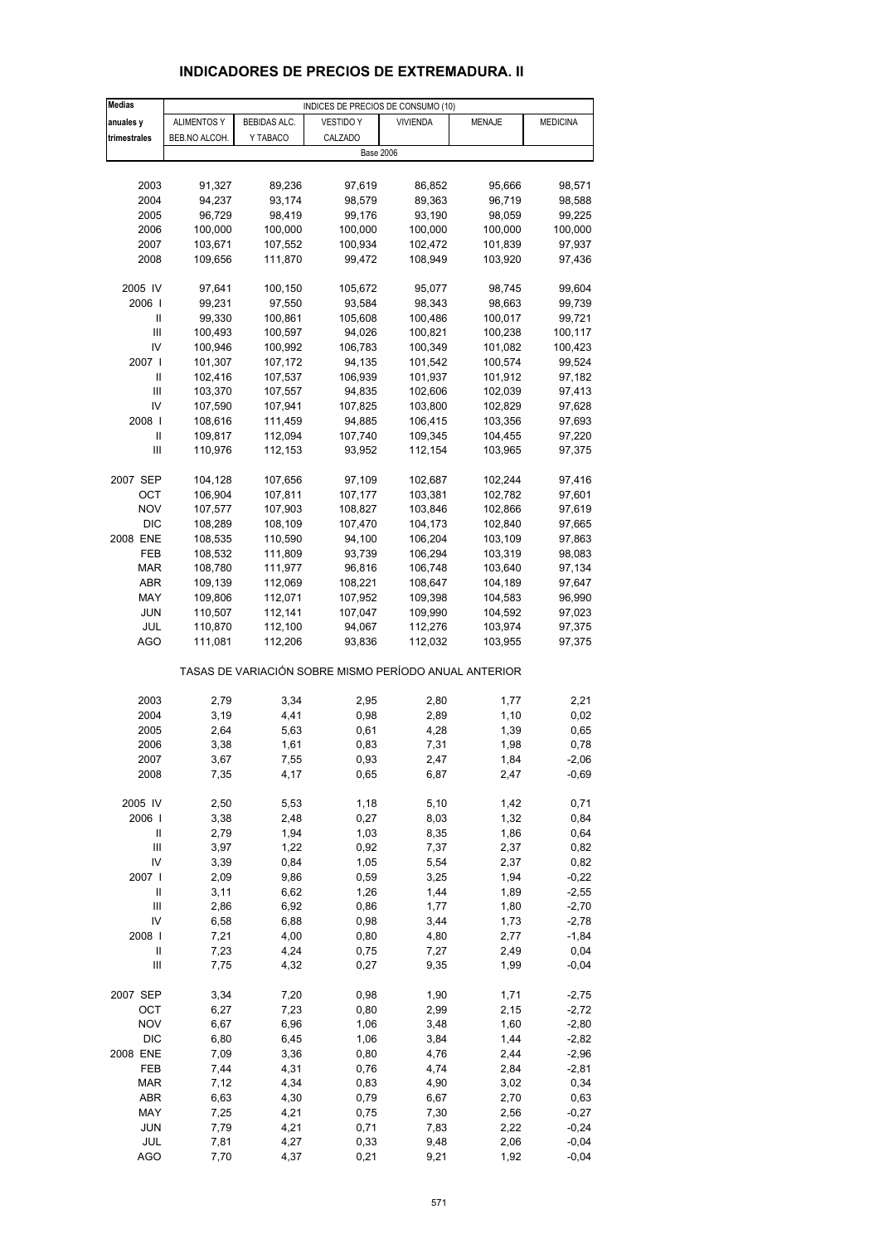| <b>Medias</b>                |                    |                    | INDICES DE PRECIOS DE CONSUMO (10)                    |                    |                    |                    |
|------------------------------|--------------------|--------------------|-------------------------------------------------------|--------------------|--------------------|--------------------|
| anuales y                    | <b>ALIMENTOS Y</b> | BEBIDAS ALC.       | <b>VESTIDO Y</b>                                      | <b>VIVIENDA</b>    | <b>MENAJE</b>      | <b>MEDICINA</b>    |
| trimestrales                 | BEB.NO ALCOH.      | Y TABACO           | CALZADO                                               |                    |                    |                    |
|                              |                    |                    |                                                       | <b>Base 2006</b>   |                    |                    |
|                              |                    |                    |                                                       |                    |                    |                    |
| 2003                         | 91,327             | 89,236             | 97,619                                                | 86,852             | 95,666             | 98,571             |
| 2004                         | 94,237             | 93,174             | 98,579                                                | 89,363             | 96,719             | 98,588             |
| 2005                         | 96,729             | 98,419             | 99,176                                                | 93,190             | 98,059             | 99,225             |
| 2006<br>2007                 | 100,000<br>103,671 | 100,000<br>107,552 | 100,000<br>100,934                                    | 100,000<br>102,472 | 100,000<br>101,839 | 100,000<br>97,937  |
| 2008                         | 109,656            | 111,870            | 99,472                                                | 108,949            | 103,920            | 97,436             |
|                              |                    |                    |                                                       |                    |                    |                    |
| 2005 IV                      | 97,641             | 100,150            | 105,672                                               | 95,077             | 98,745             | 99,604             |
| 2006                         | 99,231             | 97,550             | 93,584                                                | 98,343             | 98,663             | 99,739             |
| Ш                            | 99,330             | 100,861            | 105,608                                               | 100,486            | 100,017            | 99,721             |
| Ш                            | 100,493            | 100,597            | 94,026                                                | 100,821            | 100,238            | 100,117            |
| IV                           | 100,946            | 100,992            | 106,783                                               | 100,349            | 101,082            | 100,423            |
| 2007 l                       | 101,307            | 107,172            | 94,135                                                | 101,542            | 100,574            | 99,524             |
| Ш<br>Ш                       | 102,416<br>103,370 | 107,537<br>107,557 | 106,939<br>94,835                                     | 101,937            | 101,912<br>102,039 | 97,182<br>97,413   |
| IV                           | 107,590            | 107,941            | 107,825                                               | 102,606<br>103,800 | 102,829            | 97,628             |
| 2008                         | 108,616            | 111,459            | 94,885                                                | 106,415            | 103,356            | 97,693             |
| Ш                            | 109,817            | 112,094            | 107,740                                               | 109,345            | 104,455            | 97,220             |
| Ш                            | 110,976            | 112,153            | 93,952                                                | 112,154            | 103,965            | 97,375             |
|                              |                    |                    |                                                       |                    |                    |                    |
| 2007 SEP                     | 104,128            | 107,656            | 97,109                                                | 102,687            | 102,244            | 97,416             |
| ОСТ                          | 106,904            | 107,811            | 107,177                                               | 103,381            | 102,782            | 97,601             |
| <b>NOV</b>                   | 107,577            | 107,903            | 108,827                                               | 103,846            | 102,866            | 97,619             |
| <b>DIC</b>                   | 108,289            | 108,109            | 107,470                                               | 104,173            | 102,840            | 97,665             |
| 2008 ENE<br><b>FEB</b>       | 108,535<br>108,532 | 110,590<br>111,809 | 94,100<br>93,739                                      | 106,204<br>106,294 | 103,109<br>103,319 | 97,863<br>98,083   |
| MAR                          | 108,780            | 111,977            | 96,816                                                | 106,748            | 103,640            | 97,134             |
| ABR                          | 109,139            | 112,069            | 108,221                                               | 108,647            | 104,189            | 97,647             |
| MAY                          | 109,806            | 112,071            | 107,952                                               | 109,398            | 104,583            | 96,990             |
| <b>JUN</b>                   | 110,507            | 112,141            | 107,047                                               | 109,990            | 104,592            | 97,023             |
| JUL                          | 110,870            | 112,100            | 94,067                                                | 112,276            | 103,974            | 97,375             |
| AGO                          | 111,081            | 112,206            | 93,836                                                | 112,032            | 103,955            | 97,375             |
|                              |                    |                    | TASAS DE VARIACIÓN SOBRE MISMO PERÍODO ANUAL ANTERIOR |                    |                    |                    |
| 2003                         | 2,79               | 3,34               | 2,95                                                  | 2,80               | 1,77               | 2,21               |
| 2004                         | 3,19               | 4,41               | 0,98                                                  | 2,89               | 1,10               | 0,02               |
| 2005                         | 2,64               | 5,63               | 0,61                                                  | 4,28               | 1,39               | 0,65               |
| 2006                         | 3,38               | 1,61               | 0,83                                                  | 7,31               | 1,98               | 0,78               |
| 2007                         | 3,67               | 7,55               | 0,93                                                  | 2,47               | 1,84               | $-2,06$            |
| 2008                         | 7,35               | 4,17               | 0,65                                                  | 6,87               | 2,47               | $-0,69$            |
| 2005 IV                      | 2,50               | 5,53               | 1,18                                                  | 5,10               | 1,42               | 0,71               |
| 2006                         | 3,38               | 2,48               | 0,27                                                  | 8,03               | 1,32               | 0,84               |
| $\mathop{  }$                | 2,79               | 1,94               | 1,03                                                  | 8,35               | 1,86               | 0,64               |
| Ш                            | 3,97               | 1,22               | 0,92                                                  | 7,37               | 2,37               | 0,82               |
| IV                           | 3,39               | 0,84               | 1,05                                                  | 5,54               | 2,37               | 0,82               |
| 2007 l                       | 2,09               | 9,86               | 0,59                                                  | 3,25               | 1,94               | $-0,22$            |
| $\sf II$<br>$\mathsf{III}\,$ | 3,11<br>2,86       | 6,62<br>6,92       | 1,26<br>0,86                                          | 1,44<br>1,77       | 1,89<br>1,80       | $-2,55$<br>$-2,70$ |
| IV                           | 6,58               | 6,88               | 0,98                                                  | 3,44               | 1,73               | $-2,78$            |
| 2008                         | 7,21               | 4,00               | 0,80                                                  | 4,80               | 2,77               | $-1,84$            |
| $\sf II$                     | 7,23               | 4,24               | 0,75                                                  | 7,27               | 2,49               | 0,04               |
| $\mathsf{III}\,$             | 7,75               | 4,32               | 0,27                                                  | 9,35               | 1,99               | $-0,04$            |
| 2007 SEP                     | 3,34               | 7,20               | 0,98                                                  | 1,90               | 1,71               | $-2,75$            |
| OCT                          | 6,27               | 7,23               | 0,80                                                  | 2,99               | 2,15               | $-2,72$            |
| <b>NOV</b>                   | 6,67               | 6,96               | 1,06                                                  | 3,48               | 1,60               | $-2,80$            |
| <b>DIC</b>                   | 6,80               | 6,45               | 1,06                                                  | 3,84               | 1,44               | $-2,82$            |
| 2008 ENE                     | 7,09               | 3,36               | 0,80                                                  | 4,76               | 2,44               | $-2,96$            |
| FEB                          | 7,44               | 4,31               | 0,76                                                  | 4,74               | 2,84               | $-2,81$            |
| <b>MAR</b><br>ABR            | 7,12<br>6,63       | 4,34<br>4,30       | 0,83<br>0,79                                          | 4,90<br>6,67       | 3,02<br>2,70       | 0,34<br>0,63       |
| MAY                          | 7,25               | 4,21               | 0,75                                                  | 7,30               | 2,56               | $-0,27$            |
| <b>JUN</b>                   | 7,79               | 4,21               | 0,71                                                  | 7,83               | 2,22               | $-0,24$            |
| JUL                          | 7,81               | 4,27               | 0,33                                                  | 9,48               | 2,06               | $-0,04$            |
| <b>AGO</b>                   | 7,70               | 4,37               | 0,21                                                  | 9,21               | 1,92               | $-0,04$            |

## **INDICADORES DE PRECIOS DE EXTREMADURA. II**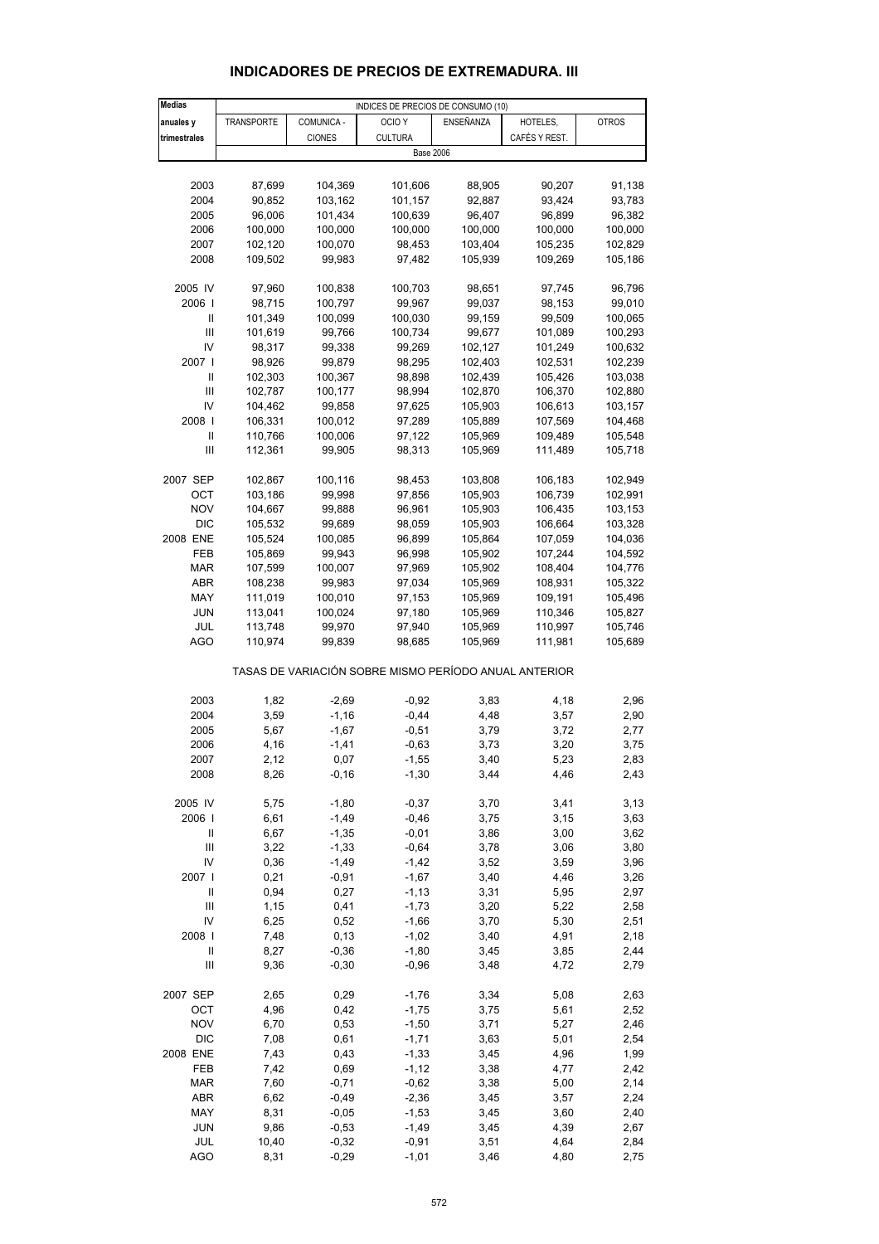#### **Medias anuales v TRANSPORTE COMUNICA - OCIO Y ENSEÑANZA HOTELES, QUI POTROS trimestrales** CIONES CULTURA CAFÉS Y REST. 2003 87,699 104,369 101,606 88,905 90,207 91,138 2004 90,852 103,162 101,157 92,887 93,424 93,783 2005 96,006 101,434 100,639 96,407 96,899 96,382 2006 100,000 100,000 100,000 100,000 100,000 100,000 2007 102,120 100,070 98,453 103,404 105,235 102,829 2008 109,502 99,983 97,482 105,939 109,269 105,186 2005 IV 97,960 100,838 100,703 98,651 97,745 96,796 2006 I 98,715 100,797 99,967 99,037 98,153 99,010 II 101,349 100,099 100,030 99,159 99,509 100,065 III 101,619 99,766 100,734 99,677 101,089 100,293 IV 98,317 99,338 99,269 102,127 101,249 100,632 2007 I 98,926 99,879 98,295 102,403 102,531 102,239 II 102,303 100,367 98,898 102,439 105,426 103,038 III 102,787 100,177 98,994 102,870 106,370 102,880 IV 104,462 99,858 97,625 105,903 106,613 103,157 2008 I 106,331 100,012 97,289 105,889 107,569 104,468 II 110,766 100,006 97,122 105,969 109,489 105,548 III 112,361 99,905 98,313 105,969 111,489 105,718 2007 SEP 102,867 100,116 98,453 103,808 106,183 102,949 OCT 103,186 99,998 97,856 105,903 106,739 102,991 NOV 104,667 99,888 96,961 105,903 106,435 103,153 DIC 105,532 99,689 98,059 105,903 106,664 103,328 2008 ENE 105,524 100,085 96,899 105,864 107,059 104,036 FEB 105,869 99,943 96,998 105,902 107,244 104,592 MAR 107,599 100,007 97,969 105,902 108,404 104,776 ABR 108,238 99,983 97,034 105,969 108,931 105,322 MAY 111,019 100,010 97,153 105,969 109,191 105,496 JUN 113,041 100,024 97,180 105,969 110,346 105,827 JUL 113,748 99,970 97,940 105,969 110,997 105,746 AGO 110,974 99,839 98,685 105,969 111,981 105,689 TASAS DE VARIACIÓN SOBRE MISMO PERÍODO ANUAL ANTERIOR 2003 1,82 -2,69 -0,92 3,83 4,18 2,96 2004 3,59 -1,16 -0,44 4,48 3,57 2,90 2005 5,67 -1,67 -0,51 3,79 3,72 2,77 2006 4,16 -1,41 -0,63 3,73 3,20 3,75 2007 2,12 0,07 -1,55 3,40 5,23 2,83 2008 8,26 -0,16 -1,30 3,44 4,46 2,43 2005 IV 5,75 -1,80 -0,37 3,70 3,41 3,13 2006 I 6,61 -1,49 -0,46 3,75 3,15 3,63 II 6,67 -1,35 -0,01 3,86 3,00 3,62 III 3,22 -1,33 -0,64 3,78 3,06 3,80 IV 0,36 -1,49 -1,42 3,52 3,59 3,96 2007 I 0,21 -0,91 -1,67 3,40 4,46 3,26 II 0,94 0,27 -1,13 3,31 5,95 2,97 III 1,15 0,41 -1,73 3,20 5,22 2,58 IV 6,25 0,52 -1,66 3,70 5,30 2,51 2008 I 7,48 0,13 -1,02 3,40 4,91 2,18 II 8,27 -0,36 -1,80 3,45 3,85 2,44 III 9,36 -0,30 -0,96 3,48 4,72 2,79 2007 SEP 2,65 0,29 -1,76 3,34 5,08 2,63 OCT 4,96 0,42 -1,75 3,75 5,61 2,52 NOV 6,70 0,53 -1,50 3,71 5,27 2,46 DIC 7,08 0,61 -1,71 3,63 5,01 2,54 2008 ENE 7,43 0,43 -1,33 3,45 4,96 1,99 FEB 7,42 0,69 -1,12 3,38 4,77 2,42 MAR 7,60 -0,71 -0,62 3,38 5,00 2,14 ABR 6,62 -0,49 -2,36 3,45 3,57 2,24 MAY 8,31 -0,05 -1,53 3,45 3,60 2,40 JUN 9,86 -0,53 -1,49 3,45 4,39 2,67 Base 2006 INDICES DE PRECIOS DE CONSUMO (10)

#### **INDICADORES DE PRECIOS DE EXTREMADURA. III**

 JUL 10,40 -0,32 -0,91 3,51 4,64 2,84 AGO 8,31 -0,29 -1,01 3,46 4,80 2,75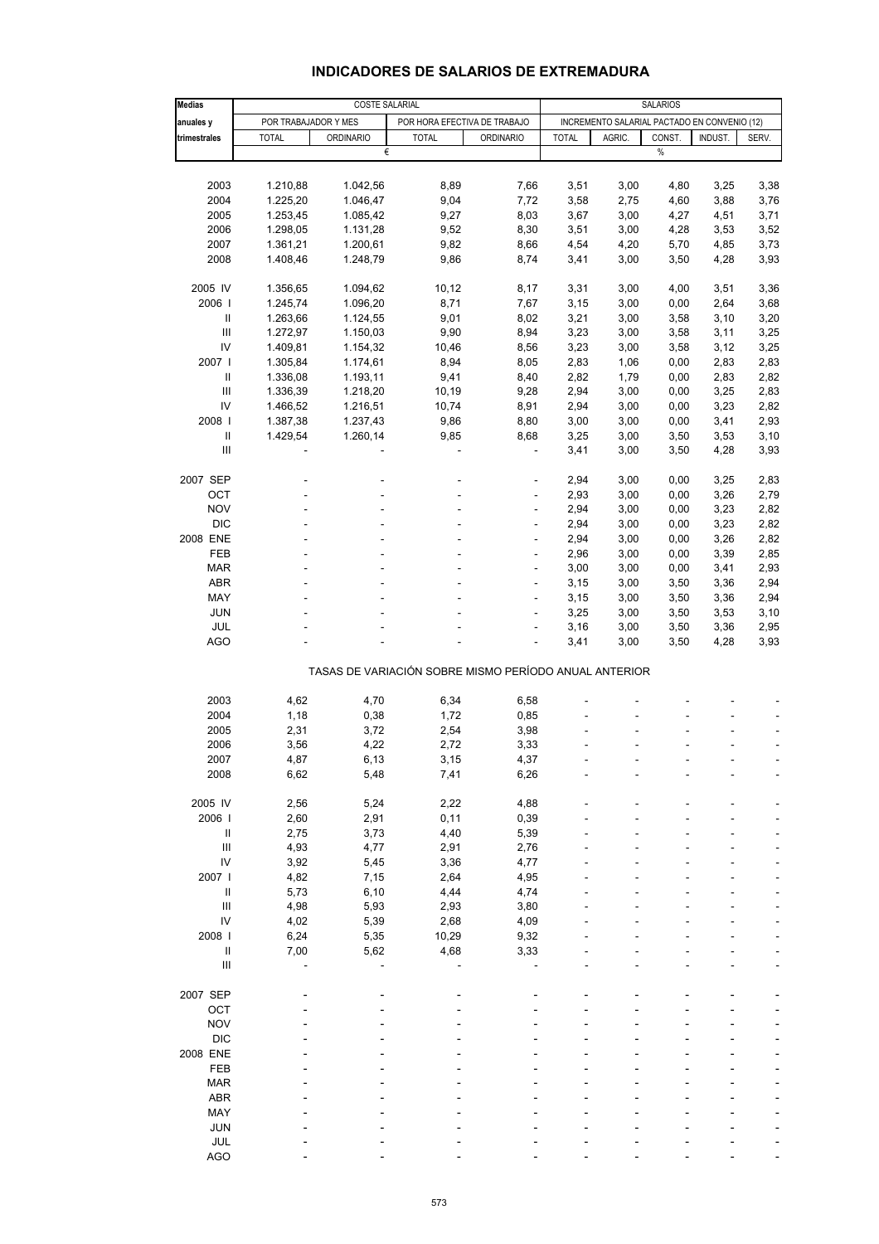## **INDICADORES DE SALARIOS DE EXTREMADURA**

| <b>Medias</b>                      |                      | <b>COSTE SALARIAL</b> |                                                       |                          | <b>SALARIOS</b> |                                              |        |         |       |
|------------------------------------|----------------------|-----------------------|-------------------------------------------------------|--------------------------|-----------------|----------------------------------------------|--------|---------|-------|
| anuales y                          | POR TRABAJADOR Y MES |                       | POR HORA EFECTIVA DE TRABAJO                          |                          |                 | INCREMENTO SALARIAL PACTADO EN CONVENIO (12) |        |         |       |
| trimestrales                       | <b>TOTAL</b>         | <b>ORDINARIO</b>      | <b>TOTAL</b>                                          | <b>ORDINARIO</b>         | <b>TOTAL</b>    | AGRIC.                                       | CONST. | INDUST. | SERV. |
|                                    |                      | €                     |                                                       |                          |                 |                                              | $\%$   |         |       |
|                                    |                      |                       |                                                       |                          |                 |                                              |        |         |       |
| 2003                               | 1.210,88             | 1.042,56              | 8,89                                                  | 7,66                     | 3,51            | 3,00                                         | 4,80   | 3,25    | 3,38  |
| 2004                               | 1.225,20             | 1.046,47              | 9,04                                                  | 7,72                     | 3,58            | 2,75                                         | 4,60   | 3,88    | 3,76  |
| 2005                               | 1.253,45             | 1.085,42              | 9,27                                                  | 8,03                     | 3,67            | 3,00                                         | 4,27   | 4,51    | 3,71  |
| 2006                               | 1.298,05             | 1.131,28              | 9,52                                                  | 8,30                     | 3,51            | 3,00                                         | 4,28   | 3,53    | 3,52  |
| 2007                               | 1.361,21             | 1.200,61              | 9,82                                                  | 8,66                     | 4,54            | 4,20                                         | 5,70   | 4,85    | 3,73  |
| 2008                               | 1.408,46             | 1.248,79              | 9,86                                                  | 8,74                     | 3,41            | 3,00                                         | 3,50   | 4,28    | 3,93  |
| 2005 IV                            | 1.356,65             | 1.094,62              | 10,12                                                 | 8,17                     | 3,31            | 3,00                                         | 4,00   | 3,51    | 3,36  |
| 2006                               | 1.245,74             | 1.096,20              | 8,71                                                  | 7,67                     | 3,15            | 3,00                                         | 0,00   | 2,64    | 3,68  |
| Ш                                  | 1.263,66             | 1.124,55              | 9,01                                                  | 8,02                     | 3,21            | 3,00                                         | 3,58   | 3,10    | 3,20  |
| $\mathbf{III}$                     | 1.272,97             | 1.150,03              | 9,90                                                  | 8,94                     | 3,23            | 3,00                                         | 3,58   | 3,11    | 3,25  |
| IV                                 | 1.409,81             | 1.154,32              | 10,46                                                 | 8,56                     | 3,23            | 3,00                                         | 3,58   | 3,12    | 3,25  |
| 2007 l                             | 1.305,84             | 1.174,61              | 8,94                                                  | 8,05                     | 2,83            | 1,06                                         | 0,00   | 2,83    | 2,83  |
| Ш                                  | 1.336,08             | 1.193,11              | 9,41                                                  | 8,40                     | 2,82            | 1,79                                         | 0,00   | 2,83    | 2,82  |
| $\ensuremath{\mathsf{III}}\xspace$ | 1.336,39             | 1.218,20              | 10,19                                                 | 9,28                     | 2,94            | 3,00                                         | 0,00   | 3,25    | 2,83  |
| IV                                 | 1.466,52             | 1.216,51              | 10,74                                                 | 8,91                     | 2,94            | 3,00                                         | 0,00   | 3,23    | 2,82  |
| 2008                               | 1.387,38             | 1.237,43              | 9,86                                                  | 8,80                     | 3,00            | 3,00                                         | 0,00   | 3,41    | 2,93  |
| $\ensuremath{\mathsf{II}}$         | 1.429,54             | 1.260,14              | 9,85                                                  | 8,68                     | 3,25            | 3,00                                         | 3,50   | 3,53    | 3,10  |
| Ш                                  |                      |                       | ÷,                                                    | ä,                       | 3,41            | 3,00                                         | 3,50   | 4,28    | 3,93  |
| 2007 SEP                           |                      |                       |                                                       |                          | 2,94            | 3,00                                         | 0,00   | 3,25    | 2,83  |
| OCT                                |                      |                       | $\overline{\phantom{a}}$                              | ÷                        | 2,93            | 3,00                                         | 0,00   | 3,26    | 2,79  |
| <b>NOV</b>                         |                      |                       |                                                       | ä,                       | 2,94            | 3,00                                         | 0,00   | 3,23    | 2,82  |
| <b>DIC</b>                         |                      |                       | ÷.                                                    | $\overline{\phantom{a}}$ | 2,94            | 3,00                                         | 0,00   | 3,23    | 2,82  |
| 2008 ENE                           |                      |                       | ÷                                                     | ÷,                       | 2,94            | 3,00                                         | 0,00   | 3,26    | 2,82  |
| FEB                                |                      |                       |                                                       |                          | 2,96            | 3,00                                         | 0,00   | 3,39    | 2,85  |
| <b>MAR</b>                         |                      |                       | ÷                                                     | $\overline{\phantom{a}}$ | 3,00            | 3,00                                         | 0,00   | 3,41    | 2,93  |
| ABR                                |                      |                       | ÷                                                     | ÷,                       | 3,15            | 3,00                                         | 3,50   | 3,36    | 2,94  |
| MAY                                |                      |                       |                                                       |                          | 3,15            | 3,00                                         | 3,50   | 3,36    | 2,94  |
| <b>JUN</b>                         |                      |                       |                                                       | $\overline{\phantom{a}}$ | 3,25            | 3,00                                         | 3,50   | 3,53    | 3,10  |
| JUL                                |                      |                       |                                                       | ÷,                       | 3,16            | 3,00                                         | 3,50   | 3,36    | 2,95  |
| <b>AGO</b>                         |                      |                       |                                                       |                          | 3,41            | 3,00                                         | 3,50   | 4,28    | 3,93  |
|                                    |                      |                       | TASAS DE VARIACIÓN SOBRE MISMO PERÍODO ANUAL ANTERIOR |                          |                 |                                              |        |         |       |
|                                    |                      |                       |                                                       |                          |                 |                                              |        |         |       |
| 2003<br>2004                       | 4,62<br>1,18         | 4,70<br>0,38          | 6,34<br>1,72                                          | 6,58<br>0,85             |                 |                                              |        |         |       |
| 2005                               | 2,31                 | 3,72                  | 2,54                                                  | 3,98                     |                 |                                              |        |         |       |
| 2006                               | 3,56                 | 4,22                  | 2,72                                                  | 3,33                     |                 |                                              |        |         | ÷,    |
|                                    |                      |                       |                                                       |                          |                 |                                              |        |         |       |
| 2007<br>2008                       | 4,87<br>6,62         | 6,13<br>5,48          | 3,15<br>7,41                                          | 4,37<br>6,26             |                 |                                              |        |         |       |
|                                    |                      |                       |                                                       |                          |                 |                                              |        |         |       |
| 2005 IV                            | 2,56                 | 5,24                  | 2,22                                                  | 4,88                     |                 |                                              |        |         |       |
| 2006                               | 2,60                 | 2,91                  | 0,11                                                  | 0,39                     |                 |                                              |        |         |       |
| Ш                                  | 2,75                 | 3,73                  | 4,40                                                  | 5,39                     |                 |                                              |        |         |       |
| $\ensuremath{\mathsf{III}}\xspace$ | 4,93                 | 4,77                  | 2,91                                                  | 2,76                     |                 |                                              |        |         |       |
| IV                                 | 3,92                 | 5,45                  | 3,36                                                  | 4,77                     |                 |                                              |        |         |       |
| 2007 l                             | 4,82                 | 7,15                  | 2,64                                                  | 4,95                     |                 |                                              |        |         |       |
| $\sf II$                           | 5,73                 | 6, 10                 | 4,44                                                  | 4,74                     |                 |                                              |        |         |       |
| $\mathbf{III}$                     | 4,98                 | 5,93                  | 2,93                                                  | 3,80                     |                 |                                              |        |         |       |
| IV                                 | 4,02                 | 5,39                  | 2,68                                                  | 4,09                     |                 |                                              |        |         |       |
| 2008                               | 6,24                 | 5,35                  | 10,29                                                 | 9,32                     |                 |                                              |        |         |       |
| $\ensuremath{\mathsf{II}}$         | 7,00                 | 5,62                  | 4,68                                                  | 3,33                     |                 |                                              |        |         |       |
| III                                |                      |                       |                                                       |                          |                 |                                              |        |         |       |
| 2007 SEP                           |                      |                       |                                                       |                          |                 |                                              |        |         |       |
| OCT                                |                      |                       |                                                       |                          |                 |                                              |        |         |       |
| <b>NOV</b>                         |                      |                       |                                                       |                          |                 |                                              |        |         |       |
| <b>DIC</b>                         |                      |                       |                                                       |                          |                 |                                              |        |         |       |
| 2008 ENE                           |                      |                       |                                                       |                          |                 |                                              |        |         |       |
| FEB                                |                      |                       |                                                       |                          |                 |                                              |        |         |       |
| <b>MAR</b>                         |                      |                       |                                                       |                          |                 |                                              |        |         |       |
| ABR                                |                      |                       |                                                       |                          |                 |                                              |        |         |       |
| MAY                                |                      |                       |                                                       |                          |                 |                                              |        |         |       |
| <b>JUN</b>                         |                      |                       |                                                       |                          |                 |                                              |        |         |       |
| JUL                                |                      |                       |                                                       |                          |                 |                                              |        |         |       |
| <b>AGO</b>                         |                      |                       |                                                       |                          |                 |                                              |        |         |       |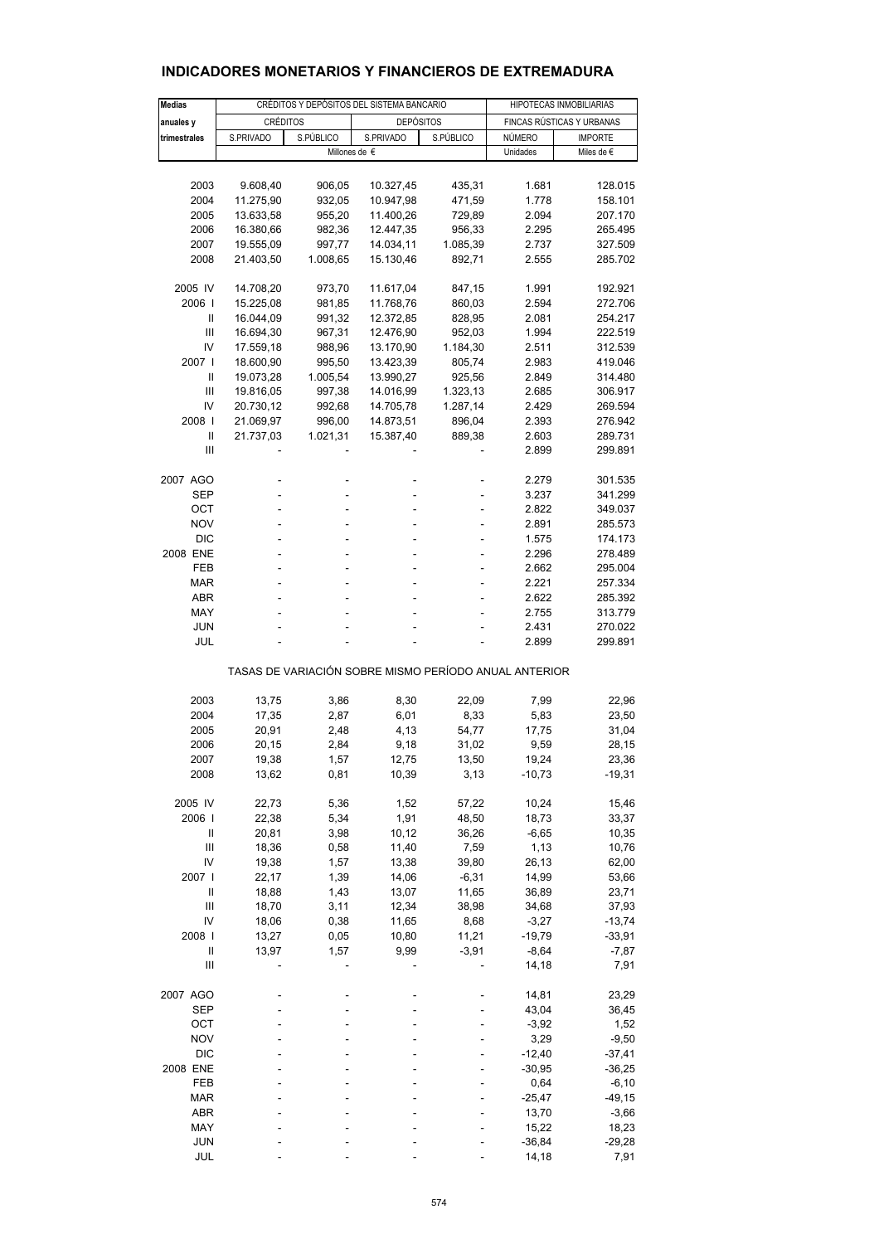| <b>Medias</b>                      |                 | CRÉDITOS Y DEPÓSITOS DEL SISTEMA BANCARIO |                                                       | HIPOTECAS INMOBILIARIAS |                           |                |  |
|------------------------------------|-----------------|-------------------------------------------|-------------------------------------------------------|-------------------------|---------------------------|----------------|--|
| anuales y                          | <b>CRÉDITOS</b> |                                           | <b>DEPÓSITOS</b>                                      |                         | FINCAS RÚSTICAS Y URBANAS |                |  |
| trimestrales                       | S.PRIVADO       | S.PÚBLICO                                 | S.PRIVADO                                             | S.PÚBLICO               | NÚMERO                    | <b>IMPORTE</b> |  |
|                                    |                 |                                           | Millones de €                                         |                         | Unidades                  | Miles de €     |  |
|                                    |                 |                                           |                                                       |                         |                           |                |  |
| 2003                               | 9.608,40        | 906,05                                    | 10.327,45                                             | 435,31                  | 1.681                     | 128.015        |  |
| 2004                               | 11.275,90       | 932,05                                    | 10.947,98                                             | 471,59                  | 1.778                     | 158.101        |  |
| 2005                               | 13.633,58       | 955,20                                    | 11.400,26                                             | 729,89                  | 2.094                     | 207.170        |  |
| 2006                               | 16.380,66       | 982,36                                    | 12.447,35                                             | 956,33                  | 2.295                     | 265.495        |  |
| 2007                               | 19.555,09       | 997,77                                    | 14.034,11                                             | 1.085,39                | 2.737                     | 327.509        |  |
| 2008                               | 21.403,50       | 1.008,65                                  | 15.130,46                                             | 892,71                  | 2.555                     | 285.702        |  |
|                                    |                 |                                           |                                                       |                         |                           |                |  |
| 2005 IV                            | 14.708,20       | 973,70                                    | 11.617,04                                             | 847,15                  | 1.991                     | 192.921        |  |
| 2006                               | 15.225,08       | 981,85                                    | 11.768,76                                             | 860,03                  | 2.594                     | 272.706        |  |
| Ш                                  | 16.044,09       | 991,32                                    | 12.372,85                                             | 828,95                  | 2.081                     | 254.217        |  |
| Ш                                  | 16.694,30       | 967,31                                    | 12.476,90                                             | 952,03                  | 1.994                     | 222.519        |  |
| IV                                 | 17.559,18       | 988,96                                    | 13.170,90                                             | 1.184,30                | 2.511                     | 312.539        |  |
| 2007 l                             | 18.600,90       | 995,50                                    | 13.423,39                                             | 805,74                  | 2.983                     | 419.046        |  |
| Ш                                  | 19.073,28       | 1.005,54                                  | 13.990,27                                             | 925,56                  | 2.849                     | 314.480        |  |
| Ш                                  | 19.816,05       | 997,38                                    | 14.016,99                                             | 1.323,13                | 2.685                     | 306.917        |  |
| IV                                 | 20.730,12       | 992,68                                    | 14.705,78                                             | 1.287,14                | 2.429                     | 269.594        |  |
| 2008                               | 21.069,97       | 996,00                                    | 14.873,51                                             | 896,04                  | 2.393                     | 276.942        |  |
| $\mathbf{I}$                       | 21.737,03       | 1.021,31                                  | 15.387,40                                             | 889,38                  | 2.603                     | 289.731        |  |
| Ш                                  |                 |                                           |                                                       |                         | 2.899                     | 299.891        |  |
|                                    |                 |                                           |                                                       |                         |                           |                |  |
| 2007 AGO                           |                 |                                           |                                                       |                         | 2.279                     | 301.535        |  |
| <b>SEP</b>                         | ÷,              | ÷,                                        | ÷,                                                    | ٠                       | 3.237                     | 341.299        |  |
| OCT                                | ä,              |                                           |                                                       |                         | 2.822                     | 349.037        |  |
| <b>NOV</b>                         |                 |                                           |                                                       |                         | 2.891                     | 285.573        |  |
| <b>DIC</b>                         | ٠               |                                           |                                                       | ÷,                      | 1.575                     | 174.173        |  |
| 2008 ENE                           |                 |                                           |                                                       |                         | 2.296                     | 278.489        |  |
| FEB                                |                 |                                           |                                                       |                         | 2.662                     | 295.004        |  |
| <b>MAR</b>                         | ÷,              | ä,                                        | ä,                                                    | ÷,                      | 2.221                     | 257.334        |  |
| <b>ABR</b>                         |                 |                                           |                                                       |                         | 2.622                     | 285.392        |  |
| MAY                                |                 |                                           |                                                       |                         | 2.755                     | 313.779        |  |
| <b>JUN</b>                         |                 |                                           |                                                       |                         | 2.431                     | 270.022        |  |
| JUL                                |                 |                                           |                                                       |                         | 2.899                     | 299.891        |  |
|                                    |                 |                                           | TASAS DE VARIACIÓN SOBRE MISMO PERÍODO ANUAL ANTERIOR |                         |                           |                |  |
| 2003                               |                 | 3,86                                      |                                                       |                         |                           |                |  |
| 2004                               | 13,75<br>17,35  | 2,87                                      | 8,30<br>6,01                                          | 22,09<br>8,33           | 7,99<br>5,83              | 22,96<br>23,50 |  |
| 2005                               | 20,91           | 2,48                                      | 4,13                                                  | 54,77                   | 17,75                     | 31,04          |  |
| 2006                               | 20,15           | 2,84                                      | 9,18                                                  | 31,02                   | 9,59                      | 28,15          |  |
| 2007                               | 19,38           | 1,57                                      | 12,75                                                 | 13,50                   | 19,24                     | 23,36          |  |
| 2008                               | 13,62           | 0,81                                      | 10,39                                                 | 3,13                    | $-10,73$                  | $-19,31$       |  |
|                                    |                 |                                           |                                                       |                         |                           |                |  |
| 2005 IV                            | 22,73           | 5,36                                      | 1,52                                                  | 57,22                   | 10,24                     | 15,46          |  |
| 2006                               | 22,38           | 5,34                                      | 1,91                                                  | 48,50                   | 18,73                     | 33,37          |  |
| $\begin{array}{c} \Pi \end{array}$ | 20,81           | 3,98                                      | 10,12                                                 | 36,26                   | $-6,65$                   | 10,35          |  |
| $\mathbf{III}$                     | 18,36           | 0,58                                      | 11,40                                                 | 7,59                    | 1,13                      | 10,76          |  |
| IV                                 | 19,38           | 1,57                                      | 13,38                                                 | 39,80                   | 26,13                     | 62,00          |  |
| 2007 l                             | 22,17           | 1,39                                      | 14,06                                                 | $-6,31$                 | 14,99                     | 53,66          |  |
| $\begin{array}{c} \Pi \end{array}$ | 18,88           | 1,43                                      | 13,07                                                 | 11,65                   | 36,89                     | 23,71          |  |
| $\mathbf{III}$                     | 18,70           | 3,11                                      | 12,34                                                 | 38,98                   | 34,68                     | 37,93          |  |
| IV                                 | 18,06           | 0,38                                      | 11,65                                                 | 8,68                    | $-3,27$                   | $-13,74$       |  |
| 2008                               | 13,27           | 0,05                                      | 10,80                                                 | 11,21                   | $-19,79$                  | $-33,91$       |  |
| $\begin{array}{c} \Pi \end{array}$ | 13,97           | 1,57                                      | 9,99                                                  | $-3,91$                 | $-8,64$                   | $-7,87$        |  |
| $\mathbf{III}$                     |                 |                                           |                                                       |                         | 14,18                     | 7,91           |  |
| 2007 AGO                           |                 |                                           |                                                       |                         | 14,81                     | 23,29          |  |
| <b>SEP</b>                         |                 |                                           |                                                       |                         | 43,04                     | 36,45          |  |
| OCT                                |                 |                                           |                                                       |                         | $-3,92$                   | 1,52           |  |
| <b>NOV</b>                         |                 |                                           |                                                       |                         | 3,29                      | $-9,50$        |  |
| <b>DIC</b>                         |                 |                                           |                                                       |                         | $-12,40$                  | $-37,41$       |  |
| 2008 ENE                           |                 |                                           |                                                       |                         | $-30,95$                  | $-36,25$       |  |
| FEB                                |                 |                                           |                                                       |                         | 0,64                      | $-6, 10$       |  |
| <b>MAR</b>                         |                 |                                           |                                                       |                         | $-25,47$                  | $-49,15$       |  |
| ABR                                |                 |                                           |                                                       |                         | 13,70                     | $-3,66$        |  |
| MAY                                |                 |                                           |                                                       |                         | 15,22                     | 18,23          |  |
| <b>JUN</b>                         |                 |                                           |                                                       |                         | $-36,84$                  | $-29,28$       |  |
| JUL                                |                 |                                           |                                                       |                         | 14,18                     | 7,91           |  |

## **INDICADORES MONETARIOS Y FINANCIEROS DE EXTREMADURA**